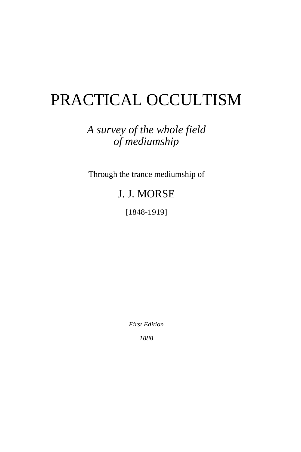# PRACTICAL OCCULTISM

*A survey of the whole field of mediumship*

Through the trance mediumship of

# J. J. MORSE

[1848-1919]

*First Edition*

*1888*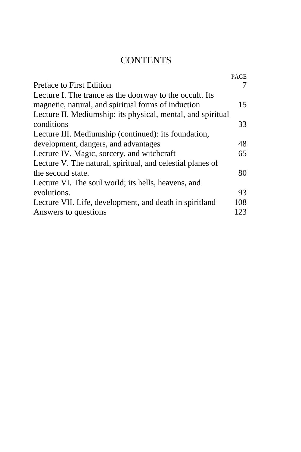# **CONTENTS**

|                                                             | PAGE |
|-------------------------------------------------------------|------|
| Preface to First Edition                                    |      |
| Lecture I. The trance as the doorway to the occult. Its     |      |
| magnetic, natural, and spiritual forms of induction         | 15   |
| Lecture II. Mediumship: its physical, mental, and spiritual |      |
| conditions                                                  | 33   |
| Lecture III. Mediumship (continued): its foundation,        |      |
| development, dangers, and advantages                        | 48   |
| Lecture IV. Magic, sorcery, and witchcraft                  | 65   |
| Lecture V. The natural, spiritual, and celestial planes of  |      |
| the second state.                                           | 80   |
| Lecture VI. The soul world; its hells, heavens, and         |      |
| evolutions.                                                 | 93   |
| Lecture VII. Life, development, and death in spiritland     | 108  |
| Answers to questions                                        | 123  |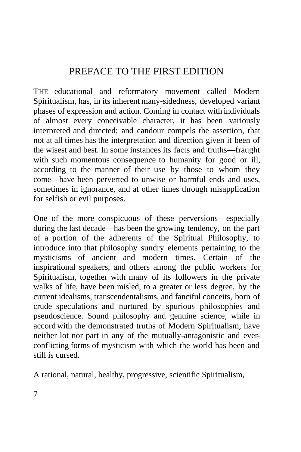## PREFACE TO THE FIRST EDITION

THE educational and reformatory movement called Modern Spiritualism, has, in its inherent many-sidedness, developed variant phases of expression and action. Coming in contact with individuals of almost every conceivable character, it has been variously interpreted and directed; and candour compels the assertion, that not at all times has the interpretation and direction given it been of the wisest and best. In some instances its facts and truths—fraught with such momentous consequence to humanity for good or ill, according to the manner of their use by those to whom they come—have been perverted to unwise or harmful ends and uses, sometimes in ignorance, and at other times through misapplication for selfish or evil purposes.

One of the more conspicuous of these perversions—especially during the last decade—has been the growing tendency, on the part of a portion of the adherents of the Spiritual Philosophy, to introduce into that philosophy sundry elements pertaining to the mysticisms of ancient and modern times. Certain of the inspirational speakers, and others among the public workers for Spiritualism, together with many of its followers in the private walks of life, have been misled, to a greater or less degree, by the current idealisms, transcendentalisms, and fanciful conceits, born of crude speculations and nurtured by spurious philosophies and pseudoscience. Sound philosophy and genuine science, while in accord with the demonstrated truths of Modern Spiritualism, have neither lot nor part in any of the mutually-antagonistic and everconflicting forms of mysticism with which the world has been and still is cursed.

A rational, natural, healthy, progressive, scientific Spiritualism,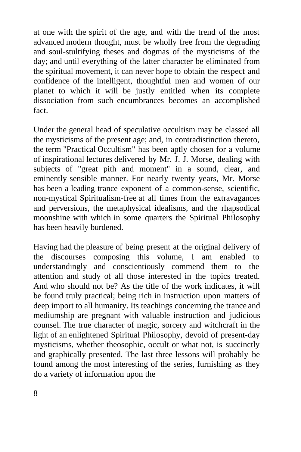at one with the spirit of the age, and with the trend of the most advanced modern thought, must be wholly free from the degrading and soul-stultifying theses and dogmas of the mysticisms of the day; and until everything of the latter character be eliminated from the spiritual movement, it can never hope to obtain the respect and confidence of the intelligent, thoughtful men and women of our planet to which it will be justly entitled when its complete dissociation from such encumbrances becomes an accomplished fact.

Under the general head of speculative occultism may be classed all the mysticisms of the present age; and, in contradistinction thereto, the term "Practical Occultism" has been aptly chosen for a volume of inspirational lectures delivered by Mr. J. J. Morse, dealing with subjects of "great pith and moment" in a sound, clear, and eminently sensible manner. For nearly twenty years, Mr. Morse has been a leading trance exponent of a common-sense, scientific, non-mystical Spiritualism-free at all times from the extravagances and perversions, the metaphysical idealisms, and the rhapsodical moonshine with which in some quarters the Spiritual Philosophy has been heavily burdened.

Having had the pleasure of being present at the original delivery of the discourses composing this volume, I am enabled to understandingly and conscientiously commend them to the attention and study of all those interested in the topics treated. And who should not be? As the title of the work indicates, it will be found truly practical; being rich in instruction upon matters of deep import to all humanity. Its teachings concerning the trance and mediumship are pregnant with valuable instruction and judicious counsel. The true character of magic, sorcery and witchcraft in the light of an enlightened Spiritual Philosophy, devoid of present-day mysticisms, whether theosophic, occult or what not, is succinctly and graphically presented. The last three lessons will probably be found among the most interesting of the series, furnishing as they do a variety of information upon the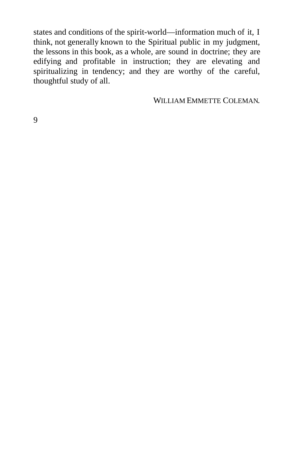states and conditions of the spirit-world—information much of it, I think, not generally known to the Spiritual public in my judgment, the lessons in this book, as a whole, are sound in doctrine; they are edifying and profitable in instruction; they are elevating and spiritualizing in tendency; and they are worthy of the careful, thoughtful study of all.

WILLIAM EMMETTE COLEMAN.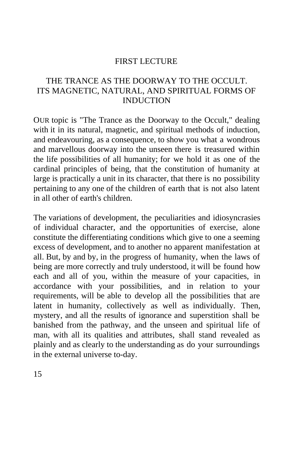#### FIRST LECTURE

#### THE TRANCE AS THE DOORWAY TO THE OCCULT. ITS MAGNETIC, NATURAL, AND SPIRITUAL FORMS OF **INDUCTION**

OUR topic is "The Trance as the Doorway to the Occult," dealing with it in its natural, magnetic, and spiritual methods of induction, and endeavouring, as a consequence, to show you what a wondrous and marvellous doorway into the unseen there is treasured within the life possibilities of all humanity; for we hold it as one of the cardinal principles of being, that the constitution of humanity at large is practically a unit in its character, that there is no possibility pertaining to any one of the children of earth that is not also latent in all other of earth's children.

The variations of development, the peculiarities and idiosyncrasies of individual character, and the opportunities of exercise, alone constitute the differentiating conditions which give to one a seeming excess of development, and to another no apparent manifestation at all. But, by and by, in the progress of humanity, when the laws of being are more correctly and truly understood, it will be found how each and all of you, within the measure of your capacities, in accordance with your possibilities, and in relation to your requirements, will be able to develop all the possibilities that are latent in humanity, collectively as well as individually. Then, mystery, and all the results of ignorance and superstition shall be banished from the pathway, and the unseen and spiritual life of man, with all its qualities and attributes, shall stand revealed as plainly and as clearly to the understanding as do your surroundings in the external universe to-day.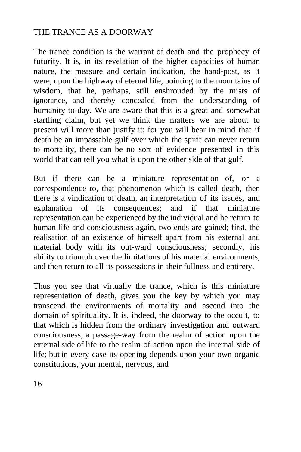## THE TRANCE AS A DOORWAY

The trance condition is the warrant of death and the prophecy of futurity. It is, in its revelation of the higher capacities of human nature, the measure and certain indication, the hand-post, as it were, upon the highway of eternal life, pointing to the mountains of wisdom, that he, perhaps, still enshrouded by the mists of ignorance, and thereby concealed from the understanding of humanity to-day. We are aware that this is a great and somewhat startling claim, but yet we think the matters we are about to present will more than justify it; for you will bear in mind that if death be an impassable gulf over which the spirit can never return to mortality, there can be no sort of evidence presented in this world that can tell you what is upon the other side of that gulf.

But if there can be a miniature representation of, or a correspondence to, that phenomenon which is called death, then there is a vindication of death, an interpretation of its issues, and explanation of its consequences; and if that miniature representation can be experienced by the individual and he return to human life and consciousness again, two ends are gained; first, the realisation of an existence of himself apart from his external and material body with its out-ward consciousness; secondly, his ability to triumph over the limitations of his material environments, and then return to all its possessions in their fullness and entirety.

Thus you see that virtually the trance, which is this miniature representation of death, gives you the key by which you may transcend the environments of mortality and ascend into the domain of spirituality. It is, indeed, the doorway to the occult, to that which is hidden from the ordinary investigation and outward consciousness; a passage-way from the realm of action upon the external side of life to the realm of action upon the internal side of life; but in every case its opening depends upon your own organic constitutions, your mental, nervous, and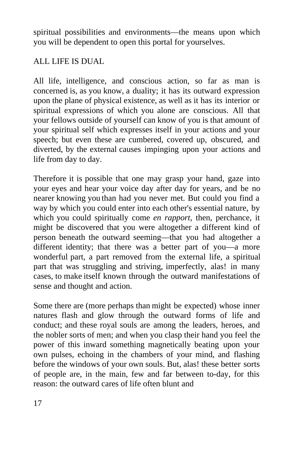spiritual possibilities and environments—the means upon which you will be dependent to open this portal for yourselves.

## ALL LIFE IS DUAL

All life, intelligence, and conscious action, so far as man is concerned is, as you know, a duality; it has its outward expression upon the plane of physical existence, as well as it has its interior or spiritual expressions of which you alone are conscious. All that your fellows outside of yourself can know of you is that amount of your spiritual self which expresses itself in your actions and your speech; but even these are cumbered, covered up, obscured, and diverted, by the external causes impinging upon your actions and life from day to day.

Therefore it is possible that one may grasp your hand, gaze into your eyes and hear your voice day after day for years, and be no nearer knowing you than had you never met. But could you find a way by which you could enter into each other's essential nature, by which you could spiritually come *en rapport,* then, perchance, it might be discovered that you were altogether a different kind of person beneath the outward seeming—that you had altogether a different identity; that there was a better part of you—a more wonderful part, a part removed from the external life, a spiritual part that was struggling and striving, imperfectly, alas! in many cases, to make itself known through the outward manifestations of sense and thought and action.

Some there are (more perhaps than might be expected) whose inner natures flash and glow through the outward forms of life and conduct; and these royal souls are among the leaders, heroes, and the nobler sorts of men; and when you clasp their hand you feel the power of this inward something magnetically beating upon your own pulses, echoing in the chambers of your mind, and flashing before the windows of your own souls. But, alas! these better sorts of people are, in the main, few and far between to-day, for this reason: the outward cares of life often blunt and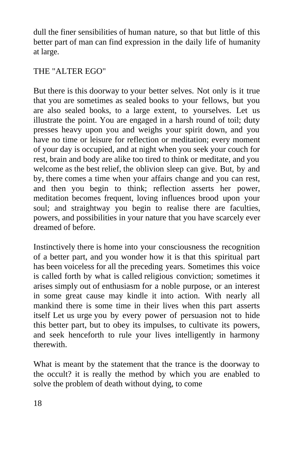dull the finer sensibilities of human nature, so that but little of this better part of man can find expression in the daily life of humanity at large.

#### THE "ALTER EGO"

But there is this doorway to your better selves. Not only is it true that you are sometimes as sealed books to your fellows, but you are also sealed books, to a large extent, to yourselves. Let us illustrate the point. You are engaged in a harsh round of toil; duty presses heavy upon you and weighs your spirit down, and you have no time or leisure for reflection or meditation; every moment of your day is occupied, and at night when you seek your couch for rest, brain and body are alike too tired to think or meditate, and you welcome as the best relief, the oblivion sleep can give. But, by and by, there comes a time when your affairs change and you can rest, and then you begin to think; reflection asserts her power, meditation becomes frequent, loving influences brood upon your soul; and straightway you begin to realise there are faculties, powers, and possibilities in your nature that you have scarcely ever dreamed of before.

Instinctively there is home into your consciousness the recognition of a better part, and you wonder how it is that this spiritual part has been voiceless for all the preceding years. Sometimes this voice is called forth by what is called religious conviction; sometimes it arises simply out of enthusiasm for a noble purpose, or an interest in some great cause may kindle it into action. With nearly all mankind there is some time in their lives when this part asserts itself Let us urge you by every power of persuasion not to hide this better part, but to obey its impulses, to cultivate its powers, and seek henceforth to rule your lives intelligently in harmony therewith.

What is meant by the statement that the trance is the doorway to the occult? it is really the method by which you are enabled to solve the problem of death without dying, to come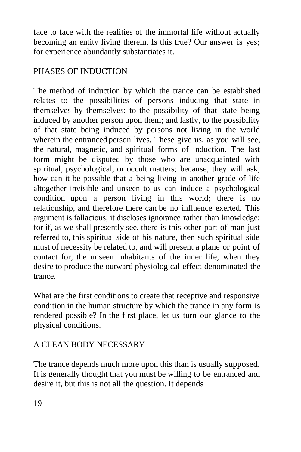face to face with the realities of the immortal life without actually becoming an entity living therein. Is this true? Our answer is yes; for experience abundantly substantiates it.

## PHASES OF INDUCTION

The method of induction by which the trance can be established relates to the possibilities of persons inducing that state in themselves by themselves; to the possibility of that state being induced by another person upon them; and lastly, to the possibility of that state being induced by persons not living in the world wherein the entranced person lives. These give us, as you will see, the natural, magnetic, and spiritual forms of induction. The last form might be disputed by those who are unacquainted with spiritual, psychological, or occult matters; because, they will ask, how can it be possible that a being living in another grade of life altogether invisible and unseen to us can induce a psychological condition upon a person living in this world; there is no relationship, and therefore there can be no influence exerted. This argument is fallacious; it discloses ignorance rather than knowledge; for if, as we shall presently see, there is this other part of man just referred to, this spiritual side of his nature, then such spiritual side must of necessity be related to, and will present a plane or point of contact for, the unseen inhabitants of the inner life, when they desire to produce the outward physiological effect denominated the trance.

What are the first conditions to create that receptive and responsive condition in the human structure by which the trance in any form is rendered possible? In the first place, let us turn our glance to the physical conditions.

## A CLEAN BODY NECESSARY

The trance depends much more upon this than is usually supposed. It is generally thought that you must be willing to be entranced and desire it, but this is not all the question. It depends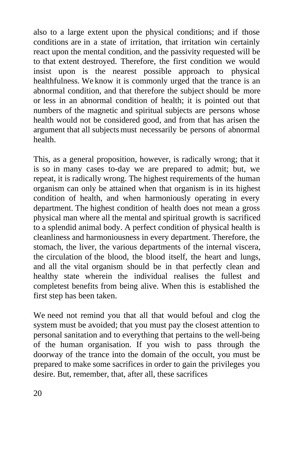also to a large extent upon the physical conditions; and if those conditions are in a state of irritation, that irritation win certainly react upon the mental condition, and the passivity requested will be to that extent destroyed. Therefore, the first condition we would insist upon is the nearest possible approach to physical healthfulness. We know it is commonly urged that the trance is an abnormal condition, and that therefore the subject should be more or less in an abnormal condition of health; it is pointed out that numbers of the magnetic and spiritual subjects are persons whose health would not be considered good, and from that has arisen the argument that all subjects must necessarily be persons of abnormal health.

This, as a general proposition, however, is radically wrong; that it is so in many cases to-day we are prepared to admit; but, we repeat, it is radically wrong. The highest requirements of the human organism can only be attained when that organism is in its highest condition of health, and when harmoniously operating in every department. The highest condition of health does not mean a gross physical man where all the mental and spiritual growth is sacrificed to a splendid animal body. A perfect condition of physical health is cleanliness and harmoniousness in every department. Therefore, the stomach, the liver, the various departments of the internal viscera, the circulation of the blood, the blood itself, the heart and lungs, and all the vital organism should be in that perfectly clean and healthy state wherein the individual realises the fullest and completest benefits from being alive. When this is established the first step has been taken.

We need not remind you that all that would befoul and clog the system must be avoided; that you must pay the closest attention to personal sanitation and to everything that pertains to the well-being of the human organisation. If you wish to pass through the doorway of the trance into the domain of the occult, you must be prepared to make some sacrifices in order to gain the privileges you desire. But, remember, that, after all, these sacrifices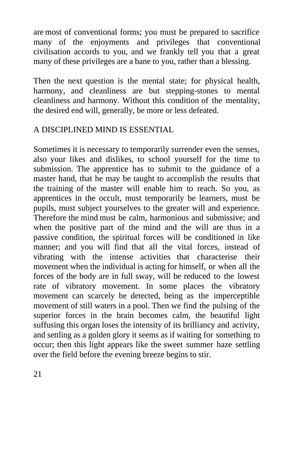are most of conventional forms; you must be prepared to sacrifice many of the enjoyments and privileges that conventional civilisation accords to you, and we frankly tell you that a great many of these privileges are a bane to you, rather than a blessing.

Then the next question is the mental state; for physical health, harmony, and cleanliness are but stepping-stones to mental cleanliness and harmony. Without this condition of the mentality, the desired end will, generally, be more or less defeated.

## A DISCIPLINED MIND IS ESSENTIAL

Sometimes it is necessary to temporarily surrender even the senses, also your likes and dislikes, to school yourself for the time to submission. The apprentice has to submit to the guidance of a master hand, that he may be taught to accomplish the results that the training of the master will enable him to reach. So you, as apprentices in the occult, must temporarily be learners, must be pupils, must subject yourselves to the greater will and experience. Therefore the mind must be calm, harmonious and submissive; and when the positive part of the mind and the will are thus in a passive condition, the spiritual forces will be conditioned in like manner; and you will find that all the vital forces, instead of vibrating with the intense activities that characterise their movement when the individual is acting for himself, or when all the forces of the body are in full sway, will be reduced to the lowest rate of vibratory movement. In some places the vibratory movement can scarcely be detected, being as the imperceptible movement of still waters in a pool. Then we find the pulsing of the superior forces in the brain becomes calm, the beautiful light suffusing this organ loses the intensity of its brilliancy and activity, and settling as a golden glory it seems as if waiting for something to occur; then this light appears like the sweet summer haze settling over the field before the evening breeze begins to stir.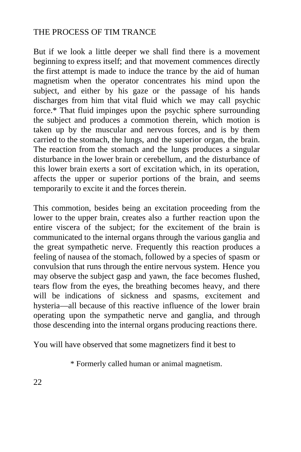#### THE PROCESS OF TIM TRANCE

But if we look a little deeper we shall find there is a movement beginning to express itself; and that movement commences directly the first attempt is made to induce the trance by the aid of human magnetism when the operator concentrates his mind upon the subject, and either by his gaze or the passage of his hands discharges from him that vital fluid which we may call psychic force.\* That fluid impinges upon the psychic sphere surrounding the subject and produces a commotion therein, which motion is taken up by the muscular and nervous forces, and is by them carried to the stomach, the lungs, and the superior organ, the brain. The reaction from the stomach and the lungs produces a singular disturbance in the lower brain or cerebellum, and the disturbance of this lower brain exerts a sort of excitation which, in its operation, affects the upper or superior portions of the brain, and seems temporarily to excite it and the forces therein.

This commotion, besides being an excitation proceeding from the lower to the upper brain, creates also a further reaction upon the entire viscera of the subject; for the excitement of the brain is communicated to the internal organs through the various ganglia and the great sympathetic nerve. Frequently this reaction produces a feeling of nausea of the stomach, followed by a species of spasm or convulsion that runs through the entire nervous system. Hence you may observe the subject gasp and yawn, the face becomes flushed, tears flow from the eyes, the breathing becomes heavy, and there will be indications of sickness and spasms, excitement and hysteria—all because of this reactive influence of the lower brain operating upon the sympathetic nerve and ganglia, and through those descending into the internal organs producing reactions there.

You will have observed that some magnetizers find it best to

\* Formerly called human or animal magnetism.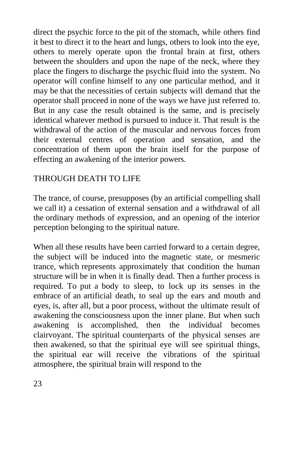direct the psychic force to the pit of the stomach, while others find it best to direct it to the heart and lungs, others to look into the eye, others to merely operate upon the frontal brain at first, others between the shoulders and upon the nape of the neck, where they place the fingers to discharge the psychic fluid into the system. No operator will confine himself to any one particular method, and it may be that the necessities of certain subjects will demand that the operator shall proceed in none of the ways we have just referred to. But in any case the result obtained is the same, and is precisely identical whatever method is pursued to induce it. That result is the withdrawal of the action of the muscular and nervous forces from their external centres of operation and sensation, and the concentration of them upon the brain itself for the purpose of effecting an awakening of the interior powers.

## THROUGH DEATH TO LIFE

The trance, of course, presupposes (by an artificial compelling shall we call it) a cessation of external sensation and a withdrawal of all the ordinary methods of expression, and an opening of the interior perception belonging to the spiritual nature.

When all these results have been carried forward to a certain degree, the subject will be induced into the magnetic state, or mesmeric trance, which represents approximately that condition the human structure will be in when it is finally dead. Then a further process is required. To put a body to sleep, to lock up its senses in the embrace of an artificial death, to seal up the ears and mouth and eyes, is, after all, but a poor process, without the ultimate result of awakening the consciousness upon the inner plane. But when such awakening is accomplished, then the individual becomes clairvoyant. The spiritual counterparts of the physical senses are then awakened, so that the spiritual eye will see spiritual things, the spiritual ear will receive the vibrations of the spiritual atmosphere, the spiritual brain will respond to the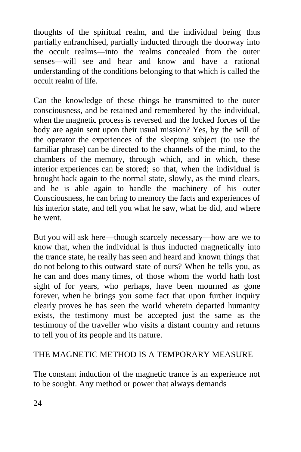thoughts of the spiritual realm, and the individual being thus partially enfranchised, partially inducted through the doorway into the occult realms—into the realms concealed from the outer senses—will see and hear and know and have a rational understanding of the conditions belonging to that which is called the occult realm of life.

Can the knowledge of these things be transmitted to the outer consciousness, and be retained and remembered by the individual, when the magnetic process is reversed and the locked forces of the body are again sent upon their usual mission? Yes, by the will of the operator the experiences of the sleeping subject (to use the familiar phrase) can be directed to the channels of the mind, to the chambers of the memory, through which, and in which, these interior experiences can be stored; so that, when the individual is brought back again to the normal state, slowly, as the mind clears, and he is able again to handle the machinery of his outer Consciousness, he can bring to memory the facts and experiences of his interior state, and tell you what he saw, what he did, and where he went.

But you will ask here—though scarcely necessary—how are we to know that, when the individual is thus inducted magnetically into the trance state, he really has seen and heard and known things that do not belong to this outward state of ours? When he tells you, as he can and does many times, of those whom the world hath lost sight of for years, who perhaps, have been mourned as gone forever, when he brings you some fact that upon further inquiry clearly proves he has seen the world wherein departed humanity exists, the testimony must be accepted just the same as the testimony of the traveller who visits a distant country and returns to tell you of its people and its nature.

## THE MAGNETIC METHOD IS A TEMPORARY MEASURE

The constant induction of the magnetic trance is an experience not to be sought. Any method or power that always demands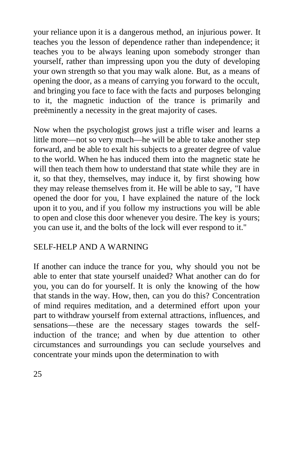your reliance upon it is a dangerous method, an injurious power. It teaches you the lesson of dependence rather than independence; it teaches you to be always leaning upon somebody stronger than yourself, rather than impressing upon you the duty of developing your own strength so that you may walk alone. But, as a means of opening the door, as a means of carrying you forward to the occult, and bringing you face to face with the facts and purposes belonging to it, the magnetic induction of the trance is primarily and preëminently a necessity in the great majority of cases.

Now when the psychologist grows just a trifle wiser and learns a little more—not so very much—he will be able to take another step forward, and be able to exalt his subjects to a greater degree of value to the world. When he has induced them into the magnetic state he will then teach them how to understand that state while they are in it, so that they, themselves, may induce it, by first showing how they may release themselves from it. He will be able to say, "I have opened the door for you, I have explained the nature of the lock upon it to you, and if you follow my instructions you will be able to open and close this door whenever you desire. The key is yours; you can use it, and the bolts of the lock will ever respond to it."

## SELF-HELP AND A WARNING

If another can induce the trance for you, why should you not be able to enter that state yourself unaided? What another can do for you, you can do for yourself. It is only the knowing of the how that stands in the way. How, then, can you do this? Concentration of mind requires meditation, and a determined effort upon your part to withdraw yourself from external attractions, influences, and sensations—these are the necessary stages towards the selfinduction of the trance; and when by due attention to other circumstances and surroundings you can seclude yourselves and concentrate your minds upon the determination to with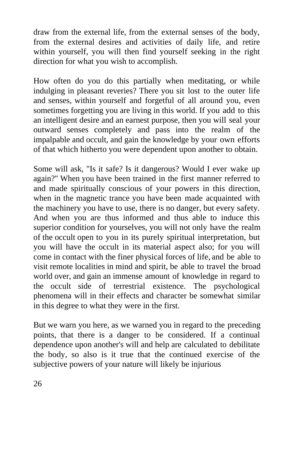draw from the external life, from the external senses of the body, from the external desires and activities of daily life, and retire within yourself, you will then find yourself seeking in the right direction for what you wish to accomplish.

How often do you do this partially when meditating, or while indulging in pleasant reveries? There you sit lost to the outer life and senses, within yourself and forgetful of all around you, even sometimes forgetting you are living in this world. If you add to this an intelligent desire and an earnest purpose, then you will seal your outward senses completely and pass into the realm of the impalpable and occult, and gain the knowledge by your own efforts of that which hitherto you were dependent upon another to obtain.

Some will ask, "Is it safe? Is it dangerous? Would I ever wake up again?" When you have been trained in the first manner referred to and made spiritually conscious of your powers in this direction, when in the magnetic trance you have been made acquainted with the machinery you have to use, there is no danger, but every safety. And when you are thus informed and thus able to induce this superior condition for yourselves, you will not only have the realm of the occult open to you in its purely spiritual interpretation, but you will have the occult in its material aspect also; for you will come in contact with the finer physical forces of life, and be able to visit remote localities in mind and spirit, be able to travel the broad world over, and gain an immense amount of knowledge in regard to the occult side of terrestrial existence. The psychological phenomena will in their effects and character be somewhat similar in this degree to what they were in the first.

But we warn you here, as we warned you in regard to the preceding points, that there is a danger to be considered. If a continual dependence upon another's will and help are calculated to debilitate the body, so also is it true that the continued exercise of the subjective powers of your nature will likely be injurious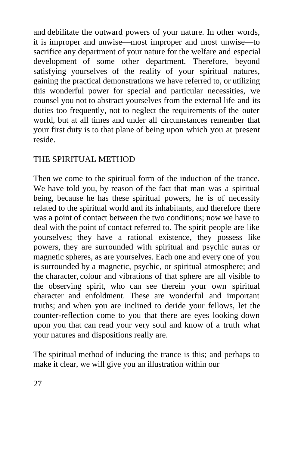and debilitate the outward powers of your nature. In other words, it is improper and unwise—most improper and most unwise—to sacrifice any department of your nature for the welfare and especial development of some other department. Therefore, beyond satisfying yourselves of the reality of your spiritual natures, gaining the practical demonstrations we have referred to, or utilizing this wonderful power for special and particular necessities, we counsel you not to abstract yourselves from the external life and its duties too frequently, not to neglect the requirements of the outer world, but at all times and under all circumstances remember that your first duty is to that plane of being upon which you at present reside.

## THE SPIRITUAL METHOD

Then we come to the spiritual form of the induction of the trance. We have told you, by reason of the fact that man was a spiritual being, because he has these spiritual powers, he is of necessity related to the spiritual world and its inhabitants, and therefore there was a point of contact between the two conditions; now we have to deal with the point of contact referred to. The spirit people are like yourselves; they have a rational existence, they possess like powers, they are surrounded with spiritual and psychic auras or magnetic spheres, as are yourselves. Each one and every one of you is surrounded by a magnetic, psychic, or spiritual atmosphere; and the character, colour and vibrations of that sphere are all visible to the observing spirit, who can see therein your own spiritual character and enfoldment. These are wonderful and important truths; and when you are inclined to deride your fellows, let the counter-reflection come to you that there are eyes looking down upon you that can read your very soul and know of a truth what your natures and dispositions really are.

The spiritual method of inducing the trance is this; and perhaps to make it clear, we will give you an illustration within our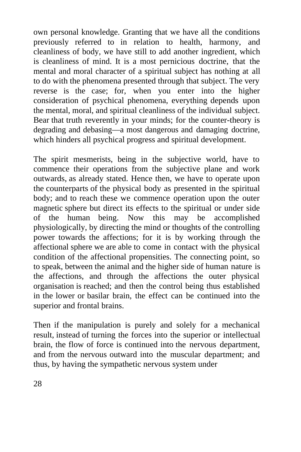own personal knowledge. Granting that we have all the conditions previously referred to in relation to health, harmony, and cleanliness of body, we have still to add another ingredient, which is cleanliness of mind. It is a most pernicious doctrine, that the mental and moral character of a spiritual subject has nothing at all to do with the phenomena presented through that subject. The very reverse is the case; for, when you enter into the higher consideration of psychical phenomena, everything depends upon the mental, moral, and spiritual cleanliness of the individual subject. Bear that truth reverently in your minds; for the counter-theory is degrading and debasing—a most dangerous and damaging doctrine, which hinders all psychical progress and spiritual development.

The spirit mesmerists, being in the subjective world, have to commence their operations from the subjective plane and work outwards, as already stated. Hence then, we have to operate upon the counterparts of the physical body as presented in the spiritual body; and to reach these we commence operation upon the outer magnetic sphere but direct its effects to the spiritual or under side of the human being. Now this may be accomplished physiologically, by directing the mind or thoughts of the controlling power towards the affections; for it is by working through the affectional sphere we are able to come in contact with the physical condition of the affectional propensities. The connecting point, so to speak, between the animal and the higher side of human nature is the affections, and through the affections the outer physical organisation is reached; and then the control being thus established in the lower or basilar brain, the effect can be continued into the superior and frontal brains.

Then if the manipulation is purely and solely for a mechanical result, instead of turning the forces into the superior or intellectual brain, the flow of force is continued into the nervous department, and from the nervous outward into the muscular department; and thus, by having the sympathetic nervous system under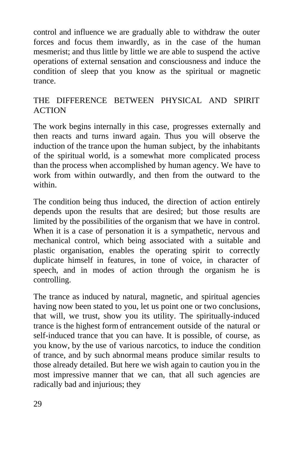control and influence we are gradually able to withdraw the outer forces and focus them inwardly, as in the case of the human mesmerist; and thus little by little we are able to suspend the active operations of external sensation and consciousness and induce the condition of sleep that you know as the spiritual or magnetic trance.

## THE DIFFERENCE BETWEEN PHYSICAL AND SPIRIT ACTION

The work begins internally in this case, progresses externally and then reacts and turns inward again. Thus you will observe the induction of the trance upon the human subject, by the inhabitants of the spiritual world, is a somewhat more complicated process than the process when accomplished by human agency. We have to work from within outwardly, and then from the outward to the within.

The condition being thus induced, the direction of action entirely depends upon the results that are desired; but those results are limited by the possibilities of the organism that we have in control. When it is a case of personation it is a sympathetic, nervous and mechanical control, which being associated with a suitable and plastic organisation, enables the operating spirit to correctly duplicate himself in features, in tone of voice, in character of speech, and in modes of action through the organism he is controlling.

The trance as induced by natural, magnetic, and spiritual agencies having now been stated to you, let us point one or two conclusions, that will, we trust, show you its utility. The spiritually-induced trance is the highest form of entrancement outside of the natural or self-induced trance that you can have. It is possible, of course, as you know, by the use of various narcotics, to induce the condition of trance, and by such abnormal means produce similar results to those already detailed. But here we wish again to caution you in the most impressive manner that we can, that all such agencies are radically bad and injurious; they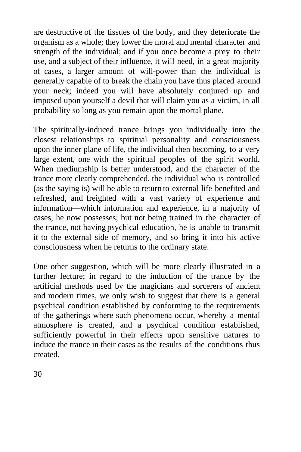are destructive of the tissues of the body, and they deteriorate the organism as a whole; they lower the moral and mental character and strength of the individual; and if you once become a prey to their use, and a subject of their influence, it will need, in a great majority of cases, a larger amount of will-power than the individual is generally capable of to break the chain you have thus placed around your neck; indeed you will have absolutely conjured up and imposed upon yourself a devil that will claim you as a victim, in all probability so long as you remain upon the mortal plane.

The spiritually-induced trance brings you individually into the closest relationships to spiritual personality and consciousness upon the inner plane of life, the individual then becoming, to a very large extent, one with the spiritual peoples of the spirit world. When mediumship is better understood, and the character of the trance more clearly comprehended, the individual who is controlled (as the saying is) will be able to return to external life benefited and refreshed, and freighted with a vast variety of experience and information—which information and experience, in a majority of cases, he now possesses; but not being trained in the character of the trance, not having psychical education, he is unable to transmit it to the external side of memory, and so bring it into his active consciousness when he returns to the ordinary state.

One other suggestion, which will be more clearly illustrated in a further lecture; in regard to the induction of the trance by the artificial methods used by the magicians and sorcerers of ancient and modern times, we only wish to suggest that there is a general psychical condition established by conforming to the requirements of the gatherings where such phenomena occur, whereby a mental atmosphere is created, and a psychical condition established, sufficiently powerful in their effects upon sensitive natures to induce the trance in their cases as the results of the conditions thus created.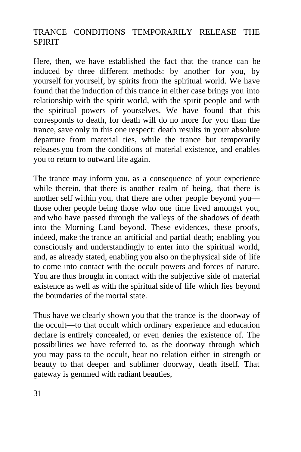## TRANCE CONDITIONS TEMPORARILY RELEASE THE **SPIRIT**

Here, then, we have established the fact that the trance can be induced by three different methods: by another for you, by yourself for yourself, by spirits from the spiritual world. We have found that the induction of this trance in either case brings you into relationship with the spirit world, with the spirit people and with the spiritual powers of yourselves. We have found that this corresponds to death, for death will do no more for you than the trance, save only in this one respect: death results in your absolute departure from material ties, while the trance but temporarily releases you from the conditions of material existence, and enables you to return to outward life again.

The trance may inform you, as a consequence of your experience while therein, that there is another realm of being, that there is another self within you, that there are other people beyond you those other people being those who one time lived amongst you, and who have passed through the valleys of the shadows of death into the Morning Land beyond. These evidences, these proofs, indeed, make the trance an artificial and partial death; enabling you consciously and understandingly to enter into the spiritual world, and, as already stated, enabling you also on the physical side of life to come into contact with the occult powers and forces of nature. You are thus brought in contact with the subjective side of material existence as well as with the spiritual side of life which lies beyond the boundaries of the mortal state.

Thus have we clearly shown you that the trance is the doorway of the occult—to that occult which ordinary experience and education declare is entirely concealed, or even denies the existence of. The possibilities we have referred to, as the doorway through which you may pass to the occult, bear no relation either in strength or beauty to that deeper and sublimer doorway, death itself. That gateway is gemmed with radiant beauties,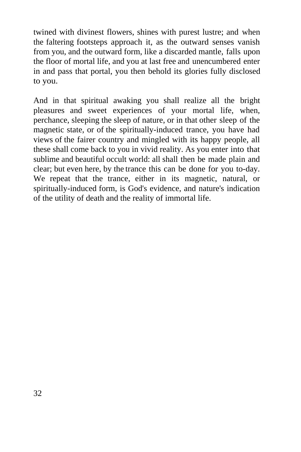twined with divinest flowers, shines with purest lustre; and when the faltering footsteps approach it, as the outward senses vanish from you, and the outward form, like a discarded mantle, falls upon the floor of mortal life, and you at last free and unencumbered enter in and pass that portal, you then behold its glories fully disclosed to you.

And in that spiritual awaking you shall realize all the bright pleasures and sweet experiences of your mortal life, when, perchance, sleeping the sleep of nature, or in that other sleep of the magnetic state, or of the spiritually-induced trance, you have had views of the fairer country and mingled with its happy people, all these shall come back to you in vivid reality. As you enter into that sublime and beautiful occult world: all shall then be made plain and clear; but even here, by the trance this can be done for you to-day. We repeat that the trance, either in its magnetic, natural, or spiritually-induced form, is God's evidence, and nature's indication of the utility of death and the reality of immortal life.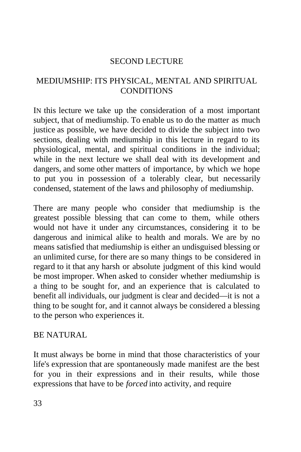#### SECOND LECTURE

## MEDIUMSHIP: ITS PHYSICAL, MENTAL AND SPIRITUAL **CONDITIONS**

IN this lecture we take up the consideration of a most important subject, that of mediumship. To enable us to do the matter as much justice as possible, we have decided to divide the subject into two sections, dealing with mediumship in this lecture in regard to its physiological, mental, and spiritual conditions in the individual; while in the next lecture we shall deal with its development and dangers, and some other matters of importance, by which we hope to put you in possession of a tolerably clear, but necessarily condensed, statement of the laws and philosophy of mediumship.

There are many people who consider that mediumship is the greatest possible blessing that can come to them, while others would not have it under any circumstances, considering it to be dangerous and inimical alike to health and morals. We are by no means satisfied that mediumship is either an undisguised blessing or an unlimited curse, for there are so many things to be considered in regard to it that any harsh or absolute judgment of this kind would be most improper. When asked to consider whether mediumship is a thing to be sought for, and an experience that is calculated to benefit all individuals, our judgment is clear and decided—it is not a thing to be sought for, and it cannot always be considered a blessing to the person who experiences it.

#### BE NATURAL

It must always be borne in mind that those characteristics of your life's expression that are spontaneously made manifest are the best for you in their expressions and in their results, while those expressions that have to be *forced* into activity, and require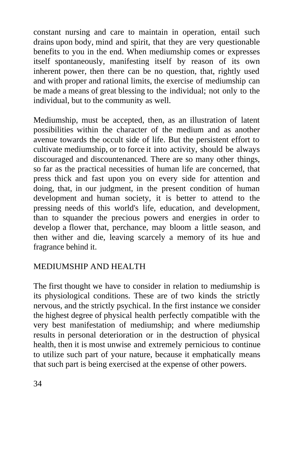constant nursing and care to maintain in operation, entail such drains upon body, mind and spirit, that they are very questionable benefits to you in the end. When mediumship comes or expresses itself spontaneously, manifesting itself by reason of its own inherent power, then there can be no question, that, rightly used and with proper and rational limits, the exercise of mediumship can be made a means of great blessing to the individual; not only to the individual, but to the community as well.

Mediumship, must be accepted, then, as an illustration of latent possibilities within the character of the medium and as another avenue towards the occult side of life. But the persistent effort to cultivate mediumship, or to force it into activity, should be always discouraged and discountenanced. There are so many other things, so far as the practical necessities of human life are concerned, that press thick and fast upon you on every side for attention and doing, that, in our judgment, in the present condition of human development and human society, it is better to attend to the pressing needs of this world's life, education, and development, than to squander the precious powers and energies in order to develop a flower that, perchance, may bloom a little season, and then wither and die, leaving scarcely a memory of its hue and fragrance behind it.

## MEDIUMSHIP AND HEALTH

The first thought we have to consider in relation to mediumship is its physiological conditions. These are of two kinds the strictly nervous, and the strictly psychical. In the first instance we consider the highest degree of physical health perfectly compatible with the very best manifestation of mediumship; and where mediumship results in personal deterioration or in the destruction of physical health, then it is most unwise and extremely pernicious to continue to utilize such part of your nature, because it emphatically means that such part is being exercised at the expense of other powers.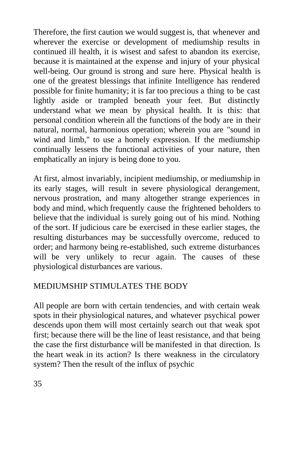Therefore, the first caution we would suggest is, that whenever and wherever the exercise or development of mediumship results in continued ill health, it is wisest and safest to abandon its exercise, because it is maintained at the expense and injury of your physical well-being. Our ground is strong and sure here. Physical health is one of the greatest blessings that infinite Intelligence has rendered possible for finite humanity; it is far too precious a thing to be cast lightly aside or trampled beneath your feet. But distinctly understand what we mean by physical health. It is this: that personal condition wherein all the functions of the body are in their natural, normal, harmonious operation; wherein you are "sound in wind and limb," to use a homely expression. If the mediumship continually lessens the functional activities of your nature, then emphatically an injury is being done to you.

At first, almost invariably, incipient mediumship, or mediumship in its early stages, will result in severe physiological derangement, nervous prostration, and many altogether strange experiences in body and mind, which frequently cause the frightened beholders to believe that the individual is surely going out of his mind. Nothing of the sort. If judicious care be exercised in these earlier stages, the resulting disturbances may be successfully overcome, reduced to order; and harmony being re-established, such extreme disturbances will be very unlikely to recur again. The causes of these physiological disturbances are various.

## MEDIUMSHIP STIMULATES THE BODY

All people are born with certain tendencies, and with certain weak spots in their physiological natures, and whatever psychical power descends upon them will most certainly search out that weak spot first; because there will be the line of least resistance, and that being the case the first disturbance will be manifested in that direction. Is the heart weak in its action? Is there weakness in the circulatory system? Then the result of the influx of psychic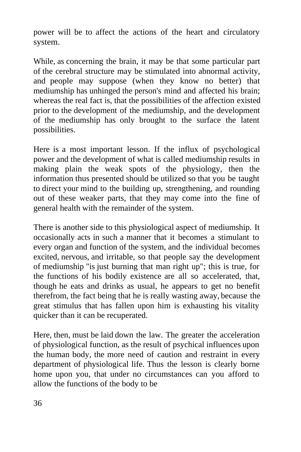power will be to affect the actions of the heart and circulatory system.

While, as concerning the brain, it may be that some particular part of the cerebral structure may be stimulated into abnormal activity, and people may suppose (when they know no better) that mediumship has unhinged the person's mind and affected his brain; whereas the real fact is, that the possibilities of the affection existed prior to the development of the mediumship, and the development of the mediumship has only brought to the surface the latent possibilities.

Here is a most important lesson. If the influx of psychological power and the development of what is called mediumship results in making plain the weak spots of the physiology, then the information thus presented should be utilized so that you be taught to direct your mind to the building up, strengthening, and rounding out of these weaker parts, that they may come into the fine of general health with the remainder of the system.

There is another side to this physiological aspect of mediumship. It occasionally acts in such a manner that it becomes a stimulant to every organ and function of the system, and the individual becomes excited, nervous, and irritable, so that people say the development of mediumship "is just burning that man right up"; this is true, for the functions of his bodily existence are all so accelerated, that, though he eats and drinks as usual, he appears to get no benefit therefrom, the fact being that he is really wasting away, because the great stimulus that has fallen upon him is exhausting his vitality quicker than it can be recuperated.

Here, then, must be laid down the law. The greater the acceleration of physiological function, as the result of psychical influences upon the human body, the more need of caution and restraint in every department of physiological life. Thus the lesson is clearly borne home upon you, that under no circumstances can you afford to allow the functions of the body to be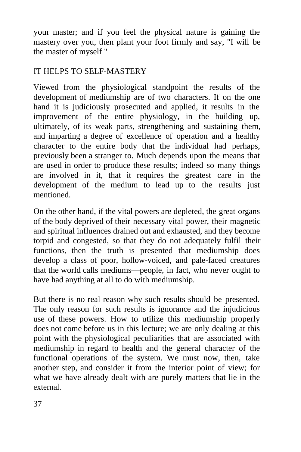your master; and if you feel the physical nature is gaining the mastery over you, then plant your foot firmly and say, "I will be the master of myself "

## IT HELPS TO SELF-MASTERY

Viewed from the physiological standpoint the results of the development of mediumship are of two characters. If on the one hand it is judiciously prosecuted and applied, it results in the improvement of the entire physiology, in the building up, ultimately, of its weak parts, strengthening and sustaining them, and imparting a degree of excellence of operation and a healthy character to the entire body that the individual had perhaps, previously been a stranger to. Much depends upon the means that are used in order to produce these results; indeed so many things are involved in it, that it requires the greatest care in the development of the medium to lead up to the results just mentioned.

On the other hand, if the vital powers are depleted, the great organs of the body deprived of their necessary vital power, their magnetic and spiritual influences drained out and exhausted, and they become torpid and congested, so that they do not adequately fulfil their functions, then the truth is presented that mediumship does develop a class of poor, hollow-voiced, and pale-faced creatures that the world calls mediums—people, in fact, who never ought to have had anything at all to do with mediumship.

But there is no real reason why such results should be presented. The only reason for such results is ignorance and the injudicious use of these powers. How to utilize this mediumship properly does not come before us in this lecture; we are only dealing at this point with the physiological peculiarities that are associated with mediumship in regard to health and the general character of the functional operations of the system. We must now, then, take another step, and consider it from the interior point of view; for what we have already dealt with are purely matters that lie in the external.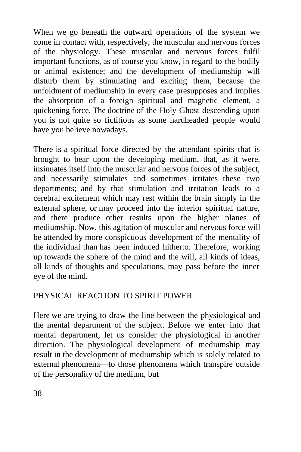When we go beneath the outward operations of the system we come in contact with, respectively, the muscular and nervous forces of the physiology. These muscular and nervous forces fulfil important functions, as of course you know, in regard to the bodily or animal existence; and the development of mediumship will disturb them by stimulating and exciting them, because the unfoldment of mediumship in every case presupposes and implies the absorption of a foreign spiritual and magnetic element, a quickening force. The doctrine of the Holy Ghost descending upon you is not quite so fictitious as some hardheaded people would have you believe nowadays.

There is a spiritual force directed by the attendant spirits that is brought to bear upon the developing medium, that, as it were, insinuates itself into the muscular and nervous forces of the subject, and necessarily stimulates and sometimes irritates these two departments; and by that stimulation and irritation leads to a cerebral excitement which may rest within the brain simply in the external sphere, or may proceed into the interior spiritual nature, and there produce other results upon the higher planes of mediumship. Now, this agitation of muscular and nervous force will be attended by more conspicuous development of the mentality of the individual than has been induced hitherto. Therefore, working up towards the sphere of the mind and the will, all kinds of ideas, all kinds of thoughts and speculations, may pass before the inner eye of the mind.

## PHYSICAL REACTION TO SPIRIT POWER

Here we are trying to draw the line between the physiological and the mental department of the subject. Before we enter into that mental department, let us consider the physiological in another direction. The physiological development of mediumship may result in the development of mediumship which is solely related to external phenomena—to those phenomena which transpire outside of the personality of the medium, but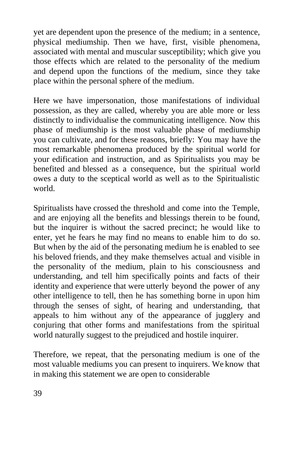yet are dependent upon the presence of the medium; in a sentence, physical mediumship. Then we have, first, visible phenomena, associated with mental and muscular susceptibility; which give you those effects which are related to the personality of the medium and depend upon the functions of the medium, since they take place within the personal sphere of the medium.

Here we have impersonation, those manifestations of individual possession, as they are called, whereby you are able more or less distinctly to individualise the communicating intelligence. Now this phase of mediumship is the most valuable phase of mediumship you can cultivate, and for these reasons, briefly: You may have the most remarkable phenomena produced by the spiritual world for your edification and instruction, and as Spiritualists you may be benefited and blessed as a consequence, but the spiritual world owes a duty to the sceptical world as well as to the Spiritualistic world.

Spiritualists have crossed the threshold and come into the Temple, and are enjoying all the benefits and blessings therein to be found, but the inquirer is without the sacred precinct; he would like to enter, yet he fears he may find no means to enable him to do so. But when by the aid of the personating medium he is enabled to see his beloved friends, and they make themselves actual and visible in the personality of the medium, plain to his consciousness and understanding, and tell him specifically points and facts of their identity and experience that were utterly beyond the power of any other intelligence to tell, then he has something borne in upon him through the senses of sight, of hearing and understanding, that appeals to him without any of the appearance of jugglery and conjuring that other forms and manifestations from the spiritual world naturally suggest to the prejudiced and hostile inquirer.

Therefore, we repeat, that the personating medium is one of the most valuable mediums you can present to inquirers. We know that in making this statement we are open to considerable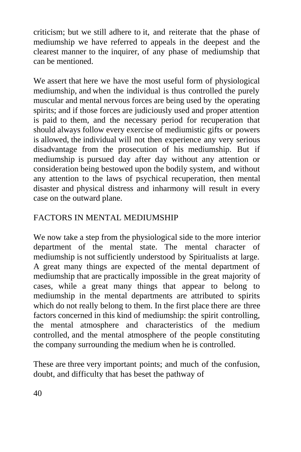criticism; but we still adhere to it, and reiterate that the phase of mediumship we have referred to appeals in the deepest and the clearest manner to the inquirer, of any phase of mediumship that can be mentioned.

We assert that here we have the most useful form of physiological mediumship, and when the individual is thus controlled the purely muscular and mental nervous forces are being used by the operating spirits; and if those forces are judiciously used and proper attention is paid to them, and the necessary period for recuperation that should always follow every exercise of mediumistic gifts or powers is allowed, the individual will not then experience any very serious disadvantage from the prosecution of his mediumship. But if mediumship is pursued day after day without any attention or consideration being bestowed upon the bodily system, and without any attention to the laws of psychical recuperation, then mental disaster and physical distress and inharmony will result in every case on the outward plane.

## FACTORS IN MENTAL MEDIUMSHIP

We now take a step from the physiological side to the more interior department of the mental state. The mental character of mediumship is not sufficiently understood by Spiritualists at large. A great many things are expected of the mental department of mediumship that are practically impossible in the great majority of cases, while a great many things that appear to belong to mediumship in the mental departments are attributed to spirits which do not really belong to them. In the first place there are three factors concerned in this kind of mediumship: the spirit controlling, the mental atmosphere and characteristics of the medium controlled, and the mental atmosphere of the people constituting the company surrounding the medium when he is controlled.

These are three very important points; and much of the confusion, doubt, and difficulty that has beset the pathway of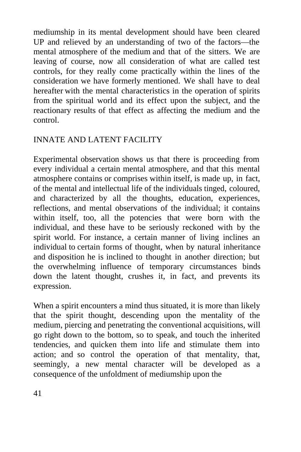mediumship in its mental development should have been cleared UP and relieved by an understanding of two of the factors—the mental atmosphere of the medium and that of the sitters. We are leaving of course, now all consideration of what are called test controls, for they really come practically within the lines of the consideration we have formerly mentioned. We shall have to deal hereafter with the mental characteristics in the operation of spirits from the spiritual world and its effect upon the subject, and the reactionary results of that effect as affecting the medium and the control.

## INNATE AND LATENT FACILITY

Experimental observation shows us that there is proceeding from every individual a certain mental atmosphere, and that this mental atmosphere contains or comprises within itself, is made up, in fact, of the mental and intellectual life of the individuals tinged, coloured, and characterized by all the thoughts, education, experiences, reflections, and mental observations of the individual; it contains within itself, too, all the potencies that were born with the individual, and these have to be seriously reckoned with by the spirit world. For instance, a certain manner of living inclines an individual to certain forms of thought, when by natural inheritance and disposition he is inclined to thought in another direction; but the overwhelming influence of temporary circumstances binds down the latent thought, crushes it, in fact, and prevents its expression.

When a spirit encounters a mind thus situated, it is more than likely that the spirit thought, descending upon the mentality of the medium, piercing and penetrating the conventional acquisitions, will go right down to the bottom, so to speak, and touch the inherited tendencies, and quicken them into life and stimulate them into action; and so control the operation of that mentality, that, seemingly, a new mental character will be developed as a consequence of the unfoldment of mediumship upon the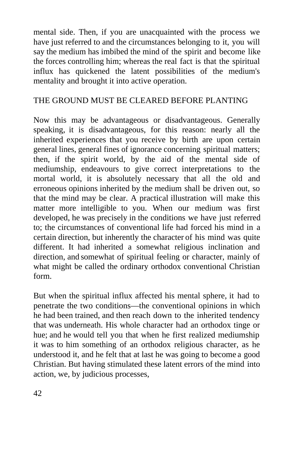mental side. Then, if you are unacquainted with the process we have just referred to and the circumstances belonging to it, you will say the medium has imbibed the mind of the spirit and become like the forces controlling him; whereas the real fact is that the spiritual influx has quickened the latent possibilities of the medium's mentality and brought it into active operation.

#### THE GROUND MUST BE CLEARED BEFORE PLANTING

Now this may be advantageous or disadvantageous. Generally speaking, it is disadvantageous, for this reason: nearly all the inherited experiences that you receive by birth are upon certain general lines, general fines of ignorance concerning spiritual matters; then, if the spirit world, by the aid of the mental side of mediumship, endeavours to give correct interpretations to the mortal world, it is absolutely necessary that all the old and erroneous opinions inherited by the medium shall be driven out, so that the mind may be clear. A practical illustration will make this matter more intelligible to you. When our medium was first developed, he was precisely in the conditions we have just referred to; the circumstances of conventional life had forced his mind in a certain direction, but inherently the character of his mind was quite different. It had inherited a somewhat religious inclination and direction, and somewhat of spiritual feeling or character, mainly of what might be called the ordinary orthodox conventional Christian form.

But when the spiritual influx affected his mental sphere, it had to penetrate the two conditions—the conventional opinions in which he had been trained, and then reach down to the inherited tendency that was underneath. His whole character had an orthodox tinge or hue; and he would tell you that when he first realized mediumship it was to him something of an orthodox religious character, as he understood it, and he felt that at last he was going to become a good Christian. But having stimulated these latent errors of the mind into action, we, by judicious processes,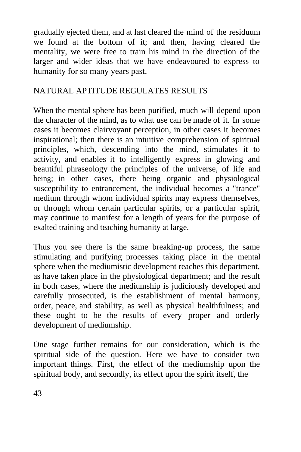gradually ejected them, and at last cleared the mind of the residuum we found at the bottom of it; and then, having cleared the mentality, we were free to train his mind in the direction of the larger and wider ideas that we have endeavoured to express to humanity for so many years past.

## NATURAL APTITUDE REGULATES RESULTS

When the mental sphere has been purified, much will depend upon the character of the mind, as to what use can be made of it. In some cases it becomes clairvoyant perception, in other cases it becomes inspirational; then there is an intuitive comprehension of spiritual principles, which, descending into the mind, stimulates it to activity, and enables it to intelligently express in glowing and beautiful phraseology the principles of the universe, of life and being; in other cases, there being organic and physiological susceptibility to entrancement, the individual becomes a "trance" medium through whom individual spirits may express themselves, or through whom certain particular spirits, or a particular spirit, may continue to manifest for a length of years for the purpose of exalted training and teaching humanity at large.

Thus you see there is the same breaking-up process, the same stimulating and purifying processes taking place in the mental sphere when the mediumistic development reaches this department, as have taken place in the physiological department; and the result in both cases, where the mediumship is judiciously developed and carefully prosecuted, is the establishment of mental harmony, order, peace, and stability, as well as physical healthfulness; and these ought to be the results of every proper and orderly development of mediumship.

One stage further remains for our consideration, which is the spiritual side of the question. Here we have to consider two important things. First, the effect of the mediumship upon the spiritual body, and secondly, its effect upon the spirit itself, the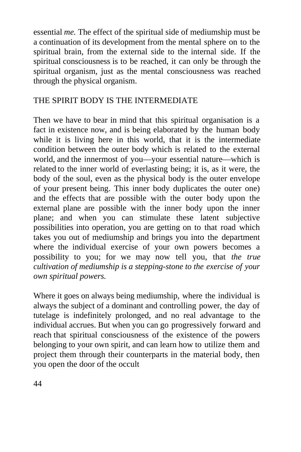essential *me.* The effect of the spiritual side of mediumship must be a continuation of its development from the mental sphere on to the spiritual brain, from the external side to the internal side. If the spiritual consciousness is to be reached, it can only be through the spiritual organism, just as the mental consciousness was reached through the physical organism.

#### THE SPIRIT BODY IS THE INTERMEDIATE

Then we have to bear in mind that this spiritual organisation is a fact in existence now, and is being elaborated by the human body while it is living here in this world, that it is the intermediate condition between the outer body which is related to the external world, and the innermost of you—your essential nature—which is related to the inner world of everlasting being; it is, as it were, the body of the soul, even as the physical body is the outer envelope of your present being. This inner body duplicates the outer one) and the effects that are possible with the outer body upon the external plane are possible with the inner body upon the inner plane; and when you can stimulate these latent subjective possibilities into operation, you are getting on to that road which takes you out of mediumship and brings you into the department where the individual exercise of your own powers becomes a possibility to you; for we may now tell you, that *the true cultivation of mediumship is a stepping-stone to the exercise of your own spiritual powers.*

Where it goes on always being mediumship, where the individual is always the subject of a dominant and controlling power, the day of tutelage is indefinitely prolonged, and no real advantage to the individual accrues. But when you can go progressively forward and reach that spiritual consciousness of the existence of the powers belonging to your own spirit, and can learn how to utilize them and project them through their counterparts in the material body, then you open the door of the occult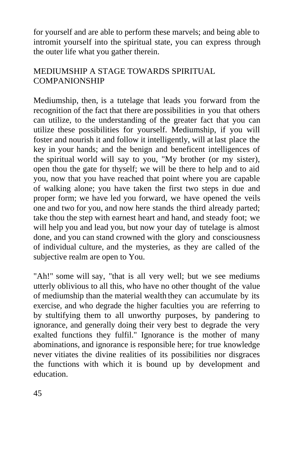for yourself and are able to perform these marvels; and being able to intromit yourself into the spiritual state, you can express through the outer life what you gather therein.

## MEDIUMSHIP A STAGE TOWARDS SPIRITUAL COMPANIONSHIP

Mediumship, then, is a tutelage that leads you forward from the recognition of the fact that there are possibilities in you that others can utilize, to the understanding of the greater fact that you can utilize these possibilities for yourself. Mediumship, if you will foster and nourish it and follow it intelligently, will at last place the key in your hands; and the benign and beneficent intelligences of the spiritual world will say to you, "My brother (or my sister), open thou the gate for thyself; we will be there to help and to aid you, now that you have reached that point where you are capable of walking alone; you have taken the first two steps in due and proper form; we have led you forward, we have opened the veils one and two for you, and now here stands the third already parted; take thou the step with earnest heart and hand, and steady foot; we will help you and lead you, but now your day of tutelage is almost done, and you can stand crowned with the glory and consciousness of individual culture, and the mysteries, as they are called of the subjective realm are open to You.

"Ah!" some will say, "that is all very well; but we see mediums utterly oblivious to all this, who have no other thought of the value of mediumship than the material wealth they can accumulate by its exercise, and who degrade the higher faculties you are referring to by stultifying them to all unworthy purposes, by pandering to ignorance, and generally doing their very best to degrade the very exalted functions they fulfil." Ignorance is the mother of many abominations, and ignorance is responsible here; for true knowledge never vitiates the divine realities of its possibilities nor disgraces the functions with which it is bound up by development and education.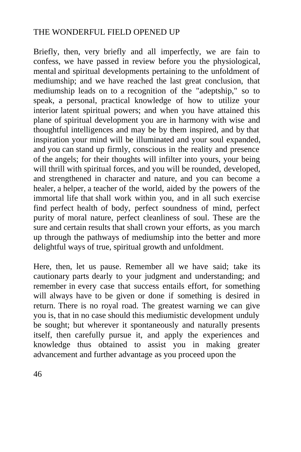#### THE WONDERFUL FIELD OPENED UP

Briefly, then, very briefly and all imperfectly, we are fain to confess, we have passed in review before you the physiological, mental and spiritual developments pertaining to the unfoldment of mediumship; and we have reached the last great conclusion, that mediumship leads on to a recognition of the "adeptship," so to speak, a personal, practical knowledge of how to utilize your interior latent spiritual powers; and when you have attained this plane of spiritual development you are in harmony with wise and thoughtful intelligences and may be by them inspired, and by that inspiration your mind will be illuminated and your soul expanded, and you can stand up firmly, conscious in the reality and presence of the angels; for their thoughts will infilter into yours, your being will thrill with spiritual forces, and you will be rounded, developed, and strengthened in character and nature, and you can become a healer, a helper, a teacher of the world, aided by the powers of the immortal life that shall work within you, and in all such exercise find perfect health of body, perfect soundness of mind, perfect purity of moral nature, perfect cleanliness of soul. These are the sure and certain results that shall crown your efforts, as you march up through the pathways of mediumship into the better and more delightful ways of true, spiritual growth and unfoldment.

Here, then, let us pause. Remember all we have said; take its cautionary parts dearly to your judgment and understanding; and remember in every case that success entails effort, for something will always have to be given or done if something is desired in return. There is no royal road. The greatest warning we can give you is, that in no case should this mediumistic development unduly be sought; but wherever it spontaneously and naturally presents itself, then carefully pursue it, and apply the experiences and knowledge thus obtained to assist you in making greater advancement and further advantage as you proceed upon the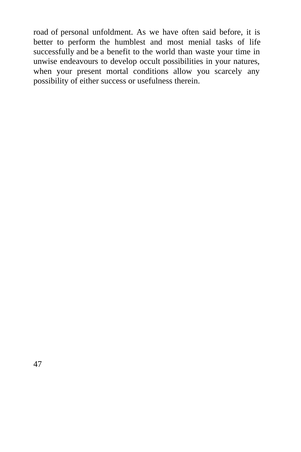road of personal unfoldment. As we have often said before, it is better to perform the humblest and most menial tasks of life successfully and be a benefit to the world than waste your time in unwise endeavours to develop occult possibilities in your natures, when your present mortal conditions allow you scarcely any possibility of either success or usefulness therein.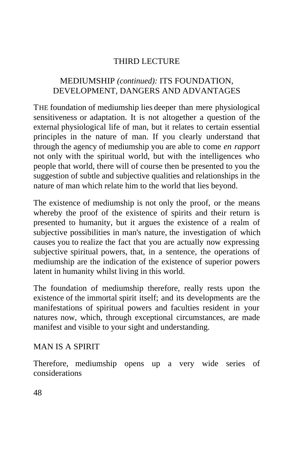# THIRD LECTURE

## MEDIUMSHIP *(continued):* ITS FOUNDATION, DEVELOPMENT, DANGERS AND ADVANTAGES

THE foundation of mediumship lies deeper than mere physiological sensitiveness or adaptation. It is not altogether a question of the external physiological life of man, but it relates to certain essential principles in the nature of man. If you clearly understand that through the agency of mediumship you are able to come *en rapport* not only with the spiritual world, but with the intelligences who people that world, there will of course then be presented to you the suggestion of subtle and subjective qualities and relationships in the nature of man which relate him to the world that lies beyond.

The existence of mediumship is not only the proof, or the means whereby the proof of the existence of spirits and their return is presented to humanity, but it argues the existence of a realm of subjective possibilities in man's nature, the investigation of which causes you to realize the fact that you are actually now expressing subjective spiritual powers, that, in a sentence, the operations of mediumship are the indication of the existence of superior powers latent in humanity whilst living in this world.

The foundation of mediumship therefore, really rests upon the existence of the immortal spirit itself; and its developments are the manifestations of spiritual powers and faculties resident in your natures now, which, through exceptional circumstances, are made manifest and visible to your sight and understanding.

## MAN IS A SPIRIT

Therefore, mediumship opens up a very wide series of considerations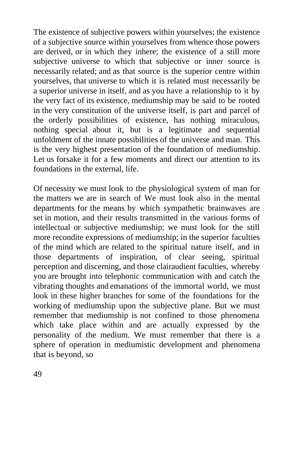The existence of subjective powers within yourselves; the existence of a subjective source within yourselves from whence those powers are derived, or in which they inhere; the existence of a still more subjective universe to which that subjective or inner source is necessarily related; and as that source is the superior centre within yourselves, that universe to which it is related must necessarily be a superior universe in itself, and as you have a relationship to it by the very fact of its existence, mediumship may be said to be rooted in the very constitution of the universe itself, is part and parcel of the orderly possibilities of existence, has nothing miraculous, nothing special about it, but is a legitimate and sequential unfoldment of the innate possibilities of the universe and man. This is the very highest presentation of the foundation of mediumship. Let us forsake it for a few moments and direct our attention to its foundations in the external, life.

Of necessity we must look to the physiological system of man for the matters we are in search of We must look also in the mental departments for the means by which sympathetic brainwaves are set in motion, and their results transmitted in the various forms of intellectual or subjective mediumship; we must look for the still more recondite expressions of mediumship; in the superior faculties of the mind which are related to the spiritual nature itself, and in those departments of inspiration, of clear seeing, spiritual perception and discerning, and those clairaudient faculties, whereby you are brought into telephonic communication with and catch the vibrating thoughts and emanations of the immortal world, we must look in these higher branches for some of the foundations for the working of mediumship upon the subjective plane. But we must remember that mediumship is not confined to those phenomena which take place within and are actually expressed by the personality of the medium. We must remember that there is a sphere of operation in mediumistic development and phenomena that is beyond, so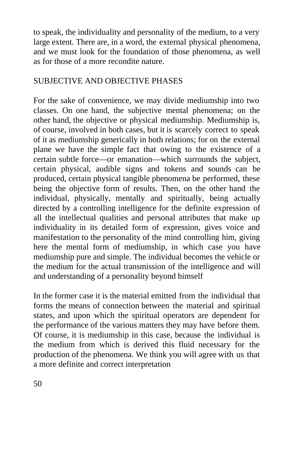to speak, the individuality and personality of the medium, to a very large extent. There are, in a word, the external physical phenomena, and we must look for the foundation of those phenomena, as well as for those of a more recondite nature.

## SUBJECTIVE AND OBJECTIVE PHASES

For the sake of convenience, we may divide mediumship into two classes. On one hand, the subjective mental phenomena; on the other hand, the objective or physical mediumship. Mediumship is, of course, involved in both cases, but it is scarcely correct to speak of it as mediumship generically in both relations; for on the external plane we have the simple fact that owing to the existence of a certain subtle force—or emanation—which surrounds the subject, certain physical, audible signs and tokens and sounds can be produced, certain physical tangible phenomena be performed, these being the objective form of results. Then, on the other hand the individual, physically, mentally and spiritually, being actually directed by a controlling intelligence for the definite expression of all the intellectual qualities and personal attributes that make up individuality in its detailed form of expression, gives voice and manifestation to the personality of the mind controlling him, giving here the mental form of mediumship, in which case you have mediumship pure and simple. The individual becomes the vehicle or the medium for the actual transmission of the intelligence and will and understanding of a personality beyond himself

In the former case it is the material emitted from the individual that forms the means of connection between the material and spiritual states, and upon which the spiritual operators are dependent for the performance of the various matters they may have before them. Of course, it is mediumship in this case, because the individual is the medium from which is derived this fluid necessary for the production of the phenomena. We think you will agree with us that a more definite and correct interpretation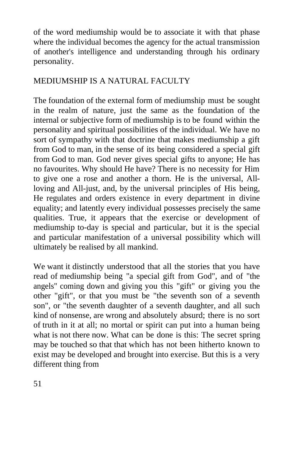of the word mediumship would be to associate it with that phase where the individual becomes the agency for the actual transmission of another's intelligence and understanding through his ordinary personality.

# MEDIUMSHIP IS A NATURAL FACULTY

The foundation of the external form of mediumship must be sought in the realm of nature, just the same as the foundation of the internal or subjective form of mediumship is to be found within the personality and spiritual possibilities of the individual. We have no sort of sympathy with that doctrine that makes mediumship a gift from God to man, in the sense of its being considered a special gift from God to man. God never gives special gifts to anyone; He has no favourites. Why should He have? There is no necessity for Him to give one a rose and another a thorn. He is the universal, Allloving and All-just, and, by the universal principles of His being, He regulates and orders existence in every department in divine equality; and latently every individual possesses precisely the same qualities. True, it appears that the exercise or development of mediumship to-day is special and particular, but it is the special and particular manifestation of a universal possibility which will ultimately be realised by all mankind.

We want it distinctly understood that all the stories that you have read of mediumship being "a special gift from God", and of "the angels" coming down and giving you this "gift" or giving you the other "gift", or that you must be "the seventh son of a seventh son", or "the seventh daughter of a seventh daughter, and all such kind of nonsense, are wrong and absolutely absurd; there is no sort of truth in it at all; no mortal or spirit can put into a human being what is not there now. What can be done is this: The secret spring may be touched so that that which has not been hitherto known to exist may be developed and brought into exercise. But this is a very different thing from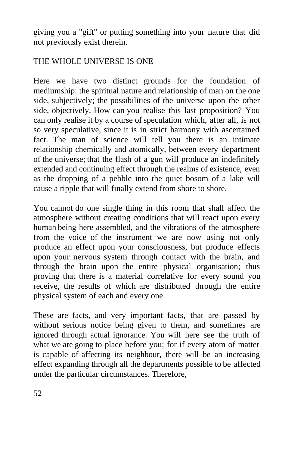giving you a "gift" or putting something into your nature that did not previously exist therein.

#### THE WHOLE UNIVERSE IS ONE

Here we have two distinct grounds for the foundation of mediumship: the spiritual nature and relationship of man on the one side, subjectively; the possibilities of the universe upon the other side, objectively. How can you realise this last proposition? You can only realise it by a course of speculation which, after all, is not so very speculative, since it is in strict harmony with ascertained fact. The man of science will tell you there is an intimate relationship chemically and atomically, between every department of the universe; that the flash of a gun will produce an indefinitely extended and continuing effect through the realms of existence, even as the dropping of a pebble into the quiet bosom of a lake will cause a ripple that will finally extend from shore to shore.

You cannot do one single thing in this room that shall affect the atmosphere without creating conditions that will react upon every human being here assembled, and the vibrations of the atmosphere from the voice of the instrument we are now using not only produce an effect upon your consciousness, but produce effects upon your nervous system through contact with the brain, and through the brain upon the entire physical organisation; thus proving that there is a material correlative for every sound you receive, the results of which are distributed through the entire physical system of each and every one.

These are facts, and very important facts, that are passed by without serious notice being given to them, and sometimes are ignored through actual ignorance. You will here see the truth of what we are going to place before you; for if every atom of matter is capable of affecting its neighbour, there will be an increasing effect expanding through all the departments possible to be affected under the particular circumstances. Therefore,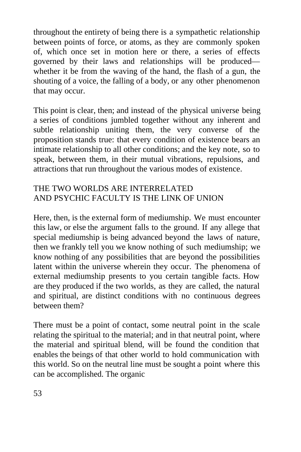throughout the entirety of being there is a sympathetic relationship between points of force, or atoms, as they are commonly spoken of, which once set in motion here or there, a series of effects governed by their laws and relationships will be produced whether it be from the waving of the hand, the flash of a gun, the shouting of a voice, the falling of a body, or any other phenomenon that may occur.

This point is clear, then; and instead of the physical universe being a series of conditions jumbled together without any inherent and subtle relationship uniting them, the very converse of the proposition stands true: that every condition of existence bears an intimate relationship to all other conditions; and the key note, so to speak, between them, in their mutual vibrations, repulsions, and attractions that run throughout the various modes of existence.

## THE TWO WORLDS ARE INTERRELATED AND PSYCHIC FACULTY IS THE LINK OF UNION

Here, then, is the external form of mediumship. We must encounter this law, or else the argument falls to the ground. If any allege that special mediumship is being advanced beyond the laws of nature, then we frankly tell you we know nothing of such mediumship; we know nothing of any possibilities that are beyond the possibilities latent within the universe wherein they occur. The phenomena of external mediumship presents to you certain tangible facts. How are they produced if the two worlds, as they are called, the natural and spiritual, are distinct conditions with no continuous degrees between them?

There must be a point of contact, some neutral point in the scale relating the spiritual to the material; and in that neutral point, where the material and spiritual blend, will be found the condition that enables the beings of that other world to hold communication with this world. So on the neutral line must be sought a point where this can be accomplished. The organic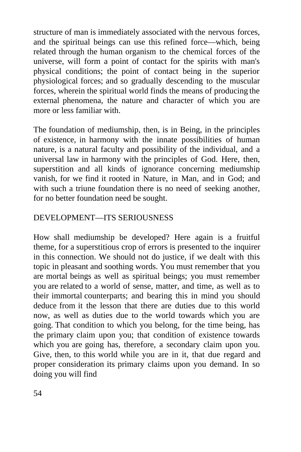structure of man is immediately associated with the nervous forces, and the spiritual beings can use this refined force—which, being related through the human organism to the chemical forces of the universe, will form a point of contact for the spirits with man's physical conditions; the point of contact being in the superior physiological forces; and so gradually descending to the muscular forces, wherein the spiritual world finds the means of producing the external phenomena, the nature and character of which you are more or less familiar with.

The foundation of mediumship, then, is in Being, in the principles of existence, in harmony with the innate possibilities of human nature, is a natural faculty and possibility of the individual, and a universal law in harmony with the principles of God. Here, then, superstition and all kinds of ignorance concerning mediumship vanish, for we find it rooted in Nature, in Man, and in God; and with such a triune foundation there is no need of seeking another, for no better foundation need be sought.

#### DEVELOPMENT—ITS SERIOUSNESS

How shall mediumship be developed? Here again is a fruitful theme, for a superstitious crop of errors is presented to the inquirer in this connection. We should not do justice, if we dealt with this topic in pleasant and soothing words. You must remember that you are mortal beings as well as spiritual beings; you must remember you are related to a world of sense, matter, and time, as well as to their immortal counterparts; and bearing this in mind you should deduce from it the lesson that there are duties due to this world now, as well as duties due to the world towards which you are going. That condition to which you belong, for the time being, has the primary claim upon you; that condition of existence towards which you are going has, therefore, a secondary claim upon you. Give, then, to this world while you are in it, that due regard and proper consideration its primary claims upon you demand. In so doing you will find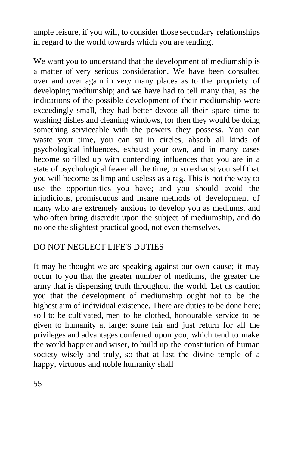ample leisure, if you will, to consider those secondary relationships in regard to the world towards which you are tending.

We want you to understand that the development of mediumship is a matter of very serious consideration. We have been consulted over and over again in very many places as to the propriety of developing mediumship; and we have had to tell many that, as the indications of the possible development of their mediumship were exceedingly small, they had better devote all their spare time to washing dishes and cleaning windows, for then they would be doing something serviceable with the powers they possess. You can waste your time, you can sit in circles, absorb all kinds of psychological influences, exhaust your own, and in many cases become so filled up with contending influences that you are in a state of psychological fewer all the time, or so exhaust yourself that you will become as limp and useless as a rag. This is not the way to use the opportunities you have; and you should avoid the injudicious, promiscuous and insane methods of development of many who are extremely anxious to develop you as mediums, and who often bring discredit upon the subject of mediumship, and do no one the slightest practical good, not even themselves.

## DO NOT NEGLECT LIFE'S DUTIES

It may be thought we are speaking against our own cause; it may occur to you that the greater number of mediums, the greater the army that is dispensing truth throughout the world. Let us caution you that the development of mediumship ought not to be the highest aim of individual existence. There are duties to be done here; soil to be cultivated, men to be clothed, honourable service to be given to humanity at large; some fair and just return for all the privileges and advantages conferred upon you, which tend to make the world happier and wiser, to build up the constitution of human society wisely and truly, so that at last the divine temple of a happy, virtuous and noble humanity shall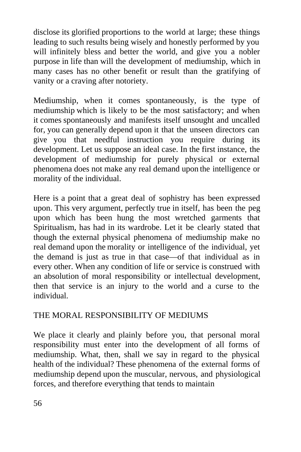disclose its glorified proportions to the world at large; these things leading to such results being wisely and honestly performed by you will infinitely bless and better the world, and give you a nobler purpose in life than will the development of mediumship, which in many cases has no other benefit or result than the gratifying of vanity or a craving after notoriety.

Mediumship, when it comes spontaneously, is the type of mediumship which is likely to be the most satisfactory; and when it comes spontaneously and manifests itself unsought and uncalled for, you can generally depend upon it that the unseen directors can give you that needful instruction you require during its development. Let us suppose an ideal case. In the first instance, the development of mediumship for purely physical or external phenomena does not make any real demand upon the intelligence or morality of the individual.

Here is a point that a great deal of sophistry has been expressed upon. This very argument, perfectly true in itself, has been the peg upon which has been hung the most wretched garments that Spiritualism, has had in its wardrobe. Let it be clearly stated that though the external physical phenomena of mediumship make no real demand upon the morality or intelligence of the individual, yet the demand is just as true in that case—of that individual as in every other. When any condition of life or service is construed with an absolution of moral responsibility or intellectual development, then that service is an injury to the world and a curse to the individual.

## THE MORAL RESPONSIBILITY OF MEDIUMS

We place it clearly and plainly before you, that personal moral responsibility must enter into the development of all forms of mediumship. What, then, shall we say in regard to the physical health of the individual? These phenomena of the external forms of mediumship depend upon the muscular, nervous, and physiological forces, and therefore everything that tends to maintain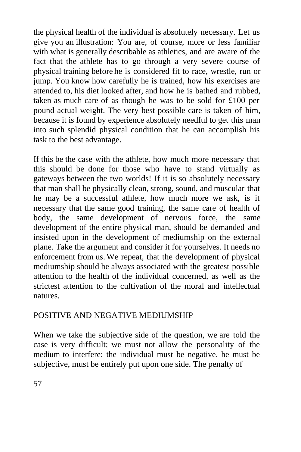the physical health of the individual is absolutely necessary. Let us give you an illustration: You are, of course, more or less familiar with what is generally describable as athletics, and are aware of the fact that the athlete has to go through a very severe course of physical training before he is considered fit to race, wrestle, run or jump. You know how carefully he is trained, how his exercises are attended to, his diet looked after, and how he is bathed and rubbed, taken as much care of as though he was to be sold for £100 per pound actual weight. The very best possible care is taken of him, because it is found by experience absolutely needful to get this man into such splendid physical condition that he can accomplish his task to the best advantage.

If this be the case with the athlete, how much more necessary that this should be done for those who have to stand virtually as gateways between the two worlds! If it is so absolutely necessary that man shall be physically clean, strong, sound, and muscular that he may be a successful athlete, how much more we ask, is it necessary that the same good training, the same care of health of body, the same development of nervous force, the same development of the entire physical man, should be demanded and insisted upon in the development of mediumship on the external plane. Take the argument and consider it for yourselves. It needs no enforcement from us. We repeat, that the development of physical mediumship should be always associated with the greatest possible attention to the health of the individual concerned, as well as the strictest attention to the cultivation of the moral and intellectual natures.

## POSITIVE AND NEGATIVE MEDIUMSHIP

When we take the subjective side of the question, we are told the case is very difficult; we must not allow the personality of the medium to interfere; the individual must be negative, he must be subjective, must be entirely put upon one side. The penalty of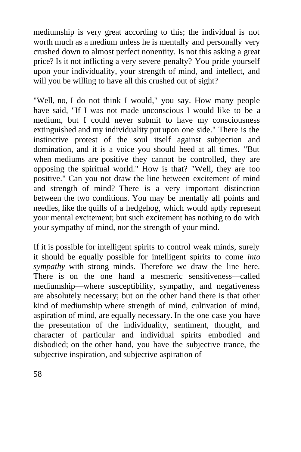mediumship is very great according to this; the individual is not worth much as a medium unless he is mentally and personally very crushed down to almost perfect nonentity. Is not this asking a great price? Is it not inflicting a very severe penalty? You pride yourself upon your individuality, your strength of mind, and intellect, and will you be willing to have all this crushed out of sight?

"Well, no, I do not think I would," you say. How many people have said, "If I was not made unconscious I would like to be a medium, but I could never submit to have my consciousness extinguished and my individuality put upon one side." There is the instinctive protest of the soul itself against subjection and domination, and it is a voice you should heed at all times. "But when mediums are positive they cannot be controlled, they are opposing the spiritual world." How is that? "Well, they are too positive." Can you not draw the line between excitement of mind and strength of mind? There is a very important distinction between the two conditions. You may be mentally all points and needles, like the quills of a hedgehog, which would aptly represent your mental excitement; but such excitement has nothing to do with your sympathy of mind, nor the strength of your mind.

If it is possible for intelligent spirits to control weak minds, surely it should be equally possible for intelligent spirits to come *into sympathy* with strong minds. Therefore we draw the line here. There is on the one hand a mesmeric sensitiveness—called mediumship—where susceptibility, sympathy, and negativeness are absolutely necessary; but on the other hand there is that other kind of mediumship where strength of mind, cultivation of mind, aspiration of mind, are equally necessary. In the one case you have the presentation of the individuality, sentiment, thought, and character of particular and individual spirits embodied and disbodied; on the other hand, you have the subjective trance, the subjective inspiration, and subjective aspiration of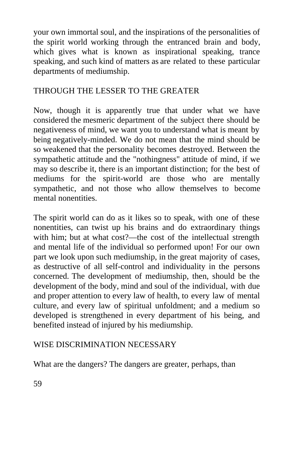your own immortal soul, and the inspirations of the personalities of the spirit world working through the entranced brain and body, which gives what is known as inspirational speaking, trance speaking, and such kind of matters as are related to these particular departments of mediumship.

# THROUGH THE LESSER TO THE GREATER

Now, though it is apparently true that under what we have considered the mesmeric department of the subject there should be negativeness of mind, we want you to understand what is meant by being negatively-minded. We do not mean that the mind should be so weakened that the personality becomes destroyed. Between the sympathetic attitude and the "nothingness" attitude of mind, if we may so describe it, there is an important distinction; for the best of mediums for the spirit-world are those who are mentally sympathetic, and not those who allow themselves to become mental nonentities.

The spirit world can do as it likes so to speak, with one of these nonentities, can twist up his brains and do extraordinary things with him; but at what cost?—the cost of the intellectual strength and mental life of the individual so performed upon! For our own part we look upon such mediumship, in the great majority of cases, as destructive of all self-control and individuality in the persons concerned. The development of mediumship, then, should be the development of the body, mind and soul of the individual, with due and proper attention to every law of health, to every law of mental culture, and every law of spiritual unfoldment; and a medium so developed is strengthened in every department of his being, and benefited instead of injured by his mediumship.

# WISE DISCRIMINATION NECESSARY

What are the dangers? The dangers are greater, perhaps, than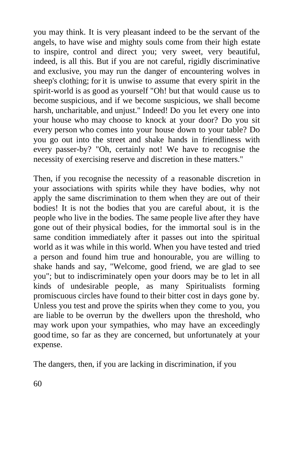you may think. It is very pleasant indeed to be the servant of the angels, to have wise and mighty souls come from their high estate to inspire, control and direct you; very sweet, very beautiful, indeed, is all this. But if you are not careful, rigidly discriminative and exclusive, you may run the danger of encountering wolves in sheep's clothing; for it is unwise to assume that every spirit in the spirit-world is as good as yourself "Oh! but that would cause us to become suspicious, and if we become suspicious, we shall become harsh, uncharitable, and unjust." Indeed! Do you let every one into your house who may choose to knock at your door? Do you sit every person who comes into your house down to your table? Do you go out into the street and shake hands in friendliness with every passer-by? "Oh, certainly not! We have to recognise the necessity of exercising reserve and discretion in these matters."

Then, if you recognise the necessity of a reasonable discretion in your associations with spirits while they have bodies, why not apply the same discrimination to them when they are out of their bodies! It is not the bodies that you are careful about, it is the people who live in the bodies. The same people live after they have gone out of their physical bodies, for the immortal soul is in the same condition immediately after it passes out into the spiritual world as it was while in this world. When you have tested and tried a person and found him true and honourable, you are willing to shake hands and say, "Welcome, good friend, we are glad to see you"; but to indiscriminately open your doors may be to let in all kinds of undesirable people, as many Spiritualists forming promiscuous circles have found to their bitter cost in days gone by. Unless you test and prove the spirits when they come to you, you are liable to be overrun by the dwellers upon the threshold, who may work upon your sympathies, who may have an exceedingly good time, so far as they are concerned, but unfortunately at your expense.

The dangers, then, if you are lacking in discrimination, if you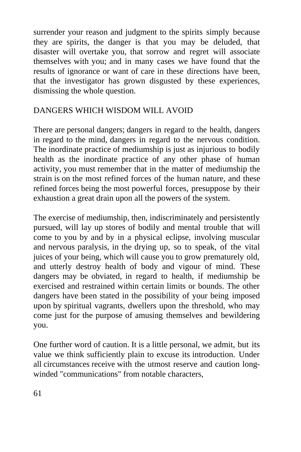surrender your reason and judgment to the spirits simply because they are spirits, the danger is that you may be deluded, that disaster will overtake you, that sorrow and regret will associate themselves with you; and in many cases we have found that the results of ignorance or want of care in these directions have been, that the investigator has grown disgusted by these experiences, dismissing the whole question.

## DANGERS WHICH WISDOM WILL AVOID

There are personal dangers; dangers in regard to the health, dangers in regard to the mind, dangers in regard to the nervous condition. The inordinate practice of mediumship is just as injurious to bodily health as the inordinate practice of any other phase of human activity, you must remember that in the matter of mediumship the strain is on the most refined forces of the human nature, and these refined forces being the most powerful forces, presuppose by their exhaustion a great drain upon all the powers of the system.

The exercise of mediumship, then, indiscriminately and persistently pursued, will lay up stores of bodily and mental trouble that will come to you by and by in a physical eclipse, involving muscular and nervous paralysis, in the drying up, so to speak, of the vital juices of your being, which will cause you to grow prematurely old, and utterly destroy health of body and vigour of mind. These dangers may be obviated, in regard to health, if mediumship be exercised and restrained within certain limits or bounds. The other dangers have been stated in the possibility of your being imposed upon by spiritual vagrants, dwellers upon the threshold, who may come just for the purpose of amusing themselves and bewildering you.

One further word of caution. It is a little personal, we admit, but its value we think sufficiently plain to excuse its introduction. Under all circumstances receive with the utmost reserve and caution longwinded "communications" from notable characters,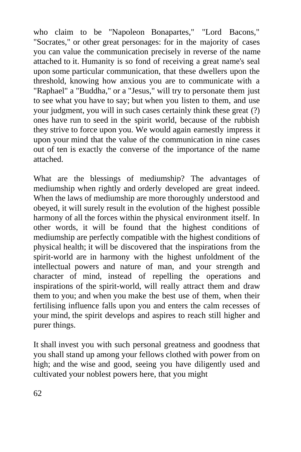who claim to be "Napoleon Bonapartes," "Lord Bacons," "Socrates," or other great personages: for in the majority of cases you can value the communication precisely in reverse of the name attached to it. Humanity is so fond of receiving a great name's seal upon some particular communication, that these dwellers upon the threshold, knowing how anxious you are to communicate with a "Raphael" a "Buddha," or a "Jesus," will try to personate them just to see what you have to say; but when you listen to them, and use your judgment, you will in such cases certainly think these great (?) ones have run to seed in the spirit world, because of the rubbish they strive to force upon you. We would again earnestly impress it upon your mind that the value of the communication in nine cases out of ten is exactly the converse of the importance of the name attached.

What are the blessings of mediumship? The advantages of mediumship when rightly and orderly developed are great indeed. When the laws of mediumship are more thoroughly understood and obeyed, it will surely result in the evolution of the highest possible harmony of all the forces within the physical environment itself. In other words, it will be found that the highest conditions of mediumship are perfectly compatible with the highest conditions of physical health; it will be discovered that the inspirations from the spirit-world are in harmony with the highest unfoldment of the intellectual powers and nature of man, and your strength and character of mind, instead of repelling the operations and inspirations of the spirit-world, will really attract them and draw them to you; and when you make the best use of them, when their fertilising influence falls upon you and enters the calm recesses of your mind, the spirit develops and aspires to reach still higher and purer things.

It shall invest you with such personal greatness and goodness that you shall stand up among your fellows clothed with power from on high; and the wise and good, seeing you have diligently used and cultivated your noblest powers here, that you might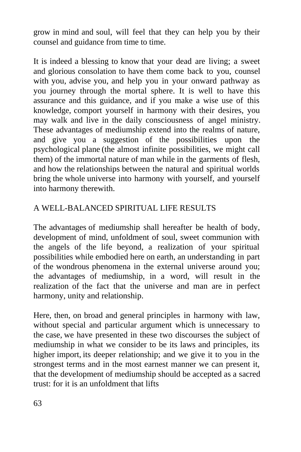grow in mind and soul, will feel that they can help you by their counsel and guidance from time to time.

It is indeed a blessing to know that your dead are living; a sweet and glorious consolation to have them come back to you, counsel with you, advise you, and help you in your onward pathway as you journey through the mortal sphere. It is well to have this assurance and this guidance, and if you make a wise use of this knowledge, comport yourself in harmony with their desires, you may walk and live in the daily consciousness of angel ministry. These advantages of mediumship extend into the realms of nature, and give you a suggestion of the possibilities upon the psychological plane (the almost infinite possibilities, we might call them) of the immortal nature of man while in the garments of flesh, and how the relationships between the natural and spiritual worlds bring the whole universe into harmony with yourself, and yourself into harmony therewith.

## A WELL-BALANCED SPIRITUAL LIFE RESULTS

The advantages of mediumship shall hereafter be health of body, development of mind, unfoldment of soul, sweet communion with the angels of the life beyond, a realization of your spiritual possibilities while embodied here on earth, an understanding in part of the wondrous phenomena in the external universe around you; the advantages of mediumship, in a word, will result in the realization of the fact that the universe and man are in perfect harmony, unity and relationship.

Here, then, on broad and general principles in harmony with law, without special and particular argument which is unnecessary to the case, we have presented in these two discourses the subject of mediumship in what we consider to be its laws and principles, its higher import, its deeper relationship; and we give it to you in the strongest terms and in the most earnest manner we can present it, that the development of mediumship should be accepted as a sacred trust: for it is an unfoldment that lifts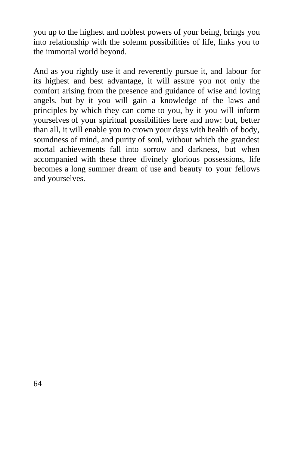you up to the highest and noblest powers of your being, brings you into relationship with the solemn possibilities of life, links you to the immortal world beyond.

And as you rightly use it and reverently pursue it, and labour for its highest and best advantage, it will assure you not only the comfort arising from the presence and guidance of wise and loving angels, but by it you will gain a knowledge of the laws and principles by which they can come to you, by it you will inform yourselves of your spiritual possibilities here and now: but, better than all, it will enable you to crown your days with health of body, soundness of mind, and purity of soul, without which the grandest mortal achievements fall into sorrow and darkness, but when accompanied with these three divinely glorious possessions, life becomes a long summer dream of use and beauty to your fellows and yourselves.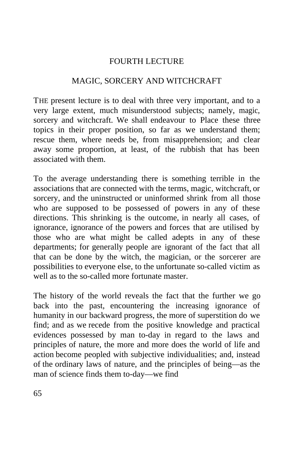## FOURTH LECTURE

## MAGIC, SORCERY AND WITCHCRAFT

THE present lecture is to deal with three very important, and to a very large extent, much misunderstood subjects; namely, magic, sorcery and witchcraft. We shall endeavour to Place these three topics in their proper position, so far as we understand them; rescue them, where needs be, from misapprehension; and clear away some proportion, at least, of the rubbish that has been associated with them.

To the average understanding there is something terrible in the associations that are connected with the terms, magic, witchcraft, or sorcery, and the uninstructed or uninformed shrink from all those who are supposed to be possessed of powers in any of these directions. This shrinking is the outcome, in nearly all cases, of ignorance, ignorance of the powers and forces that are utilised by those who are what might be called adepts in any of these departments; for generally people are ignorant of the fact that all that can be done by the witch, the magician, or the sorcerer are possibilities to everyone else, to the unfortunate so-called victim as well as to the so-called more fortunate master.

The history of the world reveals the fact that the further we go back into the past, encountering the increasing ignorance of humanity in our backward progress, the more of superstition do we find; and as we recede from the positive knowledge and practical evidences possessed by man to-day in regard to the laws and principles of nature, the more and more does the world of life and action become peopled with subjective individualities; and, instead of the ordinary laws of nature, and the principles of being—as the man of science finds them to-day—we find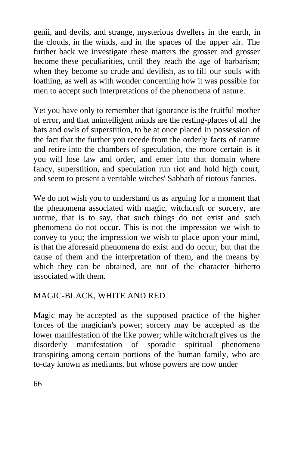genii, and devils, and strange, mysterious dwellers in the earth, in the clouds, in the winds, and in the spaces of the upper air. The further back we investigate these matters the grosser and grosser become these peculiarities, until they reach the age of barbarism; when they become so crude and devilish, as to fill our souls with loathing, as well as with wonder concerning how it was possible for men to accept such interpretations of the phenomena of nature.

Yet you have only to remember that ignorance is the fruitful mother of error, and that unintelligent minds are the resting-places of all the bats and owls of superstition, to be at once placed in possession of the fact that the further you recede from the orderly facts of nature and retire into the chambers of speculation, the more certain is it you will lose law and order, and enter into that domain where fancy, superstition, and speculation run riot and hold high court, and seem to present a veritable witches' Sabbath of riotous fancies.

We do not wish you to understand us as arguing for a moment that the phenomena associated with magic, witchcraft or sorcery, are untrue, that is to say, that such things do not exist and such phenomena do not occur. This is not the impression we wish to convey to you; the impression we wish to place upon your mind, is that the aforesaid phenomena do exist and do occur, but that the cause of them and the interpretation of them, and the means by which they can be obtained, are not of the character hitherto associated with them.

## MAGIC-BLACK, WHITE AND RED

Magic may be accepted as the supposed practice of the higher forces of the magician's power; sorcery may be accepted as the lower manifestation of the like power; while witchcraft gives us the disorderly manifestation of sporadic spiritual phenomena transpiring among certain portions of the human family, who are to-day known as mediums, but whose powers are now under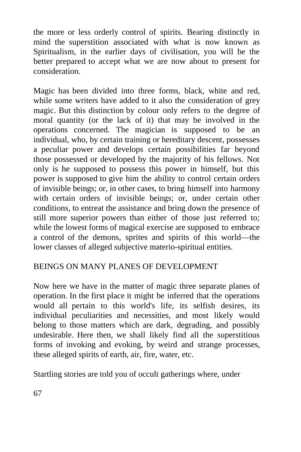the more or less orderly control of spirits. Bearing distinctly in mind the superstition associated with what is now known as Spiritualism, in the earlier days of civilisation, you will be the better prepared to accept what we are now about to present for consideration.

Magic has been divided into three forms, black, white and red, while some writers have added to it also the consideration of grey magic. But this distinction by colour only refers to the degree of moral quantity (or the lack of it) that may be involved in the operations concerned. The magician is supposed to be an individual, who, by certain training or hereditary descent, possesses a peculiar power and develops certain possibilities far beyond those possessed or developed by the majority of his fellows. Not only is he supposed to possess this power in himself, but this power is supposed to give him the ability to control certain orders of invisible beings; or, in other cases, to bring himself into harmony with certain orders of invisible beings; or, under certain other conditions, to entreat the assistance and bring down the presence of still more superior powers than either of those just referred to; while the lowest forms of magical exercise are supposed to embrace a control of the demons, sprites and spirits of this world—the lower classes of alleged subjective materio-spiritual entities.

# BEINGS ON MANY PLANES OF DEVELOPMENT

Now here we have in the matter of magic three separate planes of operation. In the first place it might be inferred that the operations would all pertain to this world's life, its selfish desires, its individual peculiarities and necessities, and most likely would belong to those matters which are dark, degrading, and possibly undesirable. Here then, we shall likely find all the superstitious forms of invoking and evoking, by weird and strange processes, these alleged spirits of earth, air, fire, water, etc.

Startling stories are told you of occult gatherings where, under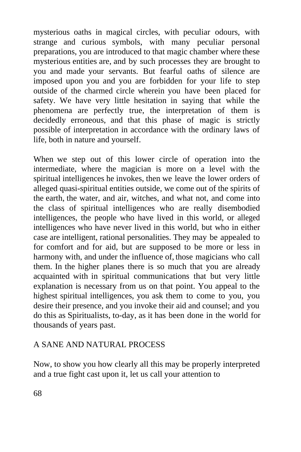mysterious oaths in magical circles, with peculiar odours, with strange and curious symbols, with many peculiar personal preparations, you are introduced to that magic chamber where these mysterious entities are, and by such processes they are brought to you and made your servants. But fearful oaths of silence are imposed upon you and you are forbidden for your life to step outside of the charmed circle wherein you have been placed for safety. We have very little hesitation in saying that while the phenomena are perfectly true, the interpretation of them is decidedly erroneous, and that this phase of magic is strictly possible of interpretation in accordance with the ordinary laws of life, both in nature and yourself.

When we step out of this lower circle of operation into the intermediate, where the magician is more on a level with the spiritual intelligences he invokes, then we leave the lower orders of alleged quasi-spiritual entities outside, we come out of the spirits of the earth, the water, and air, witches, and what not, and come into the class of spiritual intelligences who are really disembodied intelligences, the people who have lived in this world, or alleged intelligences who have never lived in this world, but who in either case are intelligent, rational personalities. They may be appealed to for comfort and for aid, but are supposed to be more or less in harmony with, and under the influence of, those magicians who call them. In the higher planes there is so much that you are already acquainted with in spiritual communications that but very little explanation is necessary from us on that point. You appeal to the highest spiritual intelligences, you ask them to come to you, you desire their presence, and you invoke their aid and counsel; and you do this as Spiritualists, to-day, as it has been done in the world for thousands of years past.

## A SANE AND NATURAL PROCESS

Now, to show you how clearly all this may be properly interpreted and a true fight cast upon it, let us call your attention to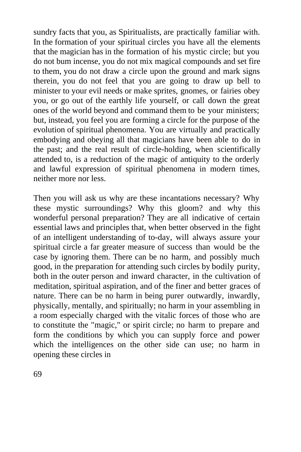sundry facts that you, as Spiritualists, are practically familiar with. In the formation of your spiritual circles you have all the elements that the magician has in the formation of his mystic circle; but you do not bum incense, you do not mix magical compounds and set fire to them, you do not draw a circle upon the ground and mark signs therein, you do not feel that you are going to draw up bell to minister to your evil needs or make sprites, gnomes, or fairies obey you, or go out of the earthly life yourself, or call down the great ones of the world beyond and command them to be your ministers; but, instead, you feel you are forming a circle for the purpose of the evolution of spiritual phenomena. You are virtually and practically embodying and obeying all that magicians have been able to do in the past; and the real result of circle-holding, when scientifically attended to, is a reduction of the magic of antiquity to the orderly and lawful expression of spiritual phenomena in modern times, neither more nor less.

Then you will ask us why are these incantations necessary? Why these mystic surroundings? Why this gloom? and why this wonderful personal preparation? They are all indicative of certain essential laws and principles that, when better observed in the fight of an intelligent understanding of to-day, will always assure your spiritual circle a far greater measure of success than would be the case by ignoring them. There can be no harm, and possibly much good, in the preparation for attending such circles by bodily purity, both in the outer person and inward character, in the cultivation of meditation, spiritual aspiration, and of the finer and better graces of nature. There can be no harm in being purer outwardly, inwardly, physically, mentally, and spiritually; no harm in your assembling in a room especially charged with the vitalic forces of those who are to constitute the "magic," or spirit circle; no harm to prepare and form the conditions by which you can supply force and power which the intelligences on the other side can use; no harm in opening these circles in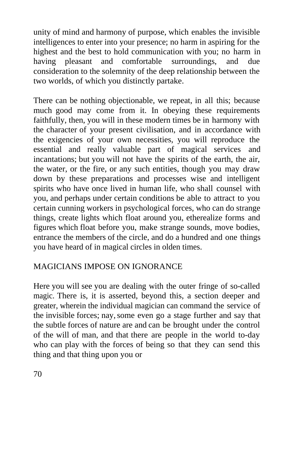unity of mind and harmony of purpose, which enables the invisible intelligences to enter into your presence; no harm in aspiring for the highest and the best to hold communication with you; no harm in having pleasant and comfortable surroundings, and due consideration to the solemnity of the deep relationship between the two worlds, of which you distinctly partake.

There can be nothing objectionable, we repeat, in all this; because much good may come from it. In obeying these requirements faithfully, then, you will in these modern times be in harmony with the character of your present civilisation, and in accordance with the exigencies of your own necessities, you will reproduce the essential and really valuable part of magical services and incantations; but you will not have the spirits of the earth, the air, the water, or the fire, or any such entities, though you may draw down by these preparations and processes wise and intelligent spirits who have once lived in human life, who shall counsel with you, and perhaps under certain conditions be able to attract to you certain cunning workers in psychological forces, who can do strange things, create lights which float around you, etherealize forms and figures which float before you, make strange sounds, move bodies, entrance the members of the circle, and do a hundred and one things you have heard of in magical circles in olden times.

# MAGICIANS IMPOSE ON IGNORANCE

Here you will see you are dealing with the outer fringe of so-called magic. There is, it is asserted, beyond this, a section deeper and greater, wherein the individual magician can command the service of the invisible forces; nay, some even go a stage further and say that the subtle forces of nature are and can be brought under the control of the will of man, and that there are people in the world to-day who can play with the forces of being so that they can send this thing and that thing upon you or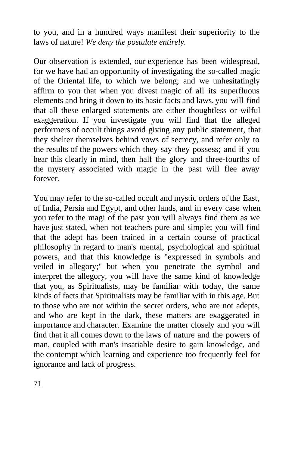to you, and in a hundred ways manifest their superiority to the laws of nature! *We deny the postulate entirely.*

Our observation is extended, our experience has been widespread, for we have had an opportunity of investigating the so-called magic of the Oriental life, to which we belong; and we unhesitatingly affirm to you that when you divest magic of all its superfluous elements and bring it down to its basic facts and laws, you will find that all these enlarged statements are either thoughtless or wilful exaggeration. If you investigate you will find that the alleged performers of occult things avoid giving any public statement, that they shelter themselves behind vows of secrecy, and refer only to the results of the powers which they say they possess; and if you bear this clearly in mind, then half the glory and three-fourths of the mystery associated with magic in the past will flee away forever.

You may refer to the so-called occult and mystic orders of the East, of India, Persia and Egypt, and other lands, and in every case when you refer to the magi of the past you will always find them as we have just stated, when not teachers pure and simple; you will find that the adept has been trained in a certain course of practical philosophy in regard to man's mental, psychological and spiritual powers, and that this knowledge is "expressed in symbols and veiled in allegory;" but when you penetrate the symbol and interpret the allegory, you will have the same kind of knowledge that you, as Spiritualists, may be familiar with today, the same kinds of facts that Spiritualists may be familiar with in this age. But to those who are not within the secret orders, who are not adepts, and who are kept in the dark, these matters are exaggerated in importance and character. Examine the matter closely and you will find that it all comes down to the laws of nature and the powers of man, coupled with man's insatiable desire to gain knowledge, and the contempt which learning and experience too frequently feel for ignorance and lack of progress.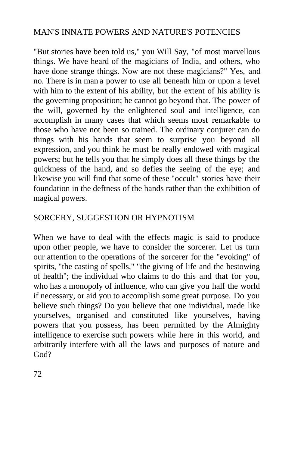## MAN'S INNATE POWERS AND NATURE'S POTENCIES

"But stories have been told us," you Will Say, "of most marvellous things. We have heard of the magicians of India, and others, who have done strange things. Now are not these magicians?" Yes, and no. There is in man a power to use all beneath him or upon a level with him to the extent of his ability, but the extent of his ability is the governing proposition; he cannot go beyond that. The power of the will, governed by the enlightened soul and intelligence, can accomplish in many cases that which seems most remarkable to those who have not been so trained. The ordinary conjurer can do things with his hands that seem to surprise you beyond all expression, and you think he must be really endowed with magical powers; but he tells you that he simply does all these things by the quickness of the hand, and so defies the seeing of the eye; and likewise you will find that some of these "occult" stories have their foundation in the deftness of the hands rather than the exhibition of magical powers.

#### SORCERY, SUGGESTION OR HYPNOTISM

When we have to deal with the effects magic is said to produce upon other people, we have to consider the sorcerer. Let us turn our attention to the operations of the sorcerer for the "evoking" of spirits, "the casting of spells," "the giving of life and the bestowing of health"; the individual who claims to do this and that for you, who has a monopoly of influence, who can give you half the world if necessary, or aid you to accomplish some great purpose. Do you believe such things? Do you believe that one individual, made like yourselves, organised and constituted like yourselves, having powers that you possess, has been permitted by the Almighty intelligence to exercise such powers while here in this world, and arbitrarily interfere with all the laws and purposes of nature and God?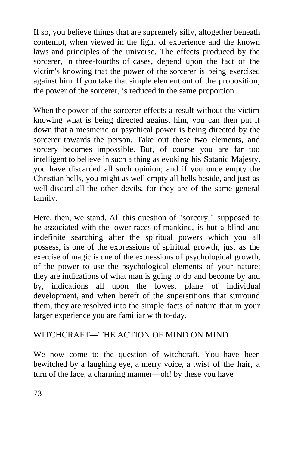If so, you believe things that are supremely silly, altogether beneath contempt, when viewed in the light of experience and the known laws and principles of the universe. The effects produced by the sorcerer, in three-fourths of cases, depend upon the fact of the victim's knowing that the power of the sorcerer is being exercised against him. If you take that simple element out of the proposition, the power of the sorcerer, is reduced in the same proportion.

When the power of the sorcerer effects a result without the victim knowing what is being directed against him, you can then put it down that a mesmeric or psychical power is being directed by the sorcerer towards the person. Take out these two elements, and sorcery becomes impossible. But, of course you are far too intelligent to believe in such a thing as evoking his Satanic Majesty, you have discarded all such opinion; and if you once empty the Christian hells, you might as well empty all hells beside, and just as well discard all the other devils, for they are of the same general family.

Here, then, we stand. All this question of "sorcery," supposed to be associated with the lower races of mankind, is but a blind and indefinite searching after the spiritual powers which you all possess, is one of the expressions of spiritual growth, just as the exercise of magic is one of the expressions of psychological growth, of the power to use the psychological elements of your nature; they are indications of what man is going to do and become by and by, indications all upon the lowest plane of individual development, and when bereft of the superstitions that surround them, they are resolved into the simple facts of nature that in your larger experience you are familiar with to-day.

## WITCHCRAFT—THE ACTION OF MIND ON MIND

We now come to the question of witchcraft. You have been bewitched by a laughing eye, a merry voice, a twist of the hair, a turn of the face, a charming manner—oh! by these you have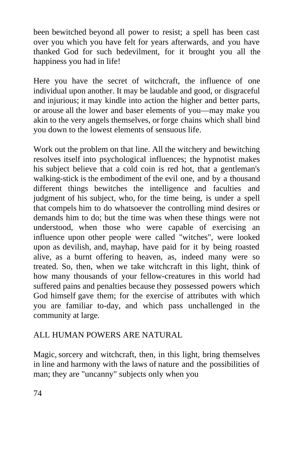been bewitched beyond all power to resist; a spell has been cast over you which you have felt for years afterwards, and you have thanked God for such bedevilment, for it brought you all the happiness you had in life!

Here you have the secret of witchcraft, the influence of one individual upon another. It may be laudable and good, or disgraceful and injurious; it may kindle into action the higher and better parts, or arouse all the lower and baser elements of you—may make you akin to the very angels themselves, or forge chains which shall bind you down to the lowest elements of sensuous life.

Work out the problem on that line. All the witchery and bewitching resolves itself into psychological influences; the hypnotist makes his subject believe that a cold coin is red hot, that a gentleman's walking-stick is the embodiment of the evil one, and by a thousand different things bewitches the intelligence and faculties and judgment of his subject, who, for the time being, is under a spell that compels him to do whatsoever the controlling mind desires or demands him to do; but the time was when these things were not understood, when those who were capable of exercising an influence upon other people were called "witches", were looked upon as devilish, and, mayhap, have paid for it by being roasted alive, as a burnt offering to heaven, as, indeed many were so treated. So, then, when we take witchcraft in this light, think of how many thousands of your fellow-creatures in this world had suffered pains and penalties because they possessed powers which God himself gave them; for the exercise of attributes with which you are familiar to-day, and which pass unchallenged in the community at large.

## ALL HUMAN POWERS ARE NATURAL

Magic, sorcery and witchcraft, then, in this light, bring themselves in line and harmony with the laws of nature and the possibilities of man; they are "uncanny" subjects only when you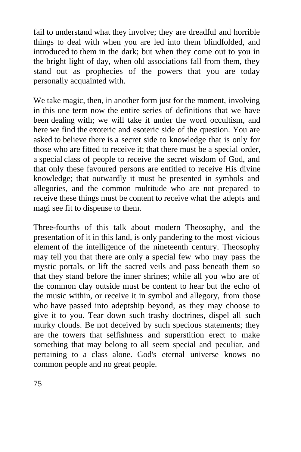fail to understand what they involve; they are dreadful and horrible things to deal with when you are led into them blindfolded, and introduced to them in the dark; but when they come out to you in the bright light of day, when old associations fall from them, they stand out as prophecies of the powers that you are today personally acquainted with.

We take magic, then, in another form just for the moment, involving in this one term now the entire series of definitions that we have been dealing with; we will take it under the word occultism, and here we find the exoteric and esoteric side of the question. You are asked to believe there is a secret side to knowledge that is only for those who are fitted to receive it; that there must be a special order, a special class of people to receive the secret wisdom of God, and that only these favoured persons are entitled to receive His divine knowledge; that outwardly it must be presented in symbols and allegories, and the common multitude who are not prepared to receive these things must be content to receive what the adepts and magi see fit to dispense to them.

Three-fourths of this talk about modern Theosophy, and the presentation of it in this land, is only pandering to the most vicious element of the intelligence of the nineteenth century. Theosophy may tell you that there are only a special few who may pass the mystic portals, or lift the sacred veils and pass beneath them so that they stand before the inner shrines; while all you who are of the common clay outside must be content to hear but the echo of the music within, or receive it in symbol and allegory, from those who have passed into adeptship beyond, as they may choose to give it to you. Tear down such trashy doctrines, dispel all such murky clouds. Be not deceived by such specious statements; they are the towers that selfishness and superstition erect to make something that may belong to all seem special and peculiar, and pertaining to a class alone. God's eternal universe knows no common people and no great people.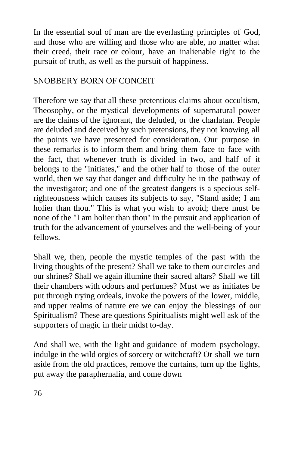In the essential soul of man are the everlasting principles of God, and those who are willing and those who are able, no matter what their creed, their race or colour, have an inalienable right to the pursuit of truth, as well as the pursuit of happiness.

## SNOBBERY BORN OF CONCEIT

Therefore we say that all these pretentious claims about occultism, Theosophy, or the mystical developments of supernatural power are the claims of the ignorant, the deluded, or the charlatan. People are deluded and deceived by such pretensions, they not knowing all the points we have presented for consideration. Our purpose in these remarks is to inform them and bring them face to face with the fact, that whenever truth is divided in two, and half of it belongs to the "initiates," and the other half to those of the outer world, then we say that danger and difficulty he in the pathway of the investigator; and one of the greatest dangers is a specious selfrighteousness which causes its subjects to say, "Stand aside; I am holier than thou." This is what you wish to avoid; there must be none of the "I am holier than thou" in the pursuit and application of truth for the advancement of yourselves and the well-being of your fellows.

Shall we, then, people the mystic temples of the past with the living thoughts of the present? Shall we take to them our circles and our shrines? Shall we again illumine their sacred altars? Shall we fill their chambers with odours and perfumes? Must we as initiates be put through trying ordeals, invoke the powers of the lower, middle, and upper realms of nature ere we can enjoy the blessings of our Spiritualism? These are questions Spiritualists might well ask of the supporters of magic in their midst to-day.

And shall we, with the light and guidance of modern psychology, indulge in the wild orgies of sorcery or witchcraft? Or shall we turn aside from the old practices, remove the curtains, turn up the lights, put away the paraphernalia, and come down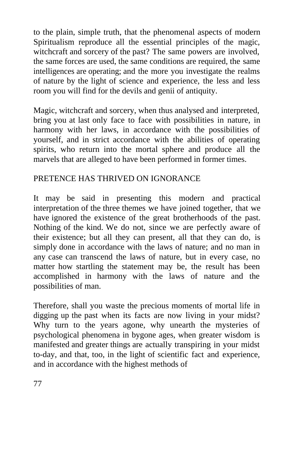to the plain, simple truth, that the phenomenal aspects of modern Spiritualism reproduce all the essential principles of the magic, witchcraft and sorcery of the past? The same powers are involved, the same forces are used, the same conditions are required, the same intelligences are operating; and the more you investigate the realms of nature by the light of science and experience, the less and less room you will find for the devils and genii of antiquity.

Magic, witchcraft and sorcery, when thus analysed and interpreted, bring you at last only face to face with possibilities in nature, in harmony with her laws, in accordance with the possibilities of yourself, and in strict accordance with the abilities of operating spirits, who return into the mortal sphere and produce all the marvels that are alleged to have been performed in former times.

## PRETENCE HAS THRIVED ON IGNORANCE

It may be said in presenting this modern and practical interpretation of the three themes we have joined together, that we have ignored the existence of the great brotherhoods of the past. Nothing of the kind. We do not, since we are perfectly aware of their existence; but all they can present, all that they can do, is simply done in accordance with the laws of nature; and no man in any case can transcend the laws of nature, but in every case, no matter how startling the statement may be, the result has been accomplished in harmony with the laws of nature and the possibilities of man.

Therefore, shall you waste the precious moments of mortal life in digging up the past when its facts are now living in your midst? Why turn to the years agone, why unearth the mysteries of psychological phenomena in bygone ages, when greater wisdom is manifested and greater things are actually transpiring in your midst to-day, and that, too, in the light of scientific fact and experience, and in accordance with the highest methods of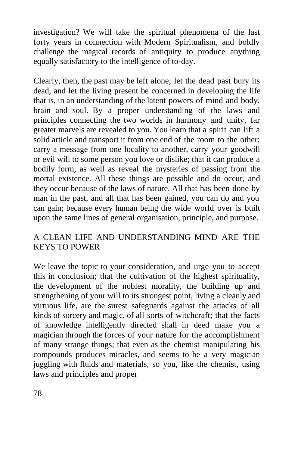investigation? We will take the spiritual phenomena of the last forty years in connection with Modern Spiritualism, and boldly challenge the magical records of antiquity to produce anything equally satisfactory to the intelligence of to-day.

Clearly, then, the past may be left alone; let the dead past bury its dead, and let the living present be concerned in developing the life that is, in an understanding of the latent powers of mind and body, brain and soul. By a proper understanding of the laws and principles connecting the two worlds in harmony and unity, far greater marvels are revealed to you. You learn that a spirit can lift a solid article and transport it from one end of the room to the other; carry a message from one locality to another, carry your goodwill or evil will to some person you love or dislike; that it can produce a bodily form, as well as reveal the mysteries of passing from the mortal existence. All these things are possible and do occur, and they occur because of the laws of nature. All that has been done by man in the past, and all that has been gained, you can do and you can gain; because every human being the wide world over is built upon the same lines of general organisation, principle, and purpose.

## A CLEAN LIFE AND UNDERSTANDING MIND ARE THE KEYS TO POWER

We leave the topic to your consideration, and urge you to accept this in conclusion; that the cultivation of the highest spirituality, the development of the noblest morality, the building up and strengthening of your will to its strongest point, living a cleanly and virtuous life, are the surest safeguards against the attacks of all kinds of sorcery and magic, of all sorts of witchcraft; that the facts of knowledge intelligently directed shall in deed make you a magician through the forces of your nature for the accomplishment of many strange things; that even as the chemist manipulating his compounds produces miracles, and seems to be a very magician juggling with fluids and materials, so you, like the chemist, using laws and principles and proper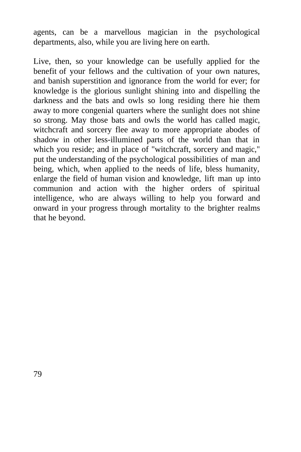agents, can be a marvellous magician in the psychological departments, also, while you are living here on earth.

Live, then, so your knowledge can be usefully applied for the benefit of your fellows and the cultivation of your own natures, and banish superstition and ignorance from the world for ever; for knowledge is the glorious sunlight shining into and dispelling the darkness and the bats and owls so long residing there hie them away to more congenial quarters where the sunlight does not shine so strong. May those bats and owls the world has called magic, witchcraft and sorcery flee away to more appropriate abodes of shadow in other less-illumined parts of the world than that in which you reside; and in place of "witchcraft, sorcery and magic," put the understanding of the psychological possibilities of man and being, which, when applied to the needs of life, bless humanity, enlarge the field of human vision and knowledge, lift man up into communion and action with the higher orders of spiritual intelligence, who are always willing to help you forward and onward in your progress through mortality to the brighter realms that he beyond.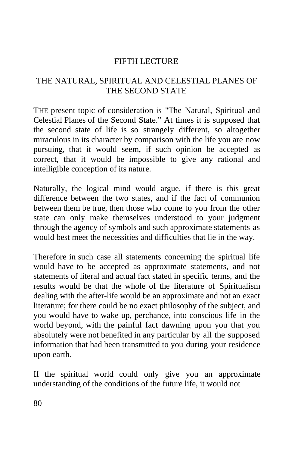## FIFTH LECTURE

## THE NATURAL, SPIRITUAL AND CELESTIAL PLANES OF THE SECOND STATE

THE present topic of consideration is "The Natural, Spiritual and Celestial Planes of the Second State." At times it is supposed that the second state of life is so strangely different, so altogether miraculous in its character by comparison with the life you are now pursuing, that it would seem, if such opinion be accepted as correct, that it would be impossible to give any rational and intelligible conception of its nature.

Naturally, the logical mind would argue, if there is this great difference between the two states, and if the fact of communion between them be true, then those who come to you from the other state can only make themselves understood to your judgment through the agency of symbols and such approximate statements as would best meet the necessities and difficulties that lie in the way.

Therefore in such case all statements concerning the spiritual life would have to be accepted as approximate statements, and not statements of literal and actual fact stated in specific terms, and the results would be that the whole of the literature of Spiritualism dealing with the after-life would be an approximate and not an exact literature; for there could be no exact philosophy of the subject, and you would have to wake up, perchance, into conscious life in the world beyond, with the painful fact dawning upon you that you absolutely were not benefited in any particular by all the supposed information that had been transmitted to you during your residence upon earth.

If the spiritual world could only give you an approximate understanding of the conditions of the future life, it would not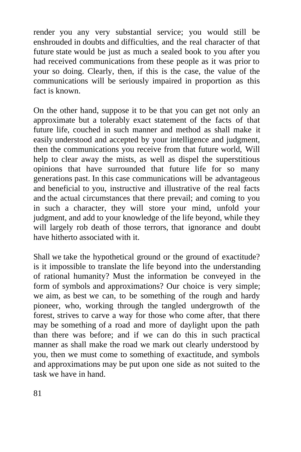render you any very substantial service; you would still be enshrouded in doubts and difficulties, and the real character of that future state would be just as much a sealed book to you after you had received communications from these people as it was prior to your so doing. Clearly, then, if this is the case, the value of the communications will be seriously impaired in proportion as this fact is known.

On the other hand, suppose it to be that you can get not only an approximate but a tolerably exact statement of the facts of that future life, couched in such manner and method as shall make it easily understood and accepted by your intelligence and judgment, then the communications you receive from that future world, Will help to clear away the mists, as well as dispel the superstitious opinions that have surrounded that future life for so many generations past. In this case communications will be advantageous and beneficial to you, instructive and illustrative of the real facts and the actual circumstances that there prevail; and coming to you in such a character, they will store your mind, unfold your judgment, and add to your knowledge of the life beyond, while they will largely rob death of those terrors, that ignorance and doubt have hitherto associated with it.

Shall we take the hypothetical ground or the ground of exactitude? is it impossible to translate the life beyond into the understanding of rational humanity? Must the information be conveyed in the form of symbols and approximations? Our choice is very simple; we aim, as best we can, to be something of the rough and hardy pioneer, who, working through the tangled undergrowth of the forest, strives to carve a way for those who come after, that there may be something of a road and more of daylight upon the path than there was before; and if we can do this in such practical manner as shall make the road we mark out clearly understood by you, then we must come to something of exactitude, and symbols and approximations may be put upon one side as not suited to the task we have in hand.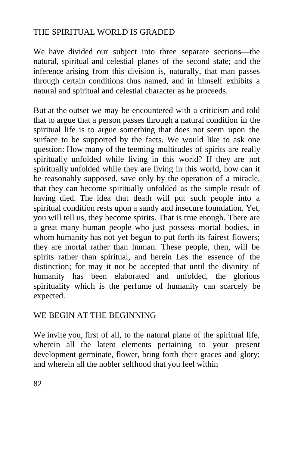### THE SPIRITUAL WORLD IS GRADED

We have divided our subject into three separate sections—the natural, spiritual and celestial planes of the second state; and the inference arising from this division is, naturally, that man passes through certain conditions thus named, and in himself exhibits a natural and spiritual and celestial character as he proceeds.

But at the outset we may be encountered with a criticism and told that to argue that a person passes through a natural condition in the spiritual life is to argue something that does not seem upon the surface to be supported by the facts. We would like to ask one question: How many of the teeming multitudes of spirits are really spiritually unfolded while living in this world? If they are not spiritually unfolded while they are living in this world, how can it be reasonably supposed, save only by the operation of a miracle, that they can become spiritually unfolded as the simple result of having died. The idea that death will put such people into a spiritual condition rests upon a sandy and insecure foundation. Yet, you will tell us, they become spirits. That is true enough. There are a great many human people who just possess mortal bodies, in whom humanity has not yet begun to put forth its fairest flowers; they are mortal rather than human. These people, then, will be spirits rather than spiritual, and herein Les the essence of the distinction; for may it not be accepted that until the divinity of humanity has been elaborated and unfolded, the glorious spirituality which is the perfume of humanity can scarcely be expected.

### WE BEGIN AT THE BEGINNING

We invite you, first of all, to the natural plane of the spiritual life, wherein all the latent elements pertaining to your present development germinate, flower, bring forth their graces and glory; and wherein all the nobler selfhood that you feel within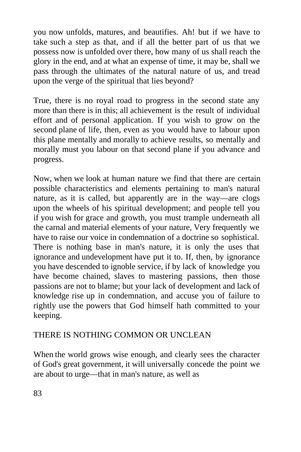you now unfolds, matures, and beautifies. Ah! but if we have to take such a step as that, and if all the better part of us that we possess now is unfolded over there, how many of us shall reach the glory in the end, and at what an expense of time, it may be, shall we pass through the ultimates of the natural nature of us, and tread upon the verge of the spiritual that lies beyond?

True, there is no royal road to progress in the second state any more than there is in this; all achievement is the result of individual effort and of personal application. If you wish to grow on the second plane of life, then, even as you would have to labour upon this plane mentally and morally to achieve results, so mentally and morally must you labour on that second plane if you advance and progress.

Now, when we look at human nature we find that there are certain possible characteristics and elements pertaining to man's natural nature, as it is called, but apparently are in the way—are clogs upon the wheels of his spiritual development; and people tell you if you wish for grace and growth, you must trample underneath all the carnal and material elements of your nature, Very frequently we have to raise our voice in condemnation of a doctrine so sophistical. There is nothing base in man's nature, it is only the uses that ignorance and undevelopment have put it to. If, then, by ignorance you have descended to ignoble service, if by lack of knowledge you have become chained, slaves to mastering passions, then those passions are not to blame; but your lack of development and lack of knowledge rise up in condemnation, and accuse you of failure to rightly use the powers that God himself hath committed to your keeping.

# THERE IS NOTHING COMMON OR UNCLEAN

When the world grows wise enough, and clearly sees the character of God's great government, it will universally concede the point we are about to urge—that in man's nature, as well as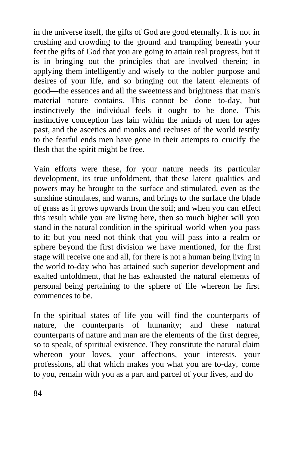in the universe itself, the gifts of God are good eternally. It is not in crushing and crowding to the ground and trampling beneath your feet the gifts of God that you are going to attain real progress, but it is in bringing out the principles that are involved therein; in applying them intelligently and wisely to the nobler purpose and desires of your life, and so bringing out the latent elements of good—the essences and all the sweetness and brightness that man's material nature contains. This cannot be done to-day, but instinctively the individual feels it ought to be done. This instinctive conception has lain within the minds of men for ages past, and the ascetics and monks and recluses of the world testify to the fearful ends men have gone in their attempts to crucify the flesh that the spirit might be free.

Vain efforts were these, for your nature needs its particular development, its true unfoldment, that these latent qualities and powers may be brought to the surface and stimulated, even as the sunshine stimulates, and warms, and brings to the surface the blade of grass as it grows upwards from the soil; and when you can effect this result while you are living here, then so much higher will you stand in the natural condition in the spiritual world when you pass to it; but you need not think that you will pass into a realm or sphere beyond the first division we have mentioned, for the first stage will receive one and all, for there is not a human being living in the world to-day who has attained such superior development and exalted unfoldment, that he has exhausted the natural elements of personal being pertaining to the sphere of life whereon he first commences to be.

In the spiritual states of life you will find the counterparts of nature, the counterparts of humanity; and these natural counterparts of nature and man are the elements of the first degree, so to speak, of spiritual existence. They constitute the natural claim whereon your loves, your affections, your interests, your professions, all that which makes you what you are to-day, come to you, remain with you as a part and parcel of your lives, and do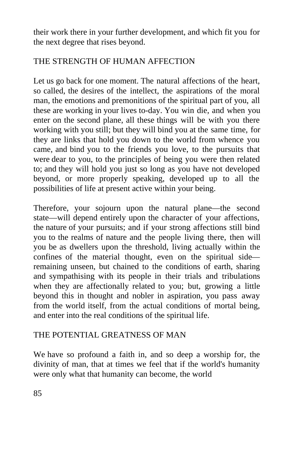their work there in your further development, and which fit you for the next degree that rises beyond.

### THE STRENGTH OF HUMAN AFFECTION

Let us go back for one moment. The natural affections of the heart, so called, the desires of the intellect, the aspirations of the moral man, the emotions and premonitions of the spiritual part of you, all these are working in your lives to-day. You win die, and when you enter on the second plane, all these things will be with you there working with you still; but they will bind you at the same time, for they are links that hold you down to the world from whence you came, and bind you to the friends you love, to the pursuits that were dear to you, to the principles of being you were then related to; and they will hold you just so long as you have not developed beyond, or more properly speaking, developed up to all the possibilities of life at present active within your being.

Therefore, your sojourn upon the natural plane—the second state—will depend entirely upon the character of your affections, the nature of your pursuits; and if your strong affections still bind you to the realms of nature and the people living there, then will you be as dwellers upon the threshold, living actually within the confines of the material thought, even on the spiritual side remaining unseen, but chained to the conditions of earth, sharing and sympathising with its people in their trials and tribulations when they are affectionally related to you; but, growing a little beyond this in thought and nobler in aspiration, you pass away from the world itself, from the actual conditions of mortal being, and enter into the real conditions of the spiritual life.

### THE POTENTIAL GREATNESS OF MAN

We have so profound a faith in, and so deep a worship for, the divinity of man, that at times we feel that if the world's humanity were only what that humanity can become, the world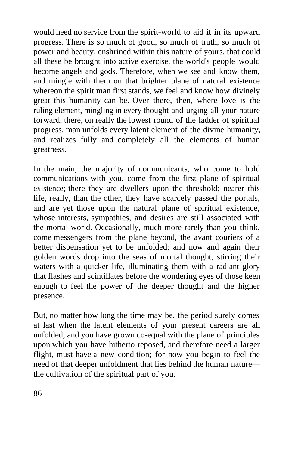would need no service from the spirit-world to aid it in its upward progress. There is so much of good, so much of truth, so much of power and beauty, enshrined within this nature of yours, that could all these be brought into active exercise, the world's people would become angels and gods. Therefore, when we see and know them, and mingle with them on that brighter plane of natural existence whereon the spirit man first stands, we feel and know how divinely great this humanity can be. Over there, then, where love is the ruling element, mingling in every thought and urging all your nature forward, there, on really the lowest round of the ladder of spiritual progress, man unfolds every latent element of the divine humanity, and realizes fully and completely all the elements of human greatness.

In the main, the majority of communicants, who come to hold communications with you, come from the first plane of spiritual existence; there they are dwellers upon the threshold; nearer this life, really, than the other, they have scarcely passed the portals, and are yet those upon the natural plane of spiritual existence, whose interests, sympathies, and desires are still associated with the mortal world. Occasionally, much more rarely than you think, come messengers from the plane beyond, the avant couriers of a better dispensation yet to be unfolded; and now and again their golden words drop into the seas of mortal thought, stirring their waters with a quicker life, illuminating them with a radiant glory that flashes and scintillates before the wondering eyes of those keen enough to feel the power of the deeper thought and the higher presence.

But, no matter how long the time may be, the period surely comes at last when the latent elements of your present careers are all unfolded, and you have grown co-equal with the plane of principles upon which you have hitherto reposed, and therefore need a larger flight, must have a new condition; for now you begin to feel the need of that deeper unfoldment that lies behind the human nature the cultivation of the spiritual part of you.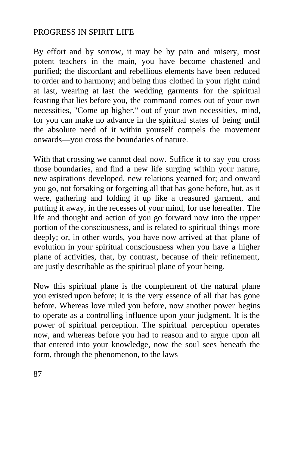#### PROGRESS IN SPIRIT LIFE

By effort and by sorrow, it may be by pain and misery, most potent teachers in the main, you have become chastened and purified; the discordant and rebellious elements have been reduced to order and to harmony; and being thus clothed in your right mind at last, wearing at last the wedding garments for the spiritual feasting that lies before you, the command comes out of your own necessities, "Come up higher." out of your own necessities, mind, for you can make no advance in the spiritual states of being until the absolute need of it within yourself compels the movement onwards—you cross the boundaries of nature.

With that crossing we cannot deal now. Suffice it to say you cross those boundaries, and find a new life surging within your nature, new aspirations developed, new relations yearned for; and onward you go, not forsaking or forgetting all that has gone before, but, as it were, gathering and folding it up like a treasured garment, and putting it away, in the recesses of your mind, for use hereafter. The life and thought and action of you go forward now into the upper portion of the consciousness, and is related to spiritual things more deeply; or, in other words, you have now arrived at that plane of evolution in your spiritual consciousness when you have a higher plane of activities, that, by contrast, because of their refinement, are justly describable as the spiritual plane of your being.

Now this spiritual plane is the complement of the natural plane you existed upon before; it is the very essence of all that has gone before. Whereas love ruled you before, now another power begins to operate as a controlling influence upon your judgment. It is the power of spiritual perception. The spiritual perception operates now, and whereas before you had to reason and to argue upon all that entered into your knowledge, now the soul sees beneath the form, through the phenomenon, to the laws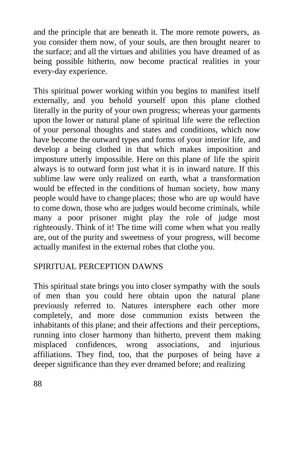and the principle that are beneath it. The more remote powers, as you consider them now, of your souls, are then brought nearer to the surface; and all the virtues and abilities you have dreamed of as being possible hitherto, now become practical realities in your every-day experience.

This spiritual power working within you begins to manifest itself externally, and you behold yourself upon this plane clothed literally in the purity of your own progress; whereas your garments upon the lower or natural plane of spiritual life were the reflection of your personal thoughts and states and conditions, which now have become the outward types and forms of your interior life, and develop a being clothed in that which makes imposition and imposture utterly impossible. Here on this plane of life the spirit always is to outward form just what it is in inward nature. If this sublime law were only realized on earth, what a transformation would be effected in the conditions of human society, how many people would have to change places; those who are up would have to come down, those who are judges would become criminals, while many a poor prisoner might play the role of judge most righteously. Think of it! The time will come when what you really are, out of the purity and sweetness of your progress, will become actually manifest in the external robes that clothe you.

# SPIRITUAL PERCEPTION DAWNS

This spiritual state brings you into closer sympathy with the souls of men than you could here obtain upon the natural plane previously referred to. Natures intersphere each other more completely, and more dose communion exists between the inhabitants of this plane; and their affections and their perceptions, running into closer harmony than hitherto, prevent them making misplaced confidences, wrong associations, and injurious affiliations. They find, too, that the purposes of being have a deeper significance than they ever dreamed before; and realizing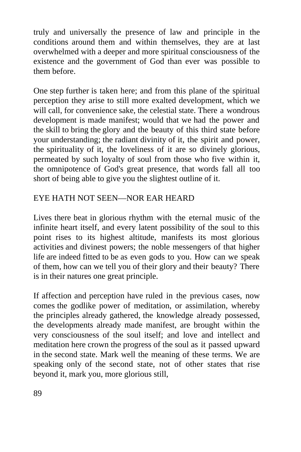truly and universally the presence of law and principle in the conditions around them and within themselves, they are at last overwhelmed with a deeper and more spiritual consciousness of the existence and the government of God than ever was possible to them before.

One step further is taken here; and from this plane of the spiritual perception they arise to still more exalted development, which we will call, for convenience sake, the celestial state. There a wondrous development is made manifest; would that we had the power and the skill to bring the glory and the beauty of this third state before your understanding; the radiant divinity of it, the spirit and power, the spirituality of it, the loveliness of it are so divinely glorious, permeated by such loyalty of soul from those who five within it, the omnipotence of God's great presence, that words fall all too short of being able to give you the slightest outline of it.

# EYE HATH NOT SEEN—NOR EAR HEARD

Lives there beat in glorious rhythm with the eternal music of the infinite heart itself, and every latent possibility of the soul to this point rises to its highest altitude, manifests its most glorious activities and divinest powers; the noble messengers of that higher life are indeed fitted to be as even gods to you. How can we speak of them, how can we tell you of their glory and their beauty? There is in their natures one great principle.

If affection and perception have ruled in the previous cases, now comes the godlike power of meditation, or assimilation, whereby the principles already gathered, the knowledge already possessed, the developments already made manifest, are brought within the very consciousness of the soul itself; and love and intellect and meditation here crown the progress of the soul as it passed upward in the second state. Mark well the meaning of these terms. We are speaking only of the second state, not of other states that rise beyond it, mark you, more glorious still,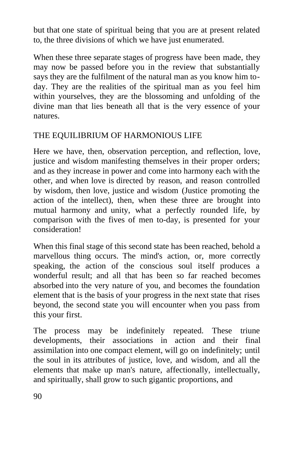but that one state of spiritual being that you are at present related to, the three divisions of which we have just enumerated.

When these three separate stages of progress have been made, they may now be passed before you in the review that substantially says they are the fulfilment of the natural man as you know him today. They are the realities of the spiritual man as you feel him within yourselves, they are the blossoming and unfolding of the divine man that lies beneath all that is the very essence of your natures.

### THE EQUILIBRIUM OF HARMONIOUS LIFE

Here we have, then, observation perception, and reflection, love, justice and wisdom manifesting themselves in their proper orders; and as they increase in power and come into harmony each with the other, and when love is directed by reason, and reason controlled by wisdom, then love, justice and wisdom (Justice promoting the action of the intellect), then, when these three are brought into mutual harmony and unity, what a perfectly rounded life, by comparison with the fives of men to-day, is presented for your consideration!

When this final stage of this second state has been reached, behold a marvellous thing occurs. The mind's action, or, more correctly speaking, the action of the conscious soul itself produces a wonderful result; and all that has been so far reached becomes absorbed into the very nature of you, and becomes the foundation element that is the basis of your progress in the next state that rises beyond, the second state you will encounter when you pass from this your first.

The process may be indefinitely repeated. These triune developments, their associations in action and their final assimilation into one compact element, will go on indefinitely; until the soul in its attributes of justice, love, and wisdom, and all the elements that make up man's nature, affectionally, intellectually, and spiritually, shall grow to such gigantic proportions, and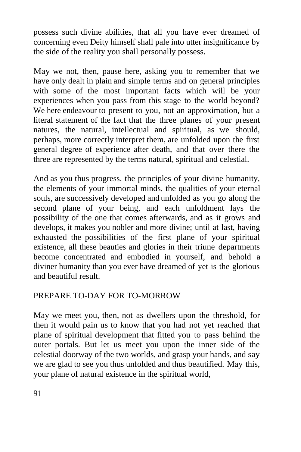possess such divine abilities, that all you have ever dreamed of concerning even Deity himself shall pale into utter insignificance by the side of the reality you shall personally possess.

May we not, then, pause here, asking you to remember that we have only dealt in plain and simple terms and on general principles with some of the most important facts which will be your experiences when you pass from this stage to the world beyond? We here endeavour to present to you, not an approximation, but a literal statement of the fact that the three planes of your present natures, the natural, intellectual and spiritual, as we should, perhaps, more correctly interpret them, are unfolded upon the first general degree of experience after death, and that over there the three are represented by the terms natural, spiritual and celestial.

And as you thus progress, the principles of your divine humanity, the elements of your immortal minds, the qualities of your eternal souls, are successively developed and unfolded as you go along the second plane of your being, and each unfoldment lays the possibility of the one that comes afterwards, and as it grows and develops, it makes you nobler and more divine; until at last, having exhausted the possibilities of the first plane of your spiritual existence, all these beauties and glories in their triune departments become concentrated and embodied in yourself, and behold a diviner humanity than you ever have dreamed of yet is the glorious and beautiful result.

### PREPARE TO-DAY FOR TO-MORROW

May we meet you, then, not as dwellers upon the threshold, for then it would pain us to know that you had not yet reached that plane of spiritual development that fitted you to pass behind the outer portals. But let us meet you upon the inner side of the celestial doorway of the two worlds, and grasp your hands, and say we are glad to see you thus unfolded and thus beautified. May this, your plane of natural existence in the spiritual world,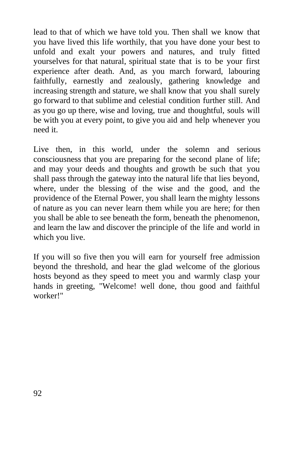lead to that of which we have told you. Then shall we know that you have lived this life worthily, that you have done your best to unfold and exalt your powers and natures, and truly fitted yourselves for that natural, spiritual state that is to be your first experience after death. And, as you march forward, labouring faithfully, earnestly and zealously, gathering knowledge and increasing strength and stature, we shall know that you shall surely go forward to that sublime and celestial condition further still. And as you go up there, wise and loving, true and thoughtful, souls will be with you at every point, to give you aid and help whenever you need it.

Live then, in this world, under the solemn and serious consciousness that you are preparing for the second plane of life; and may your deeds and thoughts and growth be such that you shall pass through the gateway into the natural life that lies beyond, where, under the blessing of the wise and the good, and the providence of the Eternal Power, you shall learn the mighty lessons of nature as you can never learn them while you are here; for then you shall be able to see beneath the form, beneath the phenomenon, and learn the law and discover the principle of the life and world in which you live.

If you will so five then you will earn for yourself free admission beyond the threshold, and hear the glad welcome of the glorious hosts beyond as they speed to meet you and warmly clasp your hands in greeting, "Welcome! well done, thou good and faithful worker!"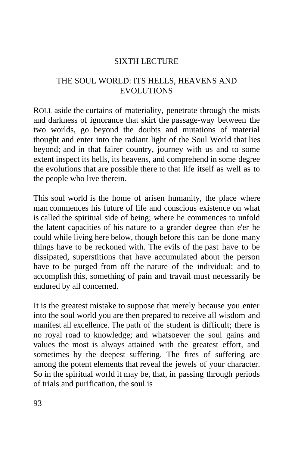#### SIXTH LECTURE

### THE SOUL WORLD: ITS HELLS, HEAVENS AND EVOLUTIONS

ROLL aside the curtains of materiality, penetrate through the mists and darkness of ignorance that skirt the passage-way between the two worlds, go beyond the doubts and mutations of material thought and enter into the radiant light of the Soul World that lies beyond; and in that fairer country, journey with us and to some extent inspect its hells, its heavens, and comprehend in some degree the evolutions that are possible there to that life itself as well as to the people who live therein.

This soul world is the home of arisen humanity, the place where man commences his future of life and conscious existence on what is called the spiritual side of being; where he commences to unfold the latent capacities of his nature to a grander degree than e'er he could while living here below, though before this can be done many things have to be reckoned with. The evils of the past have to be dissipated, superstitions that have accumulated about the person have to be purged from off the nature of the individual; and to accomplish this, something of pain and travail must necessarily be endured by all concerned.

It is the greatest mistake to suppose that merely because you enter into the soul world you are then prepared to receive all wisdom and manifest all excellence. The path of the student is difficult; there is no royal road to knowledge; and whatsoever the soul gains and values the most is always attained with the greatest effort, and sometimes by the deepest suffering. The fires of suffering are among the potent elements that reveal the jewels of your character. So in the spiritual world it may be, that, in passing through periods of trials and purification, the soul is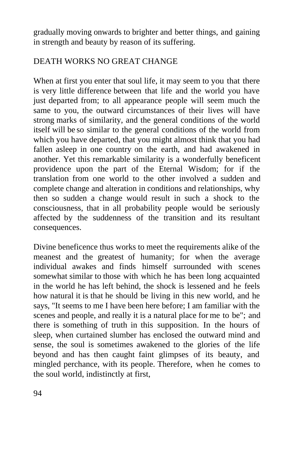gradually moving onwards to brighter and better things, and gaining in strength and beauty by reason of its suffering.

### DEATH WORKS NO GREAT CHANGE

When at first you enter that soul life, it may seem to you that there is very little difference between that life and the world you have just departed from; to all appearance people will seem much the same to you, the outward circumstances of their lives will have strong marks of similarity, and the general conditions of the world itself will be so similar to the general conditions of the world from which you have departed, that you might almost think that you had fallen asleep in one country on the earth, and had awakened in another. Yet this remarkable similarity is a wonderfully beneficent providence upon the part of the Eternal Wisdom; for if the translation from one world to the other involved a sudden and complete change and alteration in conditions and relationships, why then so sudden a change would result in such a shock to the consciousness, that in all probability people would be seriously affected by the suddenness of the transition and its resultant consequences.

Divine beneficence thus works to meet the requirements alike of the meanest and the greatest of humanity; for when the average individual awakes and finds himself surrounded with scenes somewhat similar to those with which he has been long acquainted in the world he has left behind, the shock is lessened and he feels how natural it is that he should be living in this new world, and he says, "It seems to me I have been here before; I am familiar with the scenes and people, and really it is a natural place for me to be"; and there is something of truth in this supposition. In the hours of sleep, when curtained slumber has enclosed the outward mind and sense, the soul is sometimes awakened to the glories of the life beyond and has then caught faint glimpses of its beauty, and mingled perchance, with its people. Therefore, when he comes to the soul world, indistinctly at first,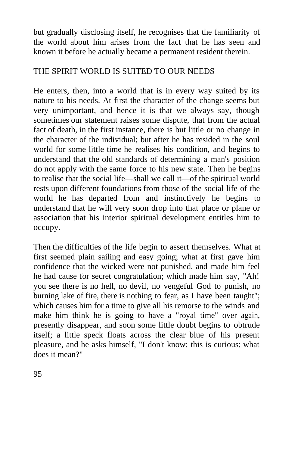but gradually disclosing itself, he recognises that the familiarity of the world about him arises from the fact that he has seen and known it before he actually became a permanent resident therein.

### THE SPIRIT WORLD IS SUITED TO OUR NEEDS

He enters, then, into a world that is in every way suited by its nature to his needs. At first the character of the change seems but very unimportant, and hence it is that we always say, though sometimes our statement raises some dispute, that from the actual fact of death, in the first instance, there is but little or no change in the character of the individual; but after he has resided in the soul world for some little time he realises his condition, and begins to understand that the old standards of determining a man's position do not apply with the same force to his new state. Then he begins to realise that the social life—shall we call it—of the spiritual world rests upon different foundations from those of the social life of the world he has departed from and instinctively he begins to understand that he will very soon drop into that place or plane or association that his interior spiritual development entitles him to occupy.

Then the difficulties of the life begin to assert themselves. What at first seemed plain sailing and easy going; what at first gave him confidence that the wicked were not punished, and made him feel he had cause for secret congratulation; which made him say, "Ah! you see there is no hell, no devil, no vengeful God to punish, no burning lake of fire, there is nothing to fear, as I have been taught"; which causes him for a time to give all his remorse to the winds and make him think he is going to have a "royal time" over again, presently disappear, and soon some little doubt begins to obtrude itself; a little speck floats across the clear blue of his present pleasure, and he asks himself, "I don't know; this is curious; what does it mean?"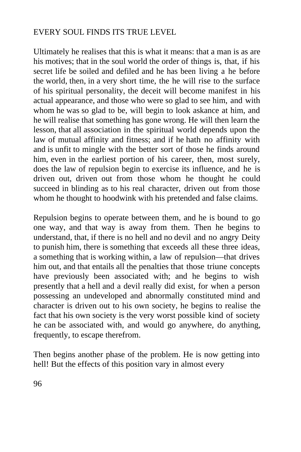### EVERY SOUL FINDS ITS TRUE LEVEL

Ultimately he realises that this is what it means: that a man is as are his motives; that in the soul world the order of things is, that, if his secret life be soiled and defiled and he has been living a he before the world, then, in a very short time, the he will rise to the surface of his spiritual personality, the deceit will become manifest in his actual appearance, and those who were so glad to see him, and with whom he was so glad to be, will begin to look askance at him, and he will realise that something has gone wrong. He will then learn the lesson, that all association in the spiritual world depends upon the law of mutual affinity and fitness; and if he hath no affinity with and is unfit to mingle with the better sort of those he finds around him, even in the earliest portion of his career, then, most surely, does the law of repulsion begin to exercise its influence, and he is driven out, driven out from those whom he thought he could succeed in blinding as to his real character, driven out from those whom he thought to hoodwink with his pretended and false claims.

Repulsion begins to operate between them, and he is bound to go one way, and that way is away from them. Then he begins to understand, that, if there is no hell and no devil and no angry Deity to punish him, there is something that exceeds all these three ideas, a something that is working within, a law of repulsion—that drives him out, and that entails all the penalties that those triune concepts have previously been associated with; and he begins to wish presently that a hell and a devil really did exist, for when a person possessing an undeveloped and abnormally constituted mind and character is driven out to his own society, he begins to realise the fact that his own society is the very worst possible kind of society he can be associated with, and would go anywhere, do anything, frequently, to escape therefrom.

Then begins another phase of the problem. He is now getting into hell! But the effects of this position vary in almost every

96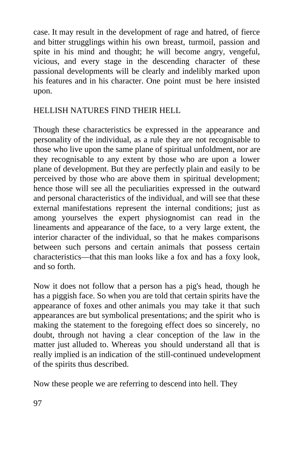case. It may result in the development of rage and hatred, of fierce and bitter strugglings within his own breast, turmoil, passion and spite in his mind and thought; he will become angry, vengeful, vicious, and every stage in the descending character of these passional developments will be clearly and indelibly marked upon his features and in his character. One point must be here insisted upon.

### HELLISH NATURES FIND THEIR HELL

Though these characteristics be expressed in the appearance and personality of the individual, as a rule they are not recognisable to those who live upon the same plane of spiritual unfoldment, nor are they recognisable to any extent by those who are upon a lower plane of development. But they are perfectly plain and easily to be perceived by those who are above them in spiritual development; hence those will see all the peculiarities expressed in the outward and personal characteristics of the individual, and will see that these external manifestations represent the internal conditions; just as among yourselves the expert physiognomist can read in the lineaments and appearance of the face, to a very large extent, the interior character of the individual, so that he makes comparisons between such persons and certain animals that possess certain characteristics—that this man looks like a fox and has a foxy look, and so forth.

Now it does not follow that a person has a pig's head, though he has a piggish face. So when you are told that certain spirits have the appearance of foxes and other animals you may take it that such appearances are but symbolical presentations; and the spirit who is making the statement to the foregoing effect does so sincerely, no doubt, through not having a clear conception of the law in the matter just alluded to. Whereas you should understand all that is really implied is an indication of the still-continued undevelopment of the spirits thus described.

Now these people we are referring to descend into hell. They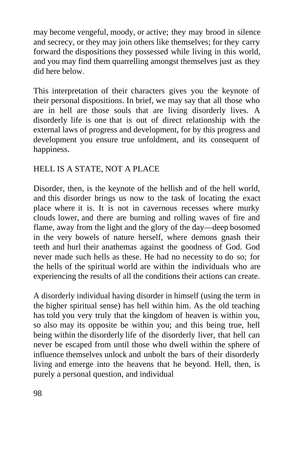may become vengeful, moody, or active; they may brood in silence and secrecy, or they may join others like themselves; for they carry forward the dispositions they possessed while living in this world, and you may find them quarrelling amongst themselves just as they did here below.

This interpretation of their characters gives you the keynote of their personal dispositions. In brief, we may say that all those who are in hell are those souls that are living disorderly lives. A disorderly life is one that is out of direct relationship with the external laws of progress and development, for by this progress and development you ensure true unfoldment, and its consequent of happiness.

# HELL IS A STATE, NOT A PLACE

Disorder, then, is the keynote of the hellish and of the hell world, and this disorder brings us now to the task of locating the exact place where it is. It is not in cavernous recesses where murky clouds lower, and there are burning and rolling waves of fire and flame, away from the light and the glory of the day—deep bosomed in the very bowels of nature herself, where demons gnash their teeth and hurl their anathemas against the goodness of God. God never made such hells as these. He had no necessity to do so; for the hells of the spiritual world are within the individuals who are experiencing the results of all the conditions their actions can create.

A disorderly individual having disorder in himself (using the term in the higher spiritual sense) has hell within him. As the old teaching has told you very truly that the kingdom of heaven is within you, so also may its opposite be within you; and this being true, hell being within the disorderly life of the disorderly liver, that hell can never be escaped from until those who dwell within the sphere of influence themselves unlock and unbolt the bars of their disorderly living and emerge into the heavens that he beyond. Hell, then, is purely a personal question, and individual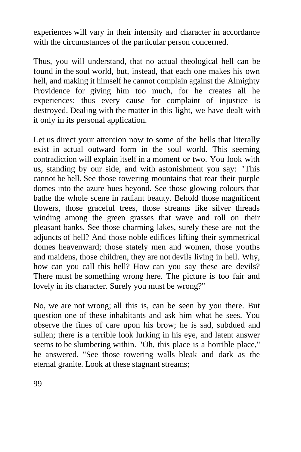experiences will vary in their intensity and character in accordance with the circumstances of the particular person concerned.

Thus, you will understand, that no actual theological hell can be found in the soul world, but, instead, that each one makes his own hell, and making it himself he cannot complain against the Almighty Providence for giving him too much, for he creates all he experiences; thus every cause for complaint of injustice is destroyed. Dealing with the matter in this light, we have dealt with it only in its personal application.

Let us direct your attention now to some of the hells that literally exist in actual outward form in the soul world. This seeming contradiction will explain itself in a moment or two. You look with us, standing by our side, and with astonishment you say: "This cannot be hell. See those towering mountains that rear their purple domes into the azure hues beyond. See those glowing colours that bathe the whole scene in radiant beauty. Behold those magnificent flowers, those graceful trees, those streams like silver threads winding among the green grasses that wave and roll on their pleasant banks. See those charming lakes, surely these are not the adjuncts of hell? And those noble edifices lifting their symmetrical domes heavenward; those stately men and women, those youths and maidens, those children, they are not devils living in hell. Why, how can you call this hell? How can you say these are devils? There must be something wrong here. The picture is too fair and lovely in its character. Surely you must be wrong?"

No, we are not wrong; all this is, can be seen by you there. But question one of these inhabitants and ask him what he sees. You observe the fines of care upon his brow; he is sad, subdued and sullen; there is a terrible look lurking in his eye, and latent answer seems to be slumbering within. "Oh, this place is a horrible place," he answered. "See those towering walls bleak and dark as the eternal granite. Look at these stagnant streams;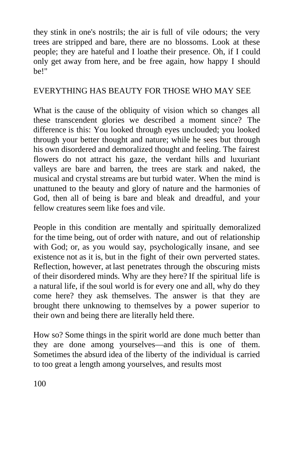they stink in one's nostrils; the air is full of vile odours; the very trees are stripped and bare, there are no blossoms. Look at these people; they are hateful and I loathe their presence. Oh, if I could only get away from here, and be free again, how happy I should be!"

### EVERYTHING HAS BEAUTY FOR THOSE WHO MAY SEE

What is the cause of the obliquity of vision which so changes all these transcendent glories we described a moment since? The difference is this: You looked through eyes unclouded; you looked through your better thought and nature; while he sees but through his own disordered and demoralized thought and feeling. The fairest flowers do not attract his gaze, the verdant hills and luxuriant valleys are bare and barren, the trees are stark and naked, the musical and crystal streams are but turbid water. When the mind is unattuned to the beauty and glory of nature and the harmonies of God, then all of being is bare and bleak and dreadful, and your fellow creatures seem like foes and vile.

People in this condition are mentally and spiritually demoralized for the time being, out of order with nature, and out of relationship with God; or, as you would say, psychologically insane, and see existence not as it is, but in the fight of their own perverted states. Reflection, however, at last penetrates through the obscuring mists of their disordered minds. Why are they here? If the spiritual life is a natural life, if the soul world is for every one and all, why do they come here? they ask themselves. The answer is that they are brought there unknowing to themselves by a power superior to their own and being there are literally held there.

How so? Some things in the spirit world are done much better than they are done among yourselves—and this is one of them. Sometimes the absurd idea of the liberty of the individual is carried to too great a length among yourselves, and results most

100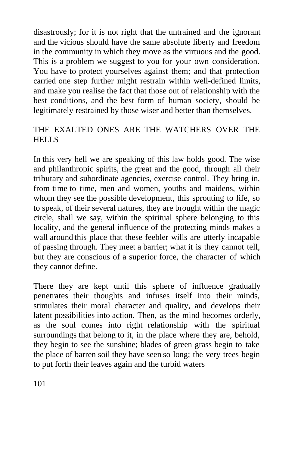disastrously; for it is not right that the untrained and the ignorant and the vicious should have the same absolute liberty and freedom in the community in which they move as the virtuous and the good. This is a problem we suggest to you for your own consideration. You have to protect yourselves against them; and that protection carried one step further might restrain within well-defined limits, and make you realise the fact that those out of relationship with the best conditions, and the best form of human society, should be legitimately restrained by those wiser and better than themselves.

### THE EXALTED ONES ARE THE WATCHERS OVER THE **HELLS**

In this very hell we are speaking of this law holds good. The wise and philanthropic spirits, the great and the good, through all their tributary and subordinate agencies, exercise control. They bring in, from time to time, men and women, youths and maidens, within whom they see the possible development, this sprouting to life, so to speak, of their several natures, they are brought within the magic circle, shall we say, within the spiritual sphere belonging to this locality, and the general influence of the protecting minds makes a wall around this place that these feebler wills are utterly incapable of passing through. They meet a barrier; what it is they cannot tell, but they are conscious of a superior force, the character of which they cannot define.

There they are kept until this sphere of influence gradually penetrates their thoughts and infuses itself into their minds, stimulates their moral character and quality, and develops their latent possibilities into action. Then, as the mind becomes orderly, as the soul comes into right relationship with the spiritual surroundings that belong to it, in the place where they are, behold, they begin to see the sunshine; blades of green grass begin to take the place of barren soil they have seen so long; the very trees begin to put forth their leaves again and the turbid waters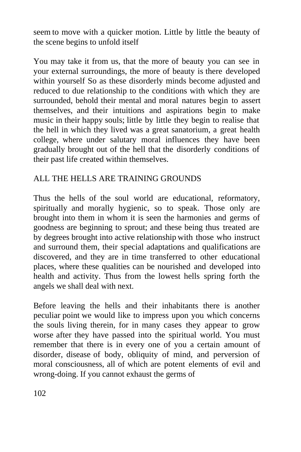seem to move with a quicker motion. Little by little the beauty of the scene begins to unfold itself

You may take it from us, that the more of beauty you can see in your external surroundings, the more of beauty is there developed within yourself So as these disorderly minds become adjusted and reduced to due relationship to the conditions with which they are surrounded, behold their mental and moral natures begin to assert themselves, and their intuitions and aspirations begin to make music in their happy souls; little by little they begin to realise that the hell in which they lived was a great sanatorium, a great health college, where under salutary moral influences they have been gradually brought out of the hell that the disorderly conditions of their past life created within themselves.

### ALL THE HELLS ARE TRAINING GROUNDS

Thus the hells of the soul world are educational, reformatory, spiritually and morally hygienic, so to speak. Those only are brought into them in whom it is seen the harmonies and germs of goodness are beginning to sprout; and these being thus treated are by degrees brought into active relationship with those who instruct and surround them, their special adaptations and qualifications are discovered, and they are in time transferred to other educational places, where these qualities can be nourished and developed into health and activity. Thus from the lowest hells spring forth the angels we shall deal with next.

Before leaving the hells and their inhabitants there is another peculiar point we would like to impress upon you which concerns the souls living therein, for in many cases they appear to grow worse after they have passed into the spiritual world. You must remember that there is in every one of you a certain amount of disorder, disease of body, obliquity of mind, and perversion of moral consciousness, all of which are potent elements of evil and wrong-doing. If you cannot exhaust the germs of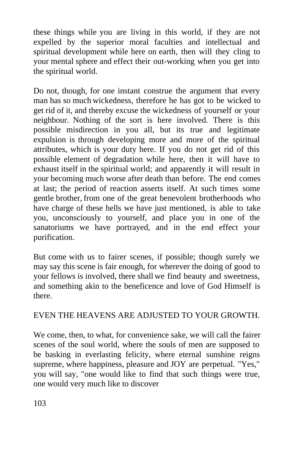these things while you are living in this world, if they are not expelled by the superior moral faculties and intellectual and spiritual development while here on earth, then will they cling to your mental sphere and effect their out-working when you get into the spiritual world.

Do not, though, for one instant construe the argument that every man has so much wickedness, therefore he has got to be wicked to get rid of it, and thereby excuse the wickedness of yourself or your neighbour. Nothing of the sort is here involved. There is this possible misdirection in you all, but its true and legitimate expulsion is through developing more and more of the spiritual attributes, which is your duty here. If you do not get rid of this possible element of degradation while here, then it will have to exhaust itself in the spiritual world; and apparently it will result in your becoming much worse after death than before. The end comes at last; the period of reaction asserts itself. At such times some gentle brother, from one of the great benevolent brotherhoods who have charge of these hells we have just mentioned, is able to take you, unconsciously to yourself, and place you in one of the sanatoriums we have portrayed, and in the end effect your purification.

But come with us to fairer scenes, if possible; though surely we may say this scene is fair enough, for wherever the doing of good to your fellows is involved, there shall we find beauty and sweetness, and something akin to the beneficence and love of God Himself is there.

### EVEN THE HEAVENS ARE ADJUSTED TO YOUR GROWTH.

We come, then, to what, for convenience sake, we will call the fairer scenes of the soul world, where the souls of men are supposed to be basking in everlasting felicity, where eternal sunshine reigns supreme, where happiness, pleasure and JOY are perpetual. "Yes," you will say, "one would like to find that such things were true, one would very much like to discover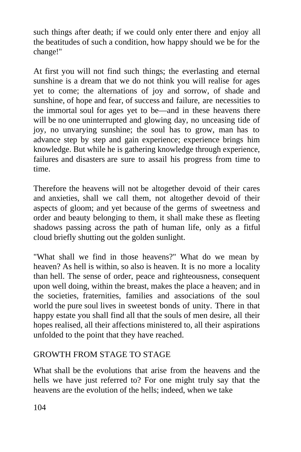such things after death; if we could only enter there and enjoy all the beatitudes of such a condition, how happy should we be for the change!"

At first you will not find such things; the everlasting and eternal sunshine is a dream that we do not think you will realise for ages yet to come; the alternations of joy and sorrow, of shade and sunshine, of hope and fear, of success and failure, are necessities to the immortal soul for ages yet to be—and in these heavens there will be no one uninterrupted and glowing day, no unceasing tide of joy, no unvarying sunshine; the soul has to grow, man has to advance step by step and gain experience; experience brings him knowledge. But while he is gathering knowledge through experience, failures and disasters are sure to assail his progress from time to time.

Therefore the heavens will not be altogether devoid of their cares and anxieties, shall we call them, not altogether devoid of their aspects of gloom; and yet because of the germs of sweetness and order and beauty belonging to them, it shall make these as fleeting shadows passing across the path of human life, only as a fitful cloud briefly shutting out the golden sunlight.

"What shall we find in those heavens?" What do we mean by heaven? As hell is within, so also is heaven. It is no more a locality than hell. The sense of order, peace and righteousness, consequent upon well doing, within the breast, makes the place a heaven; and in the societies, fraternities, families and associations of the soul world the pure soul lives in sweetest bonds of unity. There in that happy estate you shall find all that the souls of men desire, all their hopes realised, all their affections ministered to, all their aspirations unfolded to the point that they have reached.

### GROWTH FROM STAGE TO STAGE

What shall be the evolutions that arise from the heavens and the hells we have just referred to? For one might truly say that the heavens are the evolution of the hells; indeed, when we take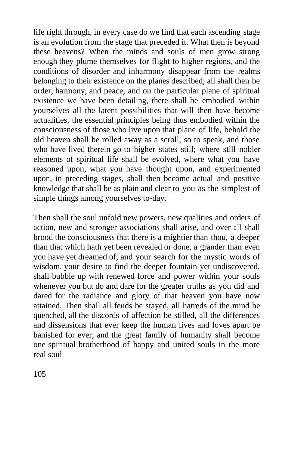life right through, in every case do we find that each ascending stage is an evolution from the stage that preceded it. What then is beyond these heavens? When the minds and souls of men grow strong enough they plume themselves for flight to higher regions, and the conditions of disorder and inharmony disappear from the realms belonging to their existence on the planes described; all shall then be order, harmony, and peace, and on the particular plane of spiritual existence we have been detailing, there shall be embodied within yourselves all the latent possibilities that will then have become actualities, the essential principles being thus embodied within the consciousness of those who live upon that plane of life, behold the old heaven shall be rolled away as a scroll, so to speak, and those who have lived therein go to higher states still; where still nobler elements of spiritual life shall be evolved, where what you have reasoned upon, what you have thought upon, and experimented upon, in preceding stages, shall then become actual and positive knowledge that shall be as plain and clear to you as the simplest of simple things among yourselves to-day.

Then shall the soul unfold new powers, new qualities and orders of action, new and stronger associations shall arise, and over all shall brood the consciousness that there is a mightier than thou, a deeper than that which hath yet been revealed or done, a grander than even you have yet dreamed of; and your search for the mystic words of wisdom, your desire to find the deeper fountain yet undiscovered, shall bubble up with renewed force and power within your souls whenever you but do and dare for the greater truths as you did and dared for the radiance and glory of that heaven you have now attained. Then shall all feuds be stayed, all hatreds of the mind be quenched, all the discords of affection be stilled, all the differences and dissensions that ever keep the human lives and loves apart be banished for ever; and the great family of humanity shall become one spiritual brotherhood of happy and united souls in the more real soul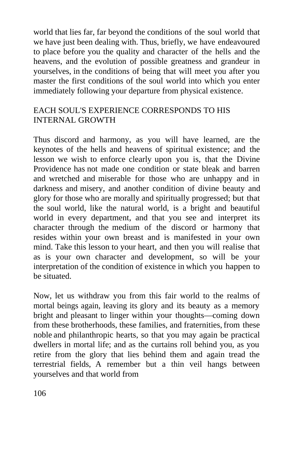world that lies far, far beyond the conditions of the soul world that we have just been dealing with. Thus, briefly, we have endeavoured to place before you the quality and character of the hells and the heavens, and the evolution of possible greatness and grandeur in yourselves, in the conditions of being that will meet you after you master the first conditions of the soul world into which you enter immediately following your departure from physical existence.

# EACH SOUL'S EXPERIENCE CORRESPONDS TO HIS INTERNAL GROWTH

Thus discord and harmony, as you will have learned, are the keynotes of the hells and heavens of spiritual existence; and the lesson we wish to enforce clearly upon you is, that the Divine Providence has not made one condition or state bleak and barren and wretched and miserable for those who are unhappy and in darkness and misery, and another condition of divine beauty and glory for those who are morally and spiritually progressed; but that the soul world, like the natural world, is a bright and beautiful world in every department, and that you see and interpret its character through the medium of the discord or harmony that resides within your own breast and is manifested in your own mind. Take this lesson to your heart, and then you will realise that as is your own character and development, so will be your interpretation of the condition of existence in which you happen to be situated.

Now, let us withdraw you from this fair world to the realms of mortal beings again, leaving its glory and its beauty as a memory bright and pleasant to linger within your thoughts—coming down from these brotherhoods, these families, and fraternities, from these noble and philanthropic hearts, so that you may again be practical dwellers in mortal life; and as the curtains roll behind you, as you retire from the glory that lies behind them and again tread the terrestrial fields, A remember but a thin veil hangs between yourselves and that world from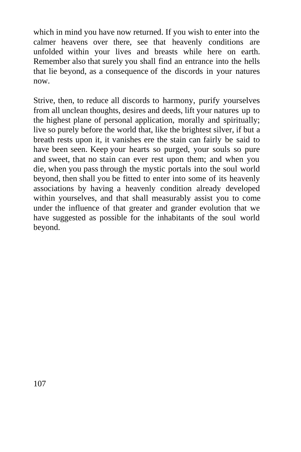which in mind you have now returned. If you wish to enter into the calmer heavens over there, see that heavenly conditions are unfolded within your lives and breasts while here on earth. Remember also that surely you shall find an entrance into the hells that lie beyond, as a consequence of the discords in your natures now.

Strive, then, to reduce all discords to harmony, purify yourselves from all unclean thoughts, desires and deeds, lift your natures up to the highest plane of personal application, morally and spiritually; live so purely before the world that, like the brightest silver, if but a breath rests upon it, it vanishes ere the stain can fairly be said to have been seen. Keep your hearts so purged, your souls so pure and sweet, that no stain can ever rest upon them; and when you die, when you pass through the mystic portals into the soul world beyond, then shall you be fitted to enter into some of its heavenly associations by having a heavenly condition already developed within yourselves, and that shall measurably assist you to come under the influence of that greater and grander evolution that we have suggested as possible for the inhabitants of the soul world beyond.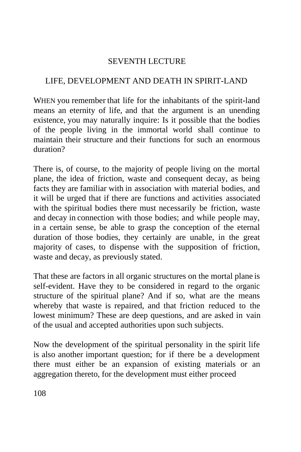# SEVENTH LECTURE

### LIFE, DEVELOPMENT AND DEATH IN SPIRIT-LAND

WHEN you remember that life for the inhabitants of the spirit-land means an eternity of life, and that the argument is an unending existence, you may naturally inquire: Is it possible that the bodies of the people living in the immortal world shall continue to maintain their structure and their functions for such an enormous duration?

There is, of course, to the majority of people living on the mortal plane, the idea of friction, waste and consequent decay, as being facts they are familiar with in association with material bodies, and it will be urged that if there are functions and activities associated with the spiritual bodies there must necessarily be friction, waste and decay in connection with those bodies; and while people may, in a certain sense, be able to grasp the conception of the eternal duration of those bodies, they certainly are unable, in the great majority of cases, to dispense with the supposition of friction, waste and decay, as previously stated.

That these are factors in all organic structures on the mortal plane is self-evident. Have they to be considered in regard to the organic structure of the spiritual plane? And if so, what are the means whereby that waste is repaired, and that friction reduced to the lowest minimum? These are deep questions, and are asked in vain of the usual and accepted authorities upon such subjects.

Now the development of the spiritual personality in the spirit life is also another important question; for if there be a development there must either be an expansion of existing materials or an aggregation thereto, for the development must either proceed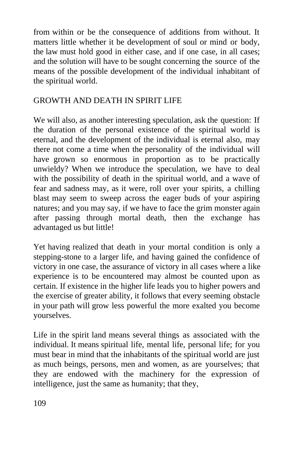from within or be the consequence of additions from without. It matters little whether it be development of soul or mind or body, the law must hold good in either case, and if one case, in all cases; and the solution will have to be sought concerning the source of the means of the possible development of the individual inhabitant of the spiritual world.

### GROWTH AND DEATH IN SPIRIT LIFE

We will also, as another interesting speculation, ask the question: If the duration of the personal existence of the spiritual world is eternal, and the development of the individual is eternal also, may there not come a time when the personality of the individual will have grown so enormous in proportion as to be practically unwieldy? When we introduce the speculation, we have to deal with the possibility of death in the spiritual world, and a wave of fear and sadness may, as it were, roll over your spirits, a chilling blast may seem to sweep across the eager buds of your aspiring natures; and you may say, if we have to face the grim monster again after passing through mortal death, then the exchange has advantaged us but little!

Yet having realized that death in your mortal condition is only a stepping-stone to a larger life, and having gained the confidence of victory in one case, the assurance of victory in all cases where a like experience is to be encountered may almost be counted upon as certain. If existence in the higher life leads you to higher powers and the exercise of greater ability, it follows that every seeming obstacle in your path will grow less powerful the more exalted you become yourselves.

Life in the spirit land means several things as associated with the individual. It means spiritual life, mental life, personal life; for you must bear in mind that the inhabitants of the spiritual world are just as much beings, persons, men and women, as are yourselves; that they are endowed with the machinery for the expression of intelligence, just the same as humanity; that they,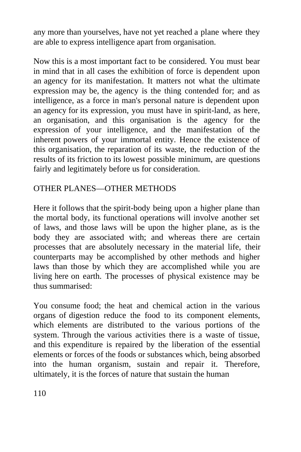any more than yourselves, have not yet reached a plane where they are able to express intelligence apart from organisation.

Now this is a most important fact to be considered. You must bear in mind that in all cases the exhibition of force is dependent upon an agency for its manifestation. It matters not what the ultimate expression may be, the agency is the thing contended for; and as intelligence, as a force in man's personal nature is dependent upon an agency for its expression, you must have in spirit-land, as here, an organisation, and this organisation is the agency for the expression of your intelligence, and the manifestation of the inherent powers of your immortal entity. Hence the existence of this organisation, the reparation of its waste, the reduction of the results of its friction to its lowest possible minimum, are questions fairly and legitimately before us for consideration.

# OTHER PLANES—OTHER METHODS

Here it follows that the spirit-body being upon a higher plane than the mortal body, its functional operations will involve another set of laws, and those laws will be upon the higher plane, as is the body they are associated with; and whereas there are certain processes that are absolutely necessary in the material life, their counterparts may be accomplished by other methods and higher laws than those by which they are accomplished while you are living here on earth. The processes of physical existence may be thus summarised:

You consume food; the heat and chemical action in the various organs of digestion reduce the food to its component elements, which elements are distributed to the various portions of the system. Through the various activities there is a waste of tissue, and this expenditure is repaired by the liberation of the essential elements or forces of the foods or substances which, being absorbed into the human organism, sustain and repair it. Therefore, ultimately, it is the forces of nature that sustain the human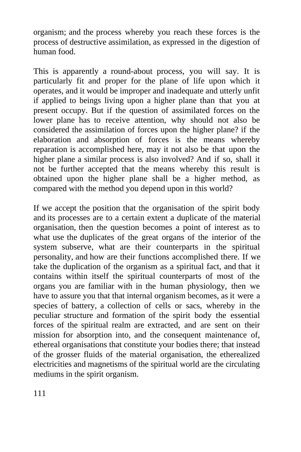organism; and the process whereby you reach these forces is the process of destructive assimilation, as expressed in the digestion of human food.

This is apparently a round-about process, you will say. It is particularly fit and proper for the plane of life upon which it operates, and it would be improper and inadequate and utterly unfit if applied to beings living upon a higher plane than that you at present occupy. But if the question of assimilated forces on the lower plane has to receive attention, why should not also be considered the assimilation of forces upon the higher plane? if the elaboration and absorption of forces is the means whereby reparation is accomplished here, may it not also be that upon the higher plane a similar process is also involved? And if so, shall it not be further accepted that the means whereby this result is obtained upon the higher plane shall be a higher method, as compared with the method you depend upon in this world?

If we accept the position that the organisation of the spirit body and its processes are to a certain extent a duplicate of the material organisation, then the question becomes a point of interest as to what use the duplicates of the great organs of the interior of the system subserve, what are their counterparts in the spiritual personality, and how are their functions accomplished there. If we take the duplication of the organism as a spiritual fact, and that it contains within itself the spiritual counterparts of most of the organs you are familiar with in the human physiology, then we have to assure you that that internal organism becomes, as it were a species of battery, a collection of cells or sacs, whereby in the peculiar structure and formation of the spirit body the essential forces of the spiritual realm are extracted, and are sent on their mission for absorption into, and the consequent maintenance of, ethereal organisations that constitute your bodies there; that instead of the grosser fluids of the material organisation, the etherealized electricities and magnetisms of the spiritual world are the circulating mediums in the spirit organism.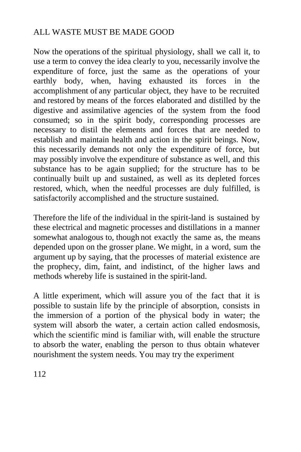### ALL WASTE MUST BE MADE GOOD

Now the operations of the spiritual physiology, shall we call it, to use a term to convey the idea clearly to you, necessarily involve the expenditure of force, just the same as the operations of your earthly body, when, having exhausted its forces in the accomplishment of any particular object, they have to be recruited and restored by means of the forces elaborated and distilled by the digestive and assimilative agencies of the system from the food consumed; so in the spirit body, corresponding processes are necessary to distil the elements and forces that are needed to establish and maintain health and action in the spirit beings. Now, this necessarily demands not only the expenditure of force, but may possibly involve the expenditure of substance as well, and this substance has to be again supplied; for the structure has to be continually built up and sustained, as well as its depleted forces restored, which, when the needful processes are duly fulfilled, is satisfactorily accomplished and the structure sustained.

Therefore the life of the individual in the spirit-land is sustained by these electrical and magnetic processes and distillations in a manner somewhat analogous to, though not exactly the same as, the means depended upon on the grosser plane. We might, in a word, sum the argument up by saying, that the processes of material existence are the prophecy, dim, faint, and indistinct, of the higher laws and methods whereby life is sustained in the spirit-land.

A little experiment, which will assure you of the fact that it is possible to sustain life by the principle of absorption, consists in the immersion of a portion of the physical body in water; the system will absorb the water, a certain action called endosmosis, which the scientific mind is familiar with, will enable the structure to absorb the water, enabling the person to thus obtain whatever nourishment the system needs. You may try the experiment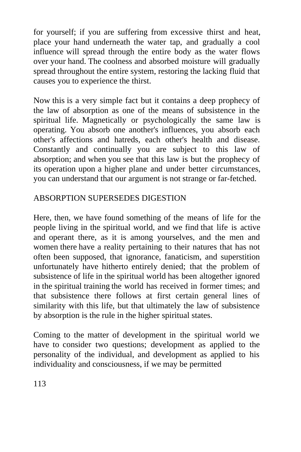for yourself; if you are suffering from excessive thirst and heat, place your hand underneath the water tap, and gradually a cool influence will spread through the entire body as the water flows over your hand. The coolness and absorbed moisture will gradually spread throughout the entire system, restoring the lacking fluid that causes you to experience the thirst.

Now this is a very simple fact but it contains a deep prophecy of the law of absorption as one of the means of subsistence in the spiritual life. Magnetically or psychologically the same law is operating. You absorb one another's influences, you absorb each other's affections and hatreds, each other's health and disease. Constantly and continually you are subject to this law of absorption; and when you see that this law is but the prophecy of its operation upon a higher plane and under better circumstances, you can understand that our argument is not strange or far-fetched.

### ABSORPTION SUPERSEDES DIGESTION

Here, then, we have found something of the means of life for the people living in the spiritual world, and we find that life is active and operant there, as it is among yourselves, and the men and women there have a reality pertaining to their natures that has not often been supposed, that ignorance, fanaticism, and superstition unfortunately have hitherto entirely denied; that the problem of subsistence of life in the spiritual world has been altogether ignored in the spiritual training the world has received in former times; and that subsistence there follows at first certain general lines of similarity with this life, but that ultimately the law of subsistence by absorption is the rule in the higher spiritual states.

Coming to the matter of development in the spiritual world we have to consider two questions; development as applied to the personality of the individual, and development as applied to his individuality and consciousness, if we may be permitted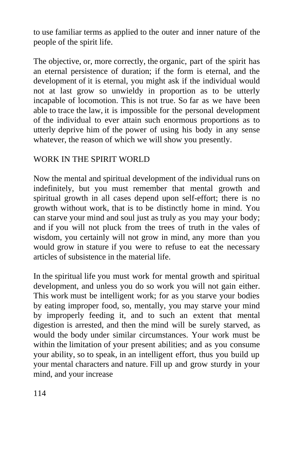to use familiar terms as applied to the outer and inner nature of the people of the spirit life.

The objective, or, more correctly, the organic, part of the spirit has an eternal persistence of duration; if the form is eternal, and the development of it is eternal, you might ask if the individual would not at last grow so unwieldy in proportion as to be utterly incapable of locomotion. This is not true. So far as we have been able to trace the law, it is impossible for the personal development of the individual to ever attain such enormous proportions as to utterly deprive him of the power of using his body in any sense whatever, the reason of which we will show you presently.

### WORK IN THE SPIRIT WORLD

Now the mental and spiritual development of the individual runs on indefinitely, but you must remember that mental growth and spiritual growth in all cases depend upon self-effort; there is no growth without work, that is to be distinctly home in mind. You can starve your mind and soul just as truly as you may your body; and if you will not pluck from the trees of truth in the vales of wisdom, you certainly will not grow in mind, any more than you would grow in stature if you were to refuse to eat the necessary articles of subsistence in the material life.

In the spiritual life you must work for mental growth and spiritual development, and unless you do so work you will not gain either. This work must be intelligent work; for as you starve your bodies by eating improper food, so, mentally, you may starve your mind by improperly feeding it, and to such an extent that mental digestion is arrested, and then the mind will be surely starved, as would the body under similar circumstances. Your work must be within the limitation of your present abilities; and as you consume your ability, so to speak, in an intelligent effort, thus you build up your mental characters and nature. Fill up and grow sturdy in your mind, and your increase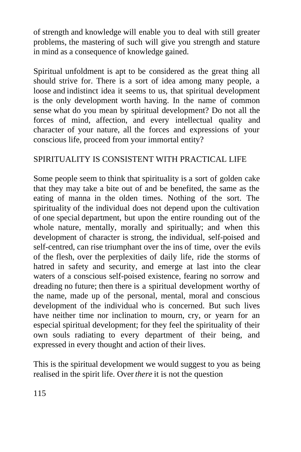of strength and knowledge will enable you to deal with still greater problems, the mastering of such will give you strength and stature in mind as a consequence of knowledge gained.

Spiritual unfoldment is apt to be considered as the great thing all should strive for. There is a sort of idea among many people, a loose and indistinct idea it seems to us, that spiritual development is the only development worth having. In the name of common sense what do you mean by spiritual development? Do not all the forces of mind, affection, and every intellectual quality and character of your nature, all the forces and expressions of your conscious life, proceed from your immortal entity?

# SPIRITUALITY IS CONSISTENT WITH PRACTICAL LIFE

Some people seem to think that spirituality is a sort of golden cake that they may take a bite out of and be benefited, the same as the eating of manna in the olden times. Nothing of the sort. The spirituality of the individual does not depend upon the cultivation of one special department, but upon the entire rounding out of the whole nature, mentally, morally and spiritually; and when this development of character is strong, the individual, self-poised and self-centred, can rise triumphant over the ins of time, over the evils of the flesh, over the perplexities of daily life, ride the storms of hatred in safety and security, and emerge at last into the clear waters of a conscious self-poised existence, fearing no sorrow and dreading no future; then there is a spiritual development worthy of the name, made up of the personal, mental, moral and conscious development of the individual who is concerned. But such lives have neither time nor inclination to mourn, cry, or yearn for an especial spiritual development; for they feel the spirituality of their own souls radiating to every department of their being, and expressed in every thought and action of their lives.

This is the spiritual development we would suggest to you as being realised in the spirit life. Over *there* it is not the question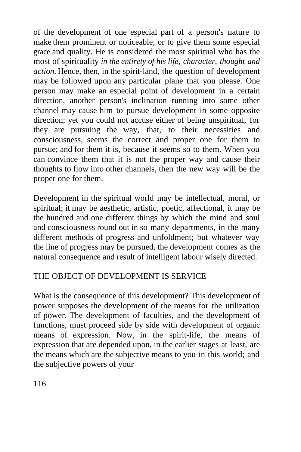of the development of one especial part of a person's nature to make them prominent or noticeable, or to give them some especial grace and quality. He is considered the most spiritual who has the most of spirituality *in the entirety of his life, character, thought and action.* Hence, then, in the spirit-land, the question of development may be followed upon any particular plane that you please. One person may make an especial point of development in a certain direction, another person's inclination running into some other channel may cause him to pursue development in some opposite direction; yet you could not accuse either of being unspiritual, for they are pursuing the way, that, to their necessities and consciousness, seems the correct and proper one for them to pursue; and for them it is, because it seems so to them. When you can convince them that it is not the proper way and cause their thoughts to flow into other channels, then the new way will be the proper one for them.

Development in the spiritual world may be intellectual, moral, or spiritual; it may be aesthetic, artistic, poetic, affectional, it may be the hundred and one different things by which the mind and soul and consciousness round out in so many departments, in the many different methods of progress and unfoldment; but whatever way the line of progress may be pursued, the development comes as the natural consequence and result of intelligent labour wisely directed.

### THE OBJECT OF DEVELOPMENT IS SERVICE

What is the consequence of this development? This development of power supposes the development of the means for the utilization of power. The development of faculties, and the development of functions, must proceed side by side with development of organic means of expression. Now, in the spirit-life, the means of expression that are depended upon, in the earlier stages at least, are the means which are the subjective means to you in this world; and the subjective powers of your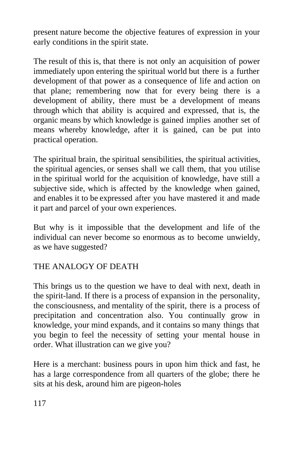present nature become the objective features of expression in your early conditions in the spirit state.

The result of this is, that there is not only an acquisition of power immediately upon entering the spiritual world but there is a further development of that power as a consequence of life and action on that plane; remembering now that for every being there is a development of ability, there must be a development of means through which that ability is acquired and expressed, that is, the organic means by which knowledge is gained implies another set of means whereby knowledge, after it is gained, can be put into practical operation.

The spiritual brain, the spiritual sensibilities, the spiritual activities, the spiritual agencies, or senses shall we call them, that you utilise in the spiritual world for the acquisition of knowledge, have still a subjective side, which is affected by the knowledge when gained, and enables it to be expressed after you have mastered it and made it part and parcel of your own experiences.

But why is it impossible that the development and life of the individual can never become so enormous as to become unwieldy, as we have suggested?

# THE ANALOGY OF DEATH

This brings us to the question we have to deal with next, death in the spirit-land. If there is a process of expansion in the personality, the consciousness, and mentality of the spirit, there is a process of precipitation and concentration also. You continually grow in knowledge, your mind expands, and it contains so many things that you begin to feel the necessity of setting your mental house in order. What illustration can we give you?

Here is a merchant: business pours in upon him thick and fast, he has a large correspondence from all quarters of the globe; there he sits at his desk, around him are pigeon-holes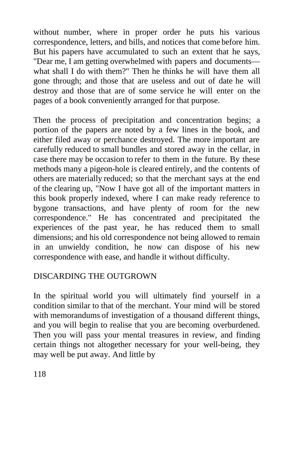without number, where in proper order he puts his various correspondence, letters, and bills, and notices that come before him. But his papers have accumulated to such an extent that he says, "Dear me, I am getting overwhelmed with papers and documents what shall I do with them?" Then he thinks he will have them all gone through; and those that are useless and out of date he will destroy and those that are of some service he will enter on the pages of a book conveniently arranged for that purpose.

Then the process of precipitation and concentration begins; a portion of the papers are noted by a few lines in the book, and either filed away or perchance destroyed. The more important are carefully reduced to small bundles and stored away in the cellar, in case there may be occasion to refer to them in the future. By these methods many a pigeon-hole is cleared entirely, and the contents of others are materially reduced; so that the merchant says at the end of the clearing up, "Now I have got all of the important matters in this book properly indexed, where I can make ready reference to bygone transactions, and have plenty of room for the new correspondence." He has concentrated and precipitated the experiences of the past year, he has reduced them to small dimensions; and his old correspondence not being allowed to remain in an unwieldy condition, he now can dispose of his new correspondence with ease, and handle it without difficulty.

## DISCARDING THE OUTGROWN

In the spiritual world you will ultimately find yourself in a condition similar to that of the merchant. Your mind will be stored with memorandums of investigation of a thousand different things, and you will begin to realise that you are becoming overburdened. Then you will pass your mental treasures in review, and finding certain things not altogether necessary for your well-being, they may well be put away. And little by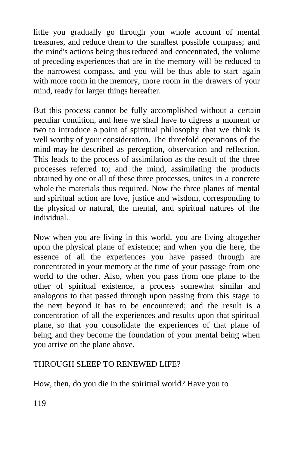little you gradually go through your whole account of mental treasures, and reduce them to the smallest possible compass; and the mind's actions being thus reduced and concentrated, the volume of preceding experiences that are in the memory will be reduced to the narrowest compass, and you will be thus able to start again with more room in the memory, more room in the drawers of your mind, ready for larger things hereafter.

But this process cannot be fully accomplished without a certain peculiar condition, and here we shall have to digress a moment or two to introduce a point of spiritual philosophy that we think is well worthy of your consideration. The threefold operations of the mind may be described as perception, observation and reflection. This leads to the process of assimilation as the result of the three processes referred to; and the mind, assimilating the products obtained by one or all of these three processes, unites in a concrete whole the materials thus required. Now the three planes of mental and spiritual action are love, justice and wisdom, corresponding to the physical or natural, the mental, and spiritual natures of the individual.

Now when you are living in this world, you are living altogether upon the physical plane of existence; and when you die here, the essence of all the experiences you have passed through are concentrated in your memory at the time of your passage from one world to the other. Also, when you pass from one plane to the other of spiritual existence, a process somewhat similar and analogous to that passed through upon passing from this stage to the next beyond it has to be encountered; and the result is a concentration of all the experiences and results upon that spiritual plane, so that you consolidate the experiences of that plane of being, and they become the foundation of your mental being when you arrive on the plane above.

## THROUGH SLEEP TO RENEWED LIFE?

How, then, do you die in the spiritual world? Have you to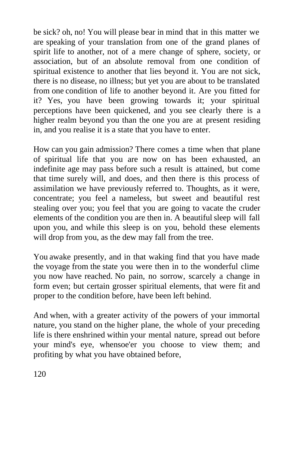be sick? oh, no! You will please bear in mind that in this matter we are speaking of your translation from one of the grand planes of spirit life to another, not of a mere change of sphere, society, or association, but of an absolute removal from one condition of spiritual existence to another that lies beyond it. You are not sick, there is no disease, no illness; but yet you are about to be translated from one condition of life to another beyond it. Are you fitted for it? Yes, you have been growing towards it; your spiritual perceptions have been quickened, and you see clearly there is a higher realm beyond you than the one you are at present residing in, and you realise it is a state that you have to enter.

How can you gain admission? There comes a time when that plane of spiritual life that you are now on has been exhausted, an indefinite age may pass before such a result is attained, but come that time surely will, and does, and then there is this process of assimilation we have previously referred to. Thoughts, as it were, concentrate; you feel a nameless, but sweet and beautiful rest stealing over you; you feel that you are going to vacate the cruder elements of the condition you are then in. A beautiful sleep will fall upon you, and while this sleep is on you, behold these elements will drop from you, as the dew may fall from the tree.

You awake presently, and in that waking find that you have made the voyage from the state you were then in to the wonderful clime you now have reached. No pain, no sorrow, scarcely a change in form even; but certain grosser spiritual elements, that were fit and proper to the condition before, have been left behind.

And when, with a greater activity of the powers of your immortal nature, you stand on the higher plane, the whole of your preceding life is there enshrined within your mental nature, spread out before your mind's eye, whensoe'er you choose to view them; and profiting by what you have obtained before,

120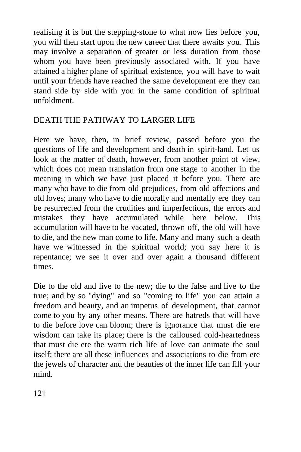realising it is but the stepping-stone to what now lies before you, you will then start upon the new career that there awaits you. This may involve a separation of greater or less duration from those whom you have been previously associated with. If you have attained a higher plane of spiritual existence, you will have to wait until your friends have reached the same development ere they can stand side by side with you in the same condition of spiritual unfoldment.

## DEATH THE PATHWAY TO LARGER LIFE

Here we have, then, in brief review, passed before you the questions of life and development and death in spirit-land. Let us look at the matter of death, however, from another point of view, which does not mean translation from one stage to another in the meaning in which we have just placed it before you. There are many who have to die from old prejudices, from old affections and old loves; many who have to die morally and mentally ere they can be resurrected from the crudities and imperfections, the errors and mistakes they have accumulated while here below. This accumulation will have to be vacated, thrown off, the old will have to die, and the new man come to life. Many and many such a death have we witnessed in the spiritual world; you say here it is repentance; we see it over and over again a thousand different times.

Die to the old and live to the new; die to the false and live to the true; and by so "dying" and so "coming to life" you can attain a freedom and beauty, and an impetus of development, that cannot come to you by any other means. There are hatreds that will have to die before love can bloom; there is ignorance that must die ere wisdom can take its place; there is the calloused cold-heartedness that must die ere the warm rich life of love can animate the soul itself; there are all these influences and associations to die from ere the jewels of character and the beauties of the inner life can fill your mind.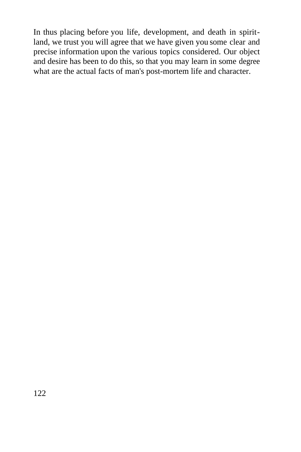In thus placing before you life, development, and death in spiritland, we trust you will agree that we have given you some clear and precise information upon the various topics considered. Our object and desire has been to do this, so that you may learn in some degree what are the actual facts of man's post-mortem life and character.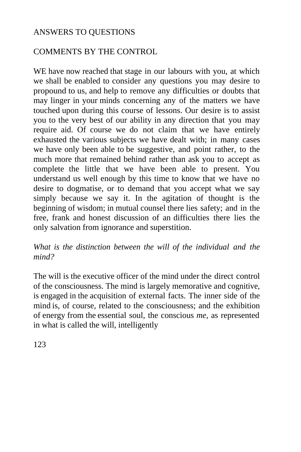## ANSWERS TO QUESTIONS

#### COMMENTS BY THE CONTROL

WE have now reached that stage in our labours with you, at which we shall be enabled to consider any questions you may desire to propound to us, and help to remove any difficulties or doubts that may linger in your minds concerning any of the matters we have touched upon during this course of lessons. Our desire is to assist you to the very best of our ability in any direction that you may require aid. Of course we do not claim that we have entirely exhausted the various subjects we have dealt with; in many cases we have only been able to be suggestive, and point rather, to the much more that remained behind rather than ask you to accept as complete the little that we have been able to present. You understand us well enough by this time to know that we have no desire to dogmatise, or to demand that you accept what we say simply because we say it. In the agitation of thought is the beginning of wisdom; in mutual counsel there lies safety; and in the free, frank and honest discussion of an difficulties there lies the only salvation from ignorance and superstition.

#### *What is the distinction between the will of the individual and the mind?*

The will is the executive officer of the mind under the direct control of the consciousness. The mind is largely memorative and cognitive, is engaged in the acquisition of external facts. The inner side of the mind is, of course, related to the consciousness; and the exhibition of energy from the essential soul, the conscious *me,* as represented in what is called the will, intelligently

123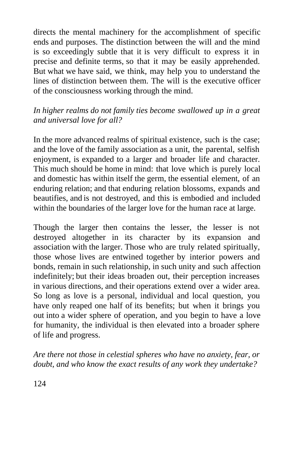directs the mental machinery for the accomplishment of specific ends and purposes. The distinction between the will and the mind is so exceedingly subtle that it is very difficult to express it in precise and definite terms, so that it may be easily apprehended. But what we have said, we think, may help you to understand the lines of distinction between them. The will is the executive officer of the consciousness working through the mind.

## *In higher realms do not family ties become swallowed up in a great and universal love for all?*

In the more advanced realms of spiritual existence, such is the case; and the love of the family association as a unit, the parental, selfish enjoyment, is expanded to a larger and broader life and character. This much should be home in mind: that love which is purely local and domestic has within itself the germ, the essential element, of an enduring relation; and that enduring relation blossoms, expands and beautifies, and is not destroyed, and this is embodied and included within the boundaries of the larger love for the human race at large.

Though the larger then contains the lesser, the lesser is not destroyed altogether in its character by its expansion and association with the larger. Those who are truly related spiritually, those whose lives are entwined together by interior powers and bonds, remain in such relationship, in such unity and such affection indefinitely; but their ideas broaden out, their perception increases in various directions, and their operations extend over a wider area. So long as love is a personal, individual and local question, you have only reaped one half of its benefits; but when it brings you out into a wider sphere of operation, and you begin to have a love for humanity, the individual is then elevated into a broader sphere of life and progress.

*Are there not those in celestial spheres who have no anxiety, fear, or doubt, and who know the exact results of any work they undertake?*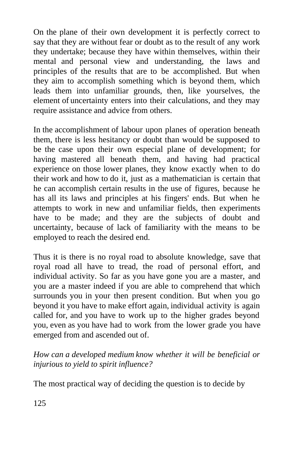On the plane of their own development it is perfectly correct to say that they are without fear or doubt as to the result of any work they undertake; because they have within themselves, within their mental and personal view and understanding, the laws and principles of the results that are to be accomplished. But when they aim to accomplish something which is beyond them, which leads them into unfamiliar grounds, then, like yourselves, the element of uncertainty enters into their calculations, and they may require assistance and advice from others.

In the accomplishment of labour upon planes of operation beneath them, there is less hesitancy or doubt than would be supposed to be the case upon their own especial plane of development; for having mastered all beneath them, and having had practical experience on those lower planes, they know exactly when to do their work and how to do it, just as a mathematician is certain that he can accomplish certain results in the use of figures, because he has all its laws and principles at his fingers' ends. But when he attempts to work in new and unfamiliar fields, then experiments have to be made; and they are the subjects of doubt and uncertainty, because of lack of familiarity with the means to be employed to reach the desired end.

Thus it is there is no royal road to absolute knowledge, save that royal road all have to tread, the road of personal effort, and individual activity. So far as you have gone you are a master, and you are a master indeed if you are able to comprehend that which surrounds you in your then present condition. But when you go beyond it you have to make effort again, individual activity is again called for, and you have to work up to the higher grades beyond you, even as you have had to work from the lower grade you have emerged from and ascended out of.

*How can a developed medium know whether it will be beneficial or injurious to yield to spirit influence?*

The most practical way of deciding the question is to decide by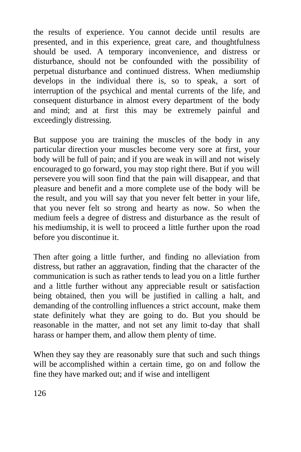the results of experience. You cannot decide until results are presented, and in this experience, great care, and thoughtfulness should be used. A temporary inconvenience, and distress or disturbance, should not be confounded with the possibility of perpetual disturbance and continued distress. When mediumship develops in the individual there is, so to speak, a sort of interruption of the psychical and mental currents of the life, and consequent disturbance in almost every department of the body and mind; and at first this may be extremely painful and exceedingly distressing.

But suppose you are training the muscles of the body in any particular direction your muscles become very sore at first, your body will be full of pain; and if you are weak in will and not wisely encouraged to go forward, you may stop right there. But if you will persevere you will soon find that the pain will disappear, and that pleasure and benefit and a more complete use of the body will be the result, and you will say that you never felt better in your life, that you never felt so strong and hearty as now. So when the medium feels a degree of distress and disturbance as the result of his mediumship, it is well to proceed a little further upon the road before you discontinue it.

Then after going a little further, and finding no alleviation from distress, but rather an aggravation, finding that the character of the communication is such as rather tends to lead you on a little further and a little further without any appreciable result or satisfaction being obtained, then you will be justified in calling a halt, and demanding of the controlling influences a strict account, make them state definitely what they are going to do. But you should be reasonable in the matter, and not set any limit to-day that shall harass or hamper them, and allow them plenty of time.

When they say they are reasonably sure that such and such things will be accomplished within a certain time, go on and follow the fine they have marked out; and if wise and intelligent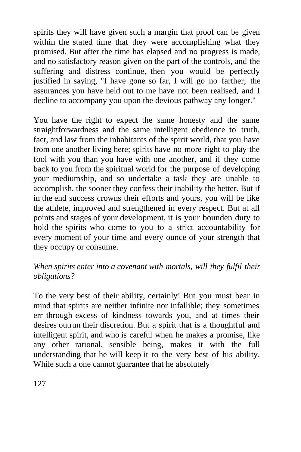spirits they will have given such a margin that proof can be given within the stated time that they were accomplishing what they promised. But after the time has elapsed and no progress is made, and no satisfactory reason given on the part of the controls, and the suffering and distress continue, then you would be perfectly justified in saying, "I have gone so far, I will go no farther; the assurances you have held out to me have not been realised, and I decline to accompany you upon the devious pathway any longer."

You have the right to expect the same honesty and the same straightforwardness and the same intelligent obedience to truth, fact, and law from the inhabitants of the spirit world, that you have from one another living here; spirits have no more right to play the fool with you than you have with one another, and if they come back to you from the spiritual world for the purpose of developing your mediumship, and so undertake a task they are unable to accomplish, the sooner they confess their inability the better. But if in the end success crowns their efforts and yours, you will be like the athlete, improved and strengthened in every respect. But at all points and stages of your development, it is your bounden duty to hold the spirits who come to you to a strict accountability for every moment of your time and every ounce of your strength that they occupy or consume.

#### *When spirits enter into a covenant with mortals, will they fulfil their obligations?*

To the very best of their ability, certainly! But you must bear in mind that spirits are neither infinite nor infallible; they sometimes err through excess of kindness towards you, and at times their desires outrun their discretion. But a spirit that is a thoughtful and intelligent spirit, and who is careful when he makes a promise, like any other rational, sensible being, makes it with the full understanding that he will keep it to the very best of his ability. While such a one cannot guarantee that he absolutely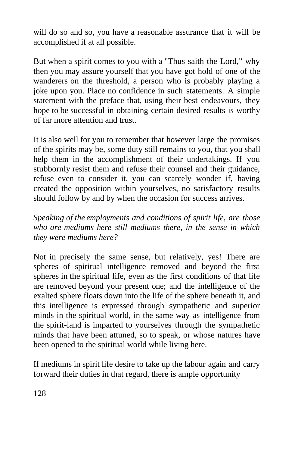will do so and so, you have a reasonable assurance that it will be accomplished if at all possible.

But when a spirit comes to you with a "Thus saith the Lord," why then you may assure yourself that you have got hold of one of the wanderers on the threshold, a person who is probably playing a joke upon you. Place no confidence in such statements. A simple statement with the preface that, using their best endeavours, they hope to be successful in obtaining certain desired results is worthy of far more attention and trust.

It is also well for you to remember that however large the promises of the spirits may be, some duty still remains to you, that you shall help them in the accomplishment of their undertakings. If you stubbornly resist them and refuse their counsel and their guidance, refuse even to consider it, you can scarcely wonder if, having created the opposition within yourselves, no satisfactory results should follow by and by when the occasion for success arrives.

*Speaking of the employments and conditions of spirit life*, *are those who are mediums here still mediums there, in the sense in which they were mediums here?*

Not in precisely the same sense, but relatively, yes! There are spheres of spiritual intelligence removed and beyond the first spheres in the spiritual life, even as the first conditions of that life are removed beyond your present one; and the intelligence of the exalted sphere floats down into the life of the sphere beneath it, and this intelligence is expressed through sympathetic and superior minds in the spiritual world, in the same way as intelligence from the spirit-land is imparted to yourselves through the sympathetic minds that have been attuned, so to speak, or whose natures have been opened to the spiritual world while living here.

If mediums in spirit life desire to take up the labour again and carry forward their duties in that regard, there is ample opportunity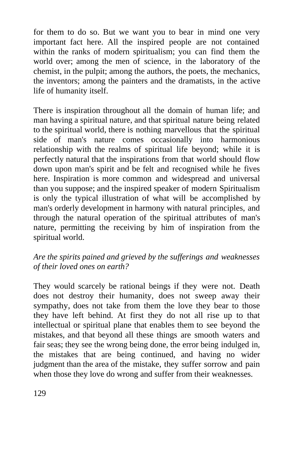for them to do so. But we want you to bear in mind one very important fact here. All the inspired people are not contained within the ranks of modern spiritualism; you can find them the world over; among the men of science, in the laboratory of the chemist, in the pulpit; among the authors, the poets, the mechanics, the inventors; among the painters and the dramatists, in the active life of humanity itself.

There is inspiration throughout all the domain of human life; and man having a spiritual nature, and that spiritual nature being related to the spiritual world, there is nothing marvellous that the spiritual side of man's nature comes occasionally into harmonious relationship with the realms of spiritual life beyond; while it is perfectly natural that the inspirations from that world should flow down upon man's spirit and be felt and recognised while he fives here. Inspiration is more common and widespread and universal than you suppose; and the inspired speaker of modern Spiritualism is only the typical illustration of what will be accomplished by man's orderly development in harmony with natural principles, and through the natural operation of the spiritual attributes of man's nature, permitting the receiving by him of inspiration from the spiritual world.

## *Are the spirits pained and grieved by the sufferings and weaknesses of their loved ones on earth?*

They would scarcely be rational beings if they were not. Death does not destroy their humanity, does not sweep away their sympathy, does not take from them the love they bear to those they have left behind. At first they do not all rise up to that intellectual or spiritual plane that enables them to see beyond the mistakes, and that beyond all these things are smooth waters and fair seas; they see the wrong being done, the error being indulged in, the mistakes that are being continued, and having no wider judgment than the area of the mistake, they suffer sorrow and pain when those they love do wrong and suffer from their weaknesses.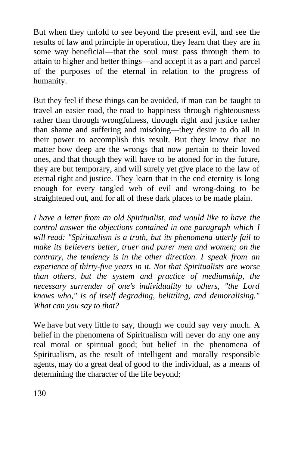But when they unfold to see beyond the present evil, and see the results of law and principle in operation, they learn that they are in some way beneficial—that the soul must pass through them to attain to higher and better things—and accept it as a part and parcel of the purposes of the eternal in relation to the progress of humanity.

But they feel if these things can be avoided, if man can be taught to travel an easier road, the road to happiness through righteousness rather than through wrongfulness, through right and justice rather than shame and suffering and misdoing—they desire to do all in their power to accomplish this result. But they know that no matter how deep are the wrongs that now pertain to their loved ones, and that though they will have to be atoned for in the future, they are but temporary, and will surely yet give place to the law of eternal right and justice. They learn that in the end eternity is long enough for every tangled web of evil and wrong-doing to be straightened out, and for all of these dark places to be made plain.

*I have a letter from an old Spiritualist, and would like to have the control answer the objections contained in one paragraph which I will read: "Spiritualism is a truth, but its phenomena utterly fail to make its believers better, truer and purer men and women; on the contrary, the tendency is in the other direction. I speak from an experience of thirty-five years in it. Not that Spiritualists are worse than others, but the system and practice of mediumship, the necessary surrender of one's individuality to others, "the Lord knows who," is of itself degrading, belittling, and demoralising." What can you say to that?*

We have but very little to say, though we could say very much. A belief in the phenomena of Spiritualism will never do any one any real moral or spiritual good; but belief in the phenomena of Spiritualism, as the result of intelligent and morally responsible agents, may do a great deal of good to the individual, as a means of determining the character of the life beyond;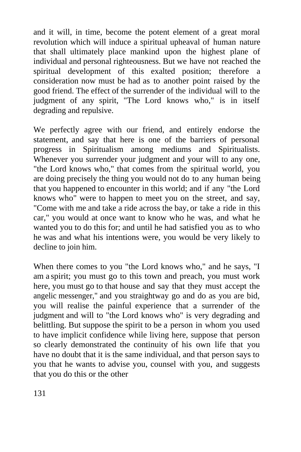and it will, in time, become the potent element of a great moral revolution which will induce a spiritual upheaval of human nature that shall ultimately place mankind upon the highest plane of individual and personal righteousness. But we have not reached the spiritual development of this exalted position; therefore a consideration now must be had as to another point raised by the good friend. The effect of the surrender of the individual will to the judgment of any spirit, "The Lord knows who," is in itself degrading and repulsive.

We perfectly agree with our friend, and entirely endorse the statement, and say that here is one of the barriers of personal progress in Spiritualism among mediums and Spiritualists. Whenever you surrender your judgment and your will to any one, "the Lord knows who," that comes from the spiritual world, you are doing precisely the thing you would not do to any human being that you happened to encounter in this world; and if any "the Lord knows who" were to happen to meet you on the street, and say, "Come with me and take a ride across the bay, or take a ride in this car," you would at once want to know who he was, and what he wanted you to do this for; and until he had satisfied you as to who he was and what his intentions were, you would be very likely to decline to join him.

When there comes to you "the Lord knows who," and he says, "I am a spirit; you must go to this town and preach, you must work here, you must go to that house and say that they must accept the angelic messenger," and you straightway go and do as you are bid, you will realise the painful experience that a surrender of the judgment and will to "the Lord knows who" is very degrading and belittling. But suppose the spirit to be a person in whom you used to have implicit confidence while living here, suppose that person so clearly demonstrated the continuity of his own life that you have no doubt that it is the same individual, and that person says to you that he wants to advise you, counsel with you, and suggests that you do this or the other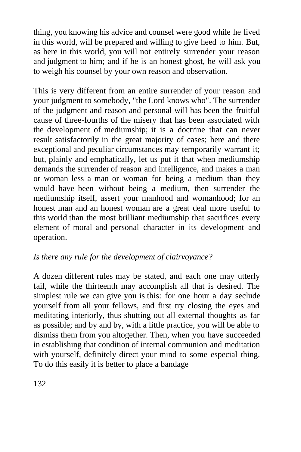thing, you knowing his advice and counsel were good while he lived in this world, will be prepared and willing to give heed to him. But, as here in this world, you will not entirely surrender your reason and judgment to him; and if he is an honest ghost, he will ask you to weigh his counsel by your own reason and observation.

This is very different from an entire surrender of your reason and your judgment to somebody, "the Lord knows who". The surrender of the judgment and reason and personal will has been the fruitful cause of three-fourths of the misery that has been associated with the development of mediumship; it is a doctrine that can never result satisfactorily in the great majority of cases; here and there exceptional and peculiar circumstances may temporarily warrant it; but, plainly and emphatically, let us put it that when mediumship demands the surrender of reason and intelligence, and makes a man or woman less a man or woman for being a medium than they would have been without being a medium, then surrender the mediumship itself, assert your manhood and womanhood; for an honest man and an honest woman are a great deal more useful to this world than the most brilliant mediumship that sacrifices every element of moral and personal character in its development and operation.

## *Is there any rule for the development of clairvoyance?*

A dozen different rules may be stated, and each one may utterly fail, while the thirteenth may accomplish all that is desired. The simplest rule we can give you is this: for one hour a day seclude yourself from all your fellows, and first try closing the eyes and meditating interiorly, thus shutting out all external thoughts as far as possible; and by and by, with a little practice, you will be able to dismiss them from you altogether. Then, when you have succeeded in establishing that condition of internal communion and meditation with yourself, definitely direct your mind to some especial thing. To do this easily it is better to place a bandage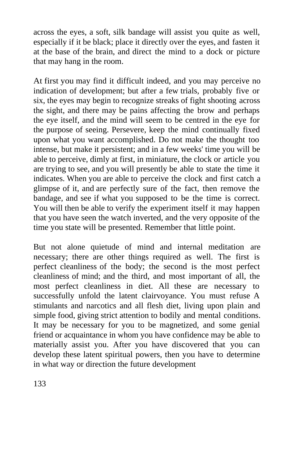across the eyes, a soft, silk bandage will assist you quite as well, especially if it be black; place it directly over the eyes, and fasten it at the base of the brain, and direct the mind to a dock or picture that may hang in the room.

At first you may find it difficult indeed, and you may perceive no indication of development; but after a few trials, probably five or six, the eyes may begin to recognize streaks of fight shooting across the sight, and there may be pains affecting the brow and perhaps the eye itself, and the mind will seem to be centred in the eye for the purpose of seeing. Persevere, keep the mind continually fixed upon what you want accomplished. Do not make the thought too intense, but make it persistent; and in a few weeks' time you will be able to perceive, dimly at first, in miniature, the clock or article you are trying to see, and you will presently be able to state the time it indicates. When you are able to perceive the clock and first catch a glimpse of it, and are perfectly sure of the fact, then remove the bandage, and see if what you supposed to be the time is correct. You will then be able to verify the experiment itself it may happen that you have seen the watch inverted, and the very opposite of the time you state will be presented. Remember that little point.

But not alone quietude of mind and internal meditation are necessary; there are other things required as well. The first is perfect cleanliness of the body; the second is the most perfect cleanliness of mind; and the third, and most important of all, the most perfect cleanliness in diet. All these are necessary to successfully unfold the latent clairvoyance. You must refuse A stimulants and narcotics and all flesh diet, living upon plain and simple food, giving strict attention to bodily and mental conditions. It may be necessary for you to be magnetized, and some genial friend or acquaintance in whom you have confidence may be able to materially assist you. After you have discovered that you can develop these latent spiritual powers, then you have to determine in what way or direction the future development

133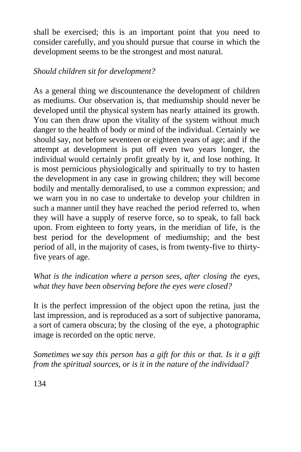shall be exercised; this is an important point that you need to consider carefully, and you should pursue that course in which the development seems to be the strongest and most natural.

## *Should children sit for development?*

As a general thing we discountenance the development of children as mediums. Our observation is, that mediumship should never be developed until the physical system has nearly attained its growth. You can then draw upon the vitality of the system without much danger to the health of body or mind of the individual. Certainly we should say, not before seventeen or eighteen years of age; and if the attempt at development is put off even two years longer, the individual would certainly profit greatly by it, and lose nothing. It is most pernicious physiologically and spiritually to try to hasten the development in any case in growing children; they will become bodily and mentally demoralised, to use a common expression; and we warn you in no case to undertake to develop your children in such a manner until they have reached the period referred to, when they will have a supply of reserve force, so to speak, to fall back upon. From eighteen to forty years, in the meridian of life, is the best period for the development of mediumship; and the best period of all, in the majority of cases, is from twenty-five to thirtyfive years of age.

*What is the indication where a person sees, after closing the eyes, what they have been observing before the eyes were closed?*

It is the perfect impression of the object upon the retina, just the last impression, and is reproduced as a sort of subjective panorama, a sort of camera obscura; by the closing of the eye, a photographic image is recorded on the optic nerve.

*Sometimes we say this person has a gift for this or that. Is it a gift from the spiritual sources, or is it in the nature of the individual?*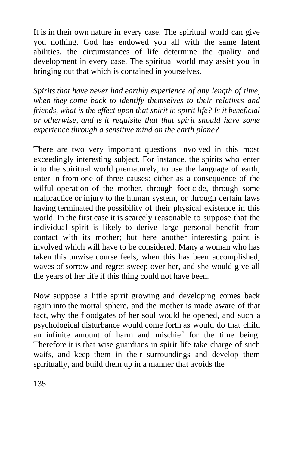It is in their own nature in every case. The spiritual world can give you nothing. God has endowed you all with the same latent abilities, the circumstances of life determine the quality and development in every case. The spiritual world may assist you in bringing out that which is contained in yourselves.

*Spirits that have never had earthly experience of any length of time, when they come back to identify themselves to their relatives and friends, what is the effect upon that spirit in spirit life? Is it beneficial or otherwise, and is it requisite that that spirit should have some experience through a sensitive mind on the earth plane?*

There are two very important questions involved in this most exceedingly interesting subject. For instance, the spirits who enter into the spiritual world prematurely, to use the language of earth, enter in from one of three causes: either as a consequence of the wilful operation of the mother, through foeticide, through some malpractice or injury to the human system, or through certain laws having terminated the possibility of their physical existence in this world. In the first case it is scarcely reasonable to suppose that the individual spirit is likely to derive large personal benefit from contact with its mother; but here another interesting point is involved which will have to be considered. Many a woman who has taken this unwise course feels, when this has been accomplished, waves of sorrow and regret sweep over her, and she would give all the years of her life if this thing could not have been.

Now suppose a little spirit growing and developing comes back again into the mortal sphere, and the mother is made aware of that fact, why the floodgates of her soul would be opened, and such a psychological disturbance would come forth as would do that child an infinite amount of harm and mischief for the time being. Therefore it is that wise guardians in spirit life take charge of such waifs, and keep them in their surroundings and develop them spiritually, and build them up in a manner that avoids the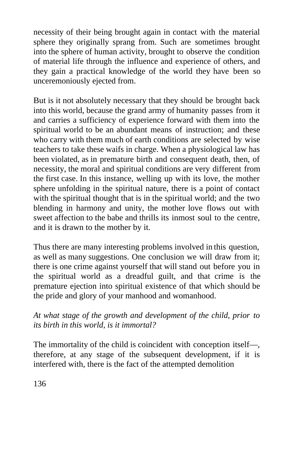necessity of their being brought again in contact with the material sphere they originally sprang from. Such are sometimes brought into the sphere of human activity, brought to observe the condition of material life through the influence and experience of others, and they gain a practical knowledge of the world they have been so unceremoniously ejected from.

But is it not absolutely necessary that they should be brought back into this world, because the grand army of humanity passes from it and carries a sufficiency of experience forward with them into the spiritual world to be an abundant means of instruction; and these who carry with them much of earth conditions are selected by wise teachers to take these waifs in charge. When a physiological law has been violated, as in premature birth and consequent death, then, of necessity, the moral and spiritual conditions are very different from the first case. In this instance, welling up with its love, the mother sphere unfolding in the spiritual nature, there is a point of contact with the spiritual thought that is in the spiritual world; and the two blending in harmony and unity, the mother love flows out with sweet affection to the babe and thrills its inmost soul to the centre, and it is drawn to the mother by it.

Thus there are many interesting problems involved in this question, as well as many suggestions. One conclusion we will draw from it; there is one crime against yourself that will stand out before you in the spiritual world as a dreadful guilt, and that crime is the premature ejection into spiritual existence of that which should be the pride and glory of your manhood and womanhood.

## *At what stage of the growth and development of the child, prior to its birth in this world, is it immortal?*

The immortality of the child is coincident with conception itself—, therefore, at any stage of the subsequent development, if it is interfered with, there is the fact of the attempted demolition